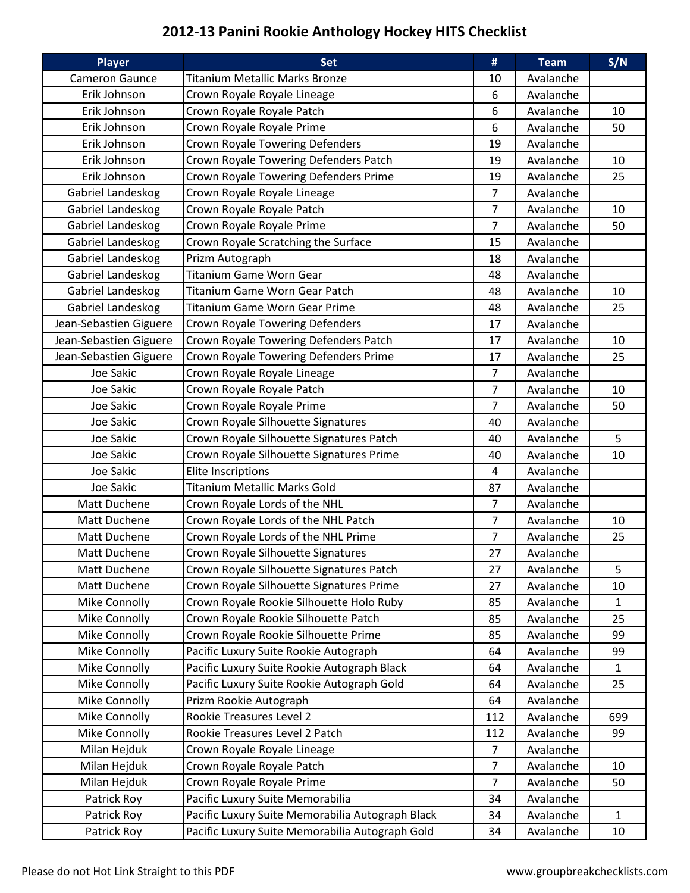## 2012-13 Panini Rookie Anthology Hockey HITS Checklist

| <b>Titanium Metallic Marks Bronze</b><br>Avalanche<br><b>Cameron Gaunce</b><br>10<br>Crown Royale Royale Lineage<br>Erik Johnson<br>Avalanche<br>6<br>Crown Royale Royale Patch<br>Erik Johnson<br>6<br>Avalanche<br>10<br>6<br>Crown Royale Royale Prime<br>50<br>Erik Johnson<br>Avalanche<br>Crown Royale Towering Defenders<br>Erik Johnson<br>19<br>Avalanche<br>Crown Royale Towering Defenders Patch<br>Erik Johnson<br>Avalanche<br>10<br>19<br>Crown Royale Towering Defenders Prime<br>Erik Johnson<br>Avalanche<br>25<br>19<br>Crown Royale Royale Lineage<br>$\overline{7}$<br>Gabriel Landeskog<br>Avalanche<br>Gabriel Landeskog<br>Crown Royale Royale Patch<br>7<br>Avalanche<br>10<br>Gabriel Landeskog<br>Crown Royale Royale Prime<br>$\overline{7}$<br>50<br>Avalanche<br>Gabriel Landeskog<br>Crown Royale Scratching the Surface<br>Avalanche<br>15<br>Prizm Autograph<br>Gabriel Landeskog<br>Avalanche<br>18<br><b>Titanium Game Worn Gear</b><br>Gabriel Landeskog<br>48<br>Avalanche<br>Gabriel Landeskog<br><b>Titanium Game Worn Gear Patch</b><br>Avalanche<br>10<br>48<br>Gabriel Landeskog<br>25<br><b>Titanium Game Worn Gear Prime</b><br>48<br>Avalanche<br>Crown Royale Towering Defenders<br>Jean-Sebastien Giguere<br>Avalanche<br>17<br>Jean-Sebastien Giguere<br>Crown Royale Towering Defenders Patch<br>17<br>Avalanche<br>10<br>Crown Royale Towering Defenders Prime<br>Jean-Sebastien Giguere<br>Avalanche<br>25<br>17<br>Joe Sakic<br>Crown Royale Royale Lineage<br>$\overline{7}$<br>Avalanche<br>Crown Royale Royale Patch<br>$\overline{7}$<br>10<br>Joe Sakic<br>Avalanche<br>Joe Sakic<br>Crown Royale Royale Prime<br>$\overline{7}$<br>Avalanche<br>50<br>Joe Sakic<br>Crown Royale Silhouette Signatures<br>40<br>Avalanche<br>5<br>Crown Royale Silhouette Signatures Patch<br>Joe Sakic<br>40<br>Avalanche<br>Joe Sakic<br>Crown Royale Silhouette Signatures Prime<br>Avalanche<br>10<br>40<br>Joe Sakic<br><b>Elite Inscriptions</b><br>4<br>Avalanche<br><b>Titanium Metallic Marks Gold</b><br>Joe Sakic<br>87<br>Avalanche<br>Crown Royale Lords of the NHL<br>$\overline{7}$<br>Matt Duchene<br>Avalanche<br>Crown Royale Lords of the NHL Patch<br>Matt Duchene<br>Avalanche<br>7<br>10<br>Crown Royale Lords of the NHL Prime<br>$\overline{7}$<br>25<br>Matt Duchene<br>Avalanche<br>Crown Royale Silhouette Signatures<br>27<br>Matt Duchene<br>Avalanche<br>5<br>Crown Royale Silhouette Signatures Patch<br>Matt Duchene<br>27<br>Avalanche<br>Matt Duchene<br>Crown Royale Silhouette Signatures Prime<br>Avalanche<br>10<br>27<br>Crown Royale Rookie Silhouette Holo Ruby<br>Mike Connolly<br>Avalanche<br>85<br>$\mathbf{1}$<br>Crown Royale Rookie Silhouette Patch<br>25<br>Mike Connolly<br>85<br>Avalanche<br>Mike Connolly<br>Crown Royale Rookie Silhouette Prime<br>Avalanche<br>99<br>85<br>Mike Connolly<br>Pacific Luxury Suite Rookie Autograph<br>Avalanche<br>99<br>64<br>Pacific Luxury Suite Rookie Autograph Black<br>Mike Connolly<br>$\mathbf{1}$<br>64<br>Avalanche<br>Pacific Luxury Suite Rookie Autograph Gold<br>Mike Connolly<br>Avalanche<br>25<br>64<br>Mike Connolly<br>Prizm Rookie Autograph<br>64<br>Avalanche<br>Mike Connolly<br>Rookie Treasures Level 2<br>112<br>Avalanche<br>699<br>Rookie Treasures Level 2 Patch<br>Mike Connolly<br>112<br>99<br>Avalanche<br>Milan Hejduk<br>Crown Royale Royale Lineage<br>Avalanche<br>7<br>Crown Royale Royale Patch<br>$\overline{7}$<br>Avalanche<br>Milan Hejduk<br>10<br>Crown Royale Royale Prime<br>$\overline{7}$<br>Milan Hejduk<br>Avalanche<br>50<br>Pacific Luxury Suite Memorabilia<br>Patrick Roy<br>Avalanche<br>34<br>Pacific Luxury Suite Memorabilia Autograph Black<br>Patrick Roy<br>Avalanche<br>$\mathbf{1}$<br>34<br>Pacific Luxury Suite Memorabilia Autograph Gold<br>Patrick Roy<br>34<br>Avalanche<br>10 | <b>Player</b> | <b>Set</b> | # | <b>Team</b> | S/N |
|---------------------------------------------------------------------------------------------------------------------------------------------------------------------------------------------------------------------------------------------------------------------------------------------------------------------------------------------------------------------------------------------------------------------------------------------------------------------------------------------------------------------------------------------------------------------------------------------------------------------------------------------------------------------------------------------------------------------------------------------------------------------------------------------------------------------------------------------------------------------------------------------------------------------------------------------------------------------------------------------------------------------------------------------------------------------------------------------------------------------------------------------------------------------------------------------------------------------------------------------------------------------------------------------------------------------------------------------------------------------------------------------------------------------------------------------------------------------------------------------------------------------------------------------------------------------------------------------------------------------------------------------------------------------------------------------------------------------------------------------------------------------------------------------------------------------------------------------------------------------------------------------------------------------------------------------------------------------------------------------------------------------------------------------------------------------------------------------------------------------------------------------------------------------------------------------------------------------------------------------------------------------------------------------------------------------------------------------------------------------------------------------------------------------------------------------------------------------------------------------------------------------------------------------------------------------------------------------------------------------------------------------------------------------------------------------------------------------------------------------------------------------------------------------------------------------------------------------------------------------------------------------------------------------------------------------------------------------------------------------------------------------------------------------------------------------------------------------------------------------------------------------------------------------------------------------------------------------------------------------------------------------------------------------------------------------------------------------------------------------------------------------------------------------------------------------------------------------------------------------------------------------------------------------------------------------------------------------------------------------------------------------------------------------------------------------------------------------------------------------------------------------------------------------------------------------------------------------------------------------------------------|---------------|------------|---|-------------|-----|
|                                                                                                                                                                                                                                                                                                                                                                                                                                                                                                                                                                                                                                                                                                                                                                                                                                                                                                                                                                                                                                                                                                                                                                                                                                                                                                                                                                                                                                                                                                                                                                                                                                                                                                                                                                                                                                                                                                                                                                                                                                                                                                                                                                                                                                                                                                                                                                                                                                                                                                                                                                                                                                                                                                                                                                                                                                                                                                                                                                                                                                                                                                                                                                                                                                                                                                                                                                                                                                                                                                                                                                                                                                                                                                                                                                                                                                                                                       |               |            |   |             |     |
|                                                                                                                                                                                                                                                                                                                                                                                                                                                                                                                                                                                                                                                                                                                                                                                                                                                                                                                                                                                                                                                                                                                                                                                                                                                                                                                                                                                                                                                                                                                                                                                                                                                                                                                                                                                                                                                                                                                                                                                                                                                                                                                                                                                                                                                                                                                                                                                                                                                                                                                                                                                                                                                                                                                                                                                                                                                                                                                                                                                                                                                                                                                                                                                                                                                                                                                                                                                                                                                                                                                                                                                                                                                                                                                                                                                                                                                                                       |               |            |   |             |     |
|                                                                                                                                                                                                                                                                                                                                                                                                                                                                                                                                                                                                                                                                                                                                                                                                                                                                                                                                                                                                                                                                                                                                                                                                                                                                                                                                                                                                                                                                                                                                                                                                                                                                                                                                                                                                                                                                                                                                                                                                                                                                                                                                                                                                                                                                                                                                                                                                                                                                                                                                                                                                                                                                                                                                                                                                                                                                                                                                                                                                                                                                                                                                                                                                                                                                                                                                                                                                                                                                                                                                                                                                                                                                                                                                                                                                                                                                                       |               |            |   |             |     |
|                                                                                                                                                                                                                                                                                                                                                                                                                                                                                                                                                                                                                                                                                                                                                                                                                                                                                                                                                                                                                                                                                                                                                                                                                                                                                                                                                                                                                                                                                                                                                                                                                                                                                                                                                                                                                                                                                                                                                                                                                                                                                                                                                                                                                                                                                                                                                                                                                                                                                                                                                                                                                                                                                                                                                                                                                                                                                                                                                                                                                                                                                                                                                                                                                                                                                                                                                                                                                                                                                                                                                                                                                                                                                                                                                                                                                                                                                       |               |            |   |             |     |
|                                                                                                                                                                                                                                                                                                                                                                                                                                                                                                                                                                                                                                                                                                                                                                                                                                                                                                                                                                                                                                                                                                                                                                                                                                                                                                                                                                                                                                                                                                                                                                                                                                                                                                                                                                                                                                                                                                                                                                                                                                                                                                                                                                                                                                                                                                                                                                                                                                                                                                                                                                                                                                                                                                                                                                                                                                                                                                                                                                                                                                                                                                                                                                                                                                                                                                                                                                                                                                                                                                                                                                                                                                                                                                                                                                                                                                                                                       |               |            |   |             |     |
|                                                                                                                                                                                                                                                                                                                                                                                                                                                                                                                                                                                                                                                                                                                                                                                                                                                                                                                                                                                                                                                                                                                                                                                                                                                                                                                                                                                                                                                                                                                                                                                                                                                                                                                                                                                                                                                                                                                                                                                                                                                                                                                                                                                                                                                                                                                                                                                                                                                                                                                                                                                                                                                                                                                                                                                                                                                                                                                                                                                                                                                                                                                                                                                                                                                                                                                                                                                                                                                                                                                                                                                                                                                                                                                                                                                                                                                                                       |               |            |   |             |     |
|                                                                                                                                                                                                                                                                                                                                                                                                                                                                                                                                                                                                                                                                                                                                                                                                                                                                                                                                                                                                                                                                                                                                                                                                                                                                                                                                                                                                                                                                                                                                                                                                                                                                                                                                                                                                                                                                                                                                                                                                                                                                                                                                                                                                                                                                                                                                                                                                                                                                                                                                                                                                                                                                                                                                                                                                                                                                                                                                                                                                                                                                                                                                                                                                                                                                                                                                                                                                                                                                                                                                                                                                                                                                                                                                                                                                                                                                                       |               |            |   |             |     |
|                                                                                                                                                                                                                                                                                                                                                                                                                                                                                                                                                                                                                                                                                                                                                                                                                                                                                                                                                                                                                                                                                                                                                                                                                                                                                                                                                                                                                                                                                                                                                                                                                                                                                                                                                                                                                                                                                                                                                                                                                                                                                                                                                                                                                                                                                                                                                                                                                                                                                                                                                                                                                                                                                                                                                                                                                                                                                                                                                                                                                                                                                                                                                                                                                                                                                                                                                                                                                                                                                                                                                                                                                                                                                                                                                                                                                                                                                       |               |            |   |             |     |
|                                                                                                                                                                                                                                                                                                                                                                                                                                                                                                                                                                                                                                                                                                                                                                                                                                                                                                                                                                                                                                                                                                                                                                                                                                                                                                                                                                                                                                                                                                                                                                                                                                                                                                                                                                                                                                                                                                                                                                                                                                                                                                                                                                                                                                                                                                                                                                                                                                                                                                                                                                                                                                                                                                                                                                                                                                                                                                                                                                                                                                                                                                                                                                                                                                                                                                                                                                                                                                                                                                                                                                                                                                                                                                                                                                                                                                                                                       |               |            |   |             |     |
|                                                                                                                                                                                                                                                                                                                                                                                                                                                                                                                                                                                                                                                                                                                                                                                                                                                                                                                                                                                                                                                                                                                                                                                                                                                                                                                                                                                                                                                                                                                                                                                                                                                                                                                                                                                                                                                                                                                                                                                                                                                                                                                                                                                                                                                                                                                                                                                                                                                                                                                                                                                                                                                                                                                                                                                                                                                                                                                                                                                                                                                                                                                                                                                                                                                                                                                                                                                                                                                                                                                                                                                                                                                                                                                                                                                                                                                                                       |               |            |   |             |     |
|                                                                                                                                                                                                                                                                                                                                                                                                                                                                                                                                                                                                                                                                                                                                                                                                                                                                                                                                                                                                                                                                                                                                                                                                                                                                                                                                                                                                                                                                                                                                                                                                                                                                                                                                                                                                                                                                                                                                                                                                                                                                                                                                                                                                                                                                                                                                                                                                                                                                                                                                                                                                                                                                                                                                                                                                                                                                                                                                                                                                                                                                                                                                                                                                                                                                                                                                                                                                                                                                                                                                                                                                                                                                                                                                                                                                                                                                                       |               |            |   |             |     |
|                                                                                                                                                                                                                                                                                                                                                                                                                                                                                                                                                                                                                                                                                                                                                                                                                                                                                                                                                                                                                                                                                                                                                                                                                                                                                                                                                                                                                                                                                                                                                                                                                                                                                                                                                                                                                                                                                                                                                                                                                                                                                                                                                                                                                                                                                                                                                                                                                                                                                                                                                                                                                                                                                                                                                                                                                                                                                                                                                                                                                                                                                                                                                                                                                                                                                                                                                                                                                                                                                                                                                                                                                                                                                                                                                                                                                                                                                       |               |            |   |             |     |
|                                                                                                                                                                                                                                                                                                                                                                                                                                                                                                                                                                                                                                                                                                                                                                                                                                                                                                                                                                                                                                                                                                                                                                                                                                                                                                                                                                                                                                                                                                                                                                                                                                                                                                                                                                                                                                                                                                                                                                                                                                                                                                                                                                                                                                                                                                                                                                                                                                                                                                                                                                                                                                                                                                                                                                                                                                                                                                                                                                                                                                                                                                                                                                                                                                                                                                                                                                                                                                                                                                                                                                                                                                                                                                                                                                                                                                                                                       |               |            |   |             |     |
|                                                                                                                                                                                                                                                                                                                                                                                                                                                                                                                                                                                                                                                                                                                                                                                                                                                                                                                                                                                                                                                                                                                                                                                                                                                                                                                                                                                                                                                                                                                                                                                                                                                                                                                                                                                                                                                                                                                                                                                                                                                                                                                                                                                                                                                                                                                                                                                                                                                                                                                                                                                                                                                                                                                                                                                                                                                                                                                                                                                                                                                                                                                                                                                                                                                                                                                                                                                                                                                                                                                                                                                                                                                                                                                                                                                                                                                                                       |               |            |   |             |     |
|                                                                                                                                                                                                                                                                                                                                                                                                                                                                                                                                                                                                                                                                                                                                                                                                                                                                                                                                                                                                                                                                                                                                                                                                                                                                                                                                                                                                                                                                                                                                                                                                                                                                                                                                                                                                                                                                                                                                                                                                                                                                                                                                                                                                                                                                                                                                                                                                                                                                                                                                                                                                                                                                                                                                                                                                                                                                                                                                                                                                                                                                                                                                                                                                                                                                                                                                                                                                                                                                                                                                                                                                                                                                                                                                                                                                                                                                                       |               |            |   |             |     |
|                                                                                                                                                                                                                                                                                                                                                                                                                                                                                                                                                                                                                                                                                                                                                                                                                                                                                                                                                                                                                                                                                                                                                                                                                                                                                                                                                                                                                                                                                                                                                                                                                                                                                                                                                                                                                                                                                                                                                                                                                                                                                                                                                                                                                                                                                                                                                                                                                                                                                                                                                                                                                                                                                                                                                                                                                                                                                                                                                                                                                                                                                                                                                                                                                                                                                                                                                                                                                                                                                                                                                                                                                                                                                                                                                                                                                                                                                       |               |            |   |             |     |
|                                                                                                                                                                                                                                                                                                                                                                                                                                                                                                                                                                                                                                                                                                                                                                                                                                                                                                                                                                                                                                                                                                                                                                                                                                                                                                                                                                                                                                                                                                                                                                                                                                                                                                                                                                                                                                                                                                                                                                                                                                                                                                                                                                                                                                                                                                                                                                                                                                                                                                                                                                                                                                                                                                                                                                                                                                                                                                                                                                                                                                                                                                                                                                                                                                                                                                                                                                                                                                                                                                                                                                                                                                                                                                                                                                                                                                                                                       |               |            |   |             |     |
|                                                                                                                                                                                                                                                                                                                                                                                                                                                                                                                                                                                                                                                                                                                                                                                                                                                                                                                                                                                                                                                                                                                                                                                                                                                                                                                                                                                                                                                                                                                                                                                                                                                                                                                                                                                                                                                                                                                                                                                                                                                                                                                                                                                                                                                                                                                                                                                                                                                                                                                                                                                                                                                                                                                                                                                                                                                                                                                                                                                                                                                                                                                                                                                                                                                                                                                                                                                                                                                                                                                                                                                                                                                                                                                                                                                                                                                                                       |               |            |   |             |     |
|                                                                                                                                                                                                                                                                                                                                                                                                                                                                                                                                                                                                                                                                                                                                                                                                                                                                                                                                                                                                                                                                                                                                                                                                                                                                                                                                                                                                                                                                                                                                                                                                                                                                                                                                                                                                                                                                                                                                                                                                                                                                                                                                                                                                                                                                                                                                                                                                                                                                                                                                                                                                                                                                                                                                                                                                                                                                                                                                                                                                                                                                                                                                                                                                                                                                                                                                                                                                                                                                                                                                                                                                                                                                                                                                                                                                                                                                                       |               |            |   |             |     |
|                                                                                                                                                                                                                                                                                                                                                                                                                                                                                                                                                                                                                                                                                                                                                                                                                                                                                                                                                                                                                                                                                                                                                                                                                                                                                                                                                                                                                                                                                                                                                                                                                                                                                                                                                                                                                                                                                                                                                                                                                                                                                                                                                                                                                                                                                                                                                                                                                                                                                                                                                                                                                                                                                                                                                                                                                                                                                                                                                                                                                                                                                                                                                                                                                                                                                                                                                                                                                                                                                                                                                                                                                                                                                                                                                                                                                                                                                       |               |            |   |             |     |
|                                                                                                                                                                                                                                                                                                                                                                                                                                                                                                                                                                                                                                                                                                                                                                                                                                                                                                                                                                                                                                                                                                                                                                                                                                                                                                                                                                                                                                                                                                                                                                                                                                                                                                                                                                                                                                                                                                                                                                                                                                                                                                                                                                                                                                                                                                                                                                                                                                                                                                                                                                                                                                                                                                                                                                                                                                                                                                                                                                                                                                                                                                                                                                                                                                                                                                                                                                                                                                                                                                                                                                                                                                                                                                                                                                                                                                                                                       |               |            |   |             |     |
|                                                                                                                                                                                                                                                                                                                                                                                                                                                                                                                                                                                                                                                                                                                                                                                                                                                                                                                                                                                                                                                                                                                                                                                                                                                                                                                                                                                                                                                                                                                                                                                                                                                                                                                                                                                                                                                                                                                                                                                                                                                                                                                                                                                                                                                                                                                                                                                                                                                                                                                                                                                                                                                                                                                                                                                                                                                                                                                                                                                                                                                                                                                                                                                                                                                                                                                                                                                                                                                                                                                                                                                                                                                                                                                                                                                                                                                                                       |               |            |   |             |     |
|                                                                                                                                                                                                                                                                                                                                                                                                                                                                                                                                                                                                                                                                                                                                                                                                                                                                                                                                                                                                                                                                                                                                                                                                                                                                                                                                                                                                                                                                                                                                                                                                                                                                                                                                                                                                                                                                                                                                                                                                                                                                                                                                                                                                                                                                                                                                                                                                                                                                                                                                                                                                                                                                                                                                                                                                                                                                                                                                                                                                                                                                                                                                                                                                                                                                                                                                                                                                                                                                                                                                                                                                                                                                                                                                                                                                                                                                                       |               |            |   |             |     |
|                                                                                                                                                                                                                                                                                                                                                                                                                                                                                                                                                                                                                                                                                                                                                                                                                                                                                                                                                                                                                                                                                                                                                                                                                                                                                                                                                                                                                                                                                                                                                                                                                                                                                                                                                                                                                                                                                                                                                                                                                                                                                                                                                                                                                                                                                                                                                                                                                                                                                                                                                                                                                                                                                                                                                                                                                                                                                                                                                                                                                                                                                                                                                                                                                                                                                                                                                                                                                                                                                                                                                                                                                                                                                                                                                                                                                                                                                       |               |            |   |             |     |
|                                                                                                                                                                                                                                                                                                                                                                                                                                                                                                                                                                                                                                                                                                                                                                                                                                                                                                                                                                                                                                                                                                                                                                                                                                                                                                                                                                                                                                                                                                                                                                                                                                                                                                                                                                                                                                                                                                                                                                                                                                                                                                                                                                                                                                                                                                                                                                                                                                                                                                                                                                                                                                                                                                                                                                                                                                                                                                                                                                                                                                                                                                                                                                                                                                                                                                                                                                                                                                                                                                                                                                                                                                                                                                                                                                                                                                                                                       |               |            |   |             |     |
|                                                                                                                                                                                                                                                                                                                                                                                                                                                                                                                                                                                                                                                                                                                                                                                                                                                                                                                                                                                                                                                                                                                                                                                                                                                                                                                                                                                                                                                                                                                                                                                                                                                                                                                                                                                                                                                                                                                                                                                                                                                                                                                                                                                                                                                                                                                                                                                                                                                                                                                                                                                                                                                                                                                                                                                                                                                                                                                                                                                                                                                                                                                                                                                                                                                                                                                                                                                                                                                                                                                                                                                                                                                                                                                                                                                                                                                                                       |               |            |   |             |     |
|                                                                                                                                                                                                                                                                                                                                                                                                                                                                                                                                                                                                                                                                                                                                                                                                                                                                                                                                                                                                                                                                                                                                                                                                                                                                                                                                                                                                                                                                                                                                                                                                                                                                                                                                                                                                                                                                                                                                                                                                                                                                                                                                                                                                                                                                                                                                                                                                                                                                                                                                                                                                                                                                                                                                                                                                                                                                                                                                                                                                                                                                                                                                                                                                                                                                                                                                                                                                                                                                                                                                                                                                                                                                                                                                                                                                                                                                                       |               |            |   |             |     |
|                                                                                                                                                                                                                                                                                                                                                                                                                                                                                                                                                                                                                                                                                                                                                                                                                                                                                                                                                                                                                                                                                                                                                                                                                                                                                                                                                                                                                                                                                                                                                                                                                                                                                                                                                                                                                                                                                                                                                                                                                                                                                                                                                                                                                                                                                                                                                                                                                                                                                                                                                                                                                                                                                                                                                                                                                                                                                                                                                                                                                                                                                                                                                                                                                                                                                                                                                                                                                                                                                                                                                                                                                                                                                                                                                                                                                                                                                       |               |            |   |             |     |
|                                                                                                                                                                                                                                                                                                                                                                                                                                                                                                                                                                                                                                                                                                                                                                                                                                                                                                                                                                                                                                                                                                                                                                                                                                                                                                                                                                                                                                                                                                                                                                                                                                                                                                                                                                                                                                                                                                                                                                                                                                                                                                                                                                                                                                                                                                                                                                                                                                                                                                                                                                                                                                                                                                                                                                                                                                                                                                                                                                                                                                                                                                                                                                                                                                                                                                                                                                                                                                                                                                                                                                                                                                                                                                                                                                                                                                                                                       |               |            |   |             |     |
|                                                                                                                                                                                                                                                                                                                                                                                                                                                                                                                                                                                                                                                                                                                                                                                                                                                                                                                                                                                                                                                                                                                                                                                                                                                                                                                                                                                                                                                                                                                                                                                                                                                                                                                                                                                                                                                                                                                                                                                                                                                                                                                                                                                                                                                                                                                                                                                                                                                                                                                                                                                                                                                                                                                                                                                                                                                                                                                                                                                                                                                                                                                                                                                                                                                                                                                                                                                                                                                                                                                                                                                                                                                                                                                                                                                                                                                                                       |               |            |   |             |     |
|                                                                                                                                                                                                                                                                                                                                                                                                                                                                                                                                                                                                                                                                                                                                                                                                                                                                                                                                                                                                                                                                                                                                                                                                                                                                                                                                                                                                                                                                                                                                                                                                                                                                                                                                                                                                                                                                                                                                                                                                                                                                                                                                                                                                                                                                                                                                                                                                                                                                                                                                                                                                                                                                                                                                                                                                                                                                                                                                                                                                                                                                                                                                                                                                                                                                                                                                                                                                                                                                                                                                                                                                                                                                                                                                                                                                                                                                                       |               |            |   |             |     |
|                                                                                                                                                                                                                                                                                                                                                                                                                                                                                                                                                                                                                                                                                                                                                                                                                                                                                                                                                                                                                                                                                                                                                                                                                                                                                                                                                                                                                                                                                                                                                                                                                                                                                                                                                                                                                                                                                                                                                                                                                                                                                                                                                                                                                                                                                                                                                                                                                                                                                                                                                                                                                                                                                                                                                                                                                                                                                                                                                                                                                                                                                                                                                                                                                                                                                                                                                                                                                                                                                                                                                                                                                                                                                                                                                                                                                                                                                       |               |            |   |             |     |
|                                                                                                                                                                                                                                                                                                                                                                                                                                                                                                                                                                                                                                                                                                                                                                                                                                                                                                                                                                                                                                                                                                                                                                                                                                                                                                                                                                                                                                                                                                                                                                                                                                                                                                                                                                                                                                                                                                                                                                                                                                                                                                                                                                                                                                                                                                                                                                                                                                                                                                                                                                                                                                                                                                                                                                                                                                                                                                                                                                                                                                                                                                                                                                                                                                                                                                                                                                                                                                                                                                                                                                                                                                                                                                                                                                                                                                                                                       |               |            |   |             |     |
|                                                                                                                                                                                                                                                                                                                                                                                                                                                                                                                                                                                                                                                                                                                                                                                                                                                                                                                                                                                                                                                                                                                                                                                                                                                                                                                                                                                                                                                                                                                                                                                                                                                                                                                                                                                                                                                                                                                                                                                                                                                                                                                                                                                                                                                                                                                                                                                                                                                                                                                                                                                                                                                                                                                                                                                                                                                                                                                                                                                                                                                                                                                                                                                                                                                                                                                                                                                                                                                                                                                                                                                                                                                                                                                                                                                                                                                                                       |               |            |   |             |     |
|                                                                                                                                                                                                                                                                                                                                                                                                                                                                                                                                                                                                                                                                                                                                                                                                                                                                                                                                                                                                                                                                                                                                                                                                                                                                                                                                                                                                                                                                                                                                                                                                                                                                                                                                                                                                                                                                                                                                                                                                                                                                                                                                                                                                                                                                                                                                                                                                                                                                                                                                                                                                                                                                                                                                                                                                                                                                                                                                                                                                                                                                                                                                                                                                                                                                                                                                                                                                                                                                                                                                                                                                                                                                                                                                                                                                                                                                                       |               |            |   |             |     |
|                                                                                                                                                                                                                                                                                                                                                                                                                                                                                                                                                                                                                                                                                                                                                                                                                                                                                                                                                                                                                                                                                                                                                                                                                                                                                                                                                                                                                                                                                                                                                                                                                                                                                                                                                                                                                                                                                                                                                                                                                                                                                                                                                                                                                                                                                                                                                                                                                                                                                                                                                                                                                                                                                                                                                                                                                                                                                                                                                                                                                                                                                                                                                                                                                                                                                                                                                                                                                                                                                                                                                                                                                                                                                                                                                                                                                                                                                       |               |            |   |             |     |
|                                                                                                                                                                                                                                                                                                                                                                                                                                                                                                                                                                                                                                                                                                                                                                                                                                                                                                                                                                                                                                                                                                                                                                                                                                                                                                                                                                                                                                                                                                                                                                                                                                                                                                                                                                                                                                                                                                                                                                                                                                                                                                                                                                                                                                                                                                                                                                                                                                                                                                                                                                                                                                                                                                                                                                                                                                                                                                                                                                                                                                                                                                                                                                                                                                                                                                                                                                                                                                                                                                                                                                                                                                                                                                                                                                                                                                                                                       |               |            |   |             |     |
|                                                                                                                                                                                                                                                                                                                                                                                                                                                                                                                                                                                                                                                                                                                                                                                                                                                                                                                                                                                                                                                                                                                                                                                                                                                                                                                                                                                                                                                                                                                                                                                                                                                                                                                                                                                                                                                                                                                                                                                                                                                                                                                                                                                                                                                                                                                                                                                                                                                                                                                                                                                                                                                                                                                                                                                                                                                                                                                                                                                                                                                                                                                                                                                                                                                                                                                                                                                                                                                                                                                                                                                                                                                                                                                                                                                                                                                                                       |               |            |   |             |     |
|                                                                                                                                                                                                                                                                                                                                                                                                                                                                                                                                                                                                                                                                                                                                                                                                                                                                                                                                                                                                                                                                                                                                                                                                                                                                                                                                                                                                                                                                                                                                                                                                                                                                                                                                                                                                                                                                                                                                                                                                                                                                                                                                                                                                                                                                                                                                                                                                                                                                                                                                                                                                                                                                                                                                                                                                                                                                                                                                                                                                                                                                                                                                                                                                                                                                                                                                                                                                                                                                                                                                                                                                                                                                                                                                                                                                                                                                                       |               |            |   |             |     |
|                                                                                                                                                                                                                                                                                                                                                                                                                                                                                                                                                                                                                                                                                                                                                                                                                                                                                                                                                                                                                                                                                                                                                                                                                                                                                                                                                                                                                                                                                                                                                                                                                                                                                                                                                                                                                                                                                                                                                                                                                                                                                                                                                                                                                                                                                                                                                                                                                                                                                                                                                                                                                                                                                                                                                                                                                                                                                                                                                                                                                                                                                                                                                                                                                                                                                                                                                                                                                                                                                                                                                                                                                                                                                                                                                                                                                                                                                       |               |            |   |             |     |
|                                                                                                                                                                                                                                                                                                                                                                                                                                                                                                                                                                                                                                                                                                                                                                                                                                                                                                                                                                                                                                                                                                                                                                                                                                                                                                                                                                                                                                                                                                                                                                                                                                                                                                                                                                                                                                                                                                                                                                                                                                                                                                                                                                                                                                                                                                                                                                                                                                                                                                                                                                                                                                                                                                                                                                                                                                                                                                                                                                                                                                                                                                                                                                                                                                                                                                                                                                                                                                                                                                                                                                                                                                                                                                                                                                                                                                                                                       |               |            |   |             |     |
|                                                                                                                                                                                                                                                                                                                                                                                                                                                                                                                                                                                                                                                                                                                                                                                                                                                                                                                                                                                                                                                                                                                                                                                                                                                                                                                                                                                                                                                                                                                                                                                                                                                                                                                                                                                                                                                                                                                                                                                                                                                                                                                                                                                                                                                                                                                                                                                                                                                                                                                                                                                                                                                                                                                                                                                                                                                                                                                                                                                                                                                                                                                                                                                                                                                                                                                                                                                                                                                                                                                                                                                                                                                                                                                                                                                                                                                                                       |               |            |   |             |     |
|                                                                                                                                                                                                                                                                                                                                                                                                                                                                                                                                                                                                                                                                                                                                                                                                                                                                                                                                                                                                                                                                                                                                                                                                                                                                                                                                                                                                                                                                                                                                                                                                                                                                                                                                                                                                                                                                                                                                                                                                                                                                                                                                                                                                                                                                                                                                                                                                                                                                                                                                                                                                                                                                                                                                                                                                                                                                                                                                                                                                                                                                                                                                                                                                                                                                                                                                                                                                                                                                                                                                                                                                                                                                                                                                                                                                                                                                                       |               |            |   |             |     |
|                                                                                                                                                                                                                                                                                                                                                                                                                                                                                                                                                                                                                                                                                                                                                                                                                                                                                                                                                                                                                                                                                                                                                                                                                                                                                                                                                                                                                                                                                                                                                                                                                                                                                                                                                                                                                                                                                                                                                                                                                                                                                                                                                                                                                                                                                                                                                                                                                                                                                                                                                                                                                                                                                                                                                                                                                                                                                                                                                                                                                                                                                                                                                                                                                                                                                                                                                                                                                                                                                                                                                                                                                                                                                                                                                                                                                                                                                       |               |            |   |             |     |
|                                                                                                                                                                                                                                                                                                                                                                                                                                                                                                                                                                                                                                                                                                                                                                                                                                                                                                                                                                                                                                                                                                                                                                                                                                                                                                                                                                                                                                                                                                                                                                                                                                                                                                                                                                                                                                                                                                                                                                                                                                                                                                                                                                                                                                                                                                                                                                                                                                                                                                                                                                                                                                                                                                                                                                                                                                                                                                                                                                                                                                                                                                                                                                                                                                                                                                                                                                                                                                                                                                                                                                                                                                                                                                                                                                                                                                                                                       |               |            |   |             |     |
|                                                                                                                                                                                                                                                                                                                                                                                                                                                                                                                                                                                                                                                                                                                                                                                                                                                                                                                                                                                                                                                                                                                                                                                                                                                                                                                                                                                                                                                                                                                                                                                                                                                                                                                                                                                                                                                                                                                                                                                                                                                                                                                                                                                                                                                                                                                                                                                                                                                                                                                                                                                                                                                                                                                                                                                                                                                                                                                                                                                                                                                                                                                                                                                                                                                                                                                                                                                                                                                                                                                                                                                                                                                                                                                                                                                                                                                                                       |               |            |   |             |     |
|                                                                                                                                                                                                                                                                                                                                                                                                                                                                                                                                                                                                                                                                                                                                                                                                                                                                                                                                                                                                                                                                                                                                                                                                                                                                                                                                                                                                                                                                                                                                                                                                                                                                                                                                                                                                                                                                                                                                                                                                                                                                                                                                                                                                                                                                                                                                                                                                                                                                                                                                                                                                                                                                                                                                                                                                                                                                                                                                                                                                                                                                                                                                                                                                                                                                                                                                                                                                                                                                                                                                                                                                                                                                                                                                                                                                                                                                                       |               |            |   |             |     |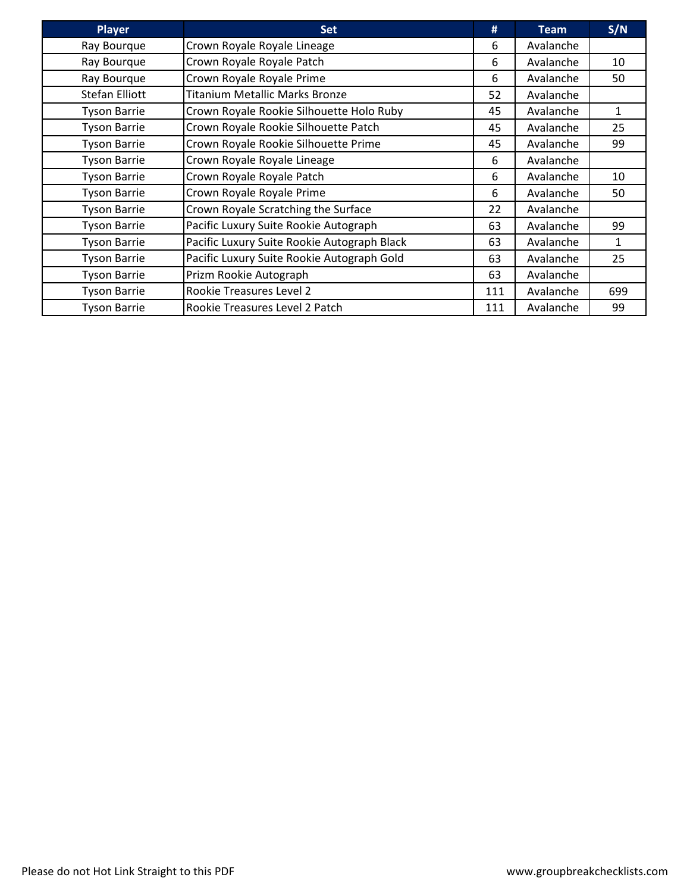| <b>Player</b>       | <b>Set</b>                                  | #   | <b>Team</b> | S/N |
|---------------------|---------------------------------------------|-----|-------------|-----|
| Ray Bourque         | Crown Royale Royale Lineage                 | 6   | Avalanche   |     |
| Ray Bourque         | Crown Royale Royale Patch                   | 6   | Avalanche   | 10  |
| Ray Bourque         | Crown Royale Royale Prime                   | 6   | Avalanche   | 50  |
| Stefan Elliott      | Titanium Metallic Marks Bronze              | 52  | Avalanche   |     |
| <b>Tyson Barrie</b> | Crown Royale Rookie Silhouette Holo Ruby    | 45  | Avalanche   | 1   |
| <b>Tyson Barrie</b> | Crown Royale Rookie Silhouette Patch        | 45  | Avalanche   | 25  |
| <b>Tyson Barrie</b> | Crown Royale Rookie Silhouette Prime        | 45  | Avalanche   | 99  |
| <b>Tyson Barrie</b> | Crown Royale Royale Lineage                 | 6   | Avalanche   |     |
| <b>Tyson Barrie</b> | Crown Royale Royale Patch                   | 6   | Avalanche   | 10  |
| <b>Tyson Barrie</b> | Crown Royale Royale Prime                   | 6   | Avalanche   | 50  |
| <b>Tyson Barrie</b> | Crown Royale Scratching the Surface         | 22  | Avalanche   |     |
| <b>Tyson Barrie</b> | Pacific Luxury Suite Rookie Autograph       | 63  | Avalanche   | 99  |
| <b>Tyson Barrie</b> | Pacific Luxury Suite Rookie Autograph Black | 63  | Avalanche   | 1   |
| <b>Tyson Barrie</b> | Pacific Luxury Suite Rookie Autograph Gold  | 63  | Avalanche   | 25  |
| <b>Tyson Barrie</b> | Prizm Rookie Autograph                      | 63  | Avalanche   |     |
| <b>Tyson Barrie</b> | Rookie Treasures Level 2                    | 111 | Avalanche   | 699 |
| <b>Tyson Barrie</b> | Rookie Treasures Level 2 Patch              | 111 | Avalanche   | 99  |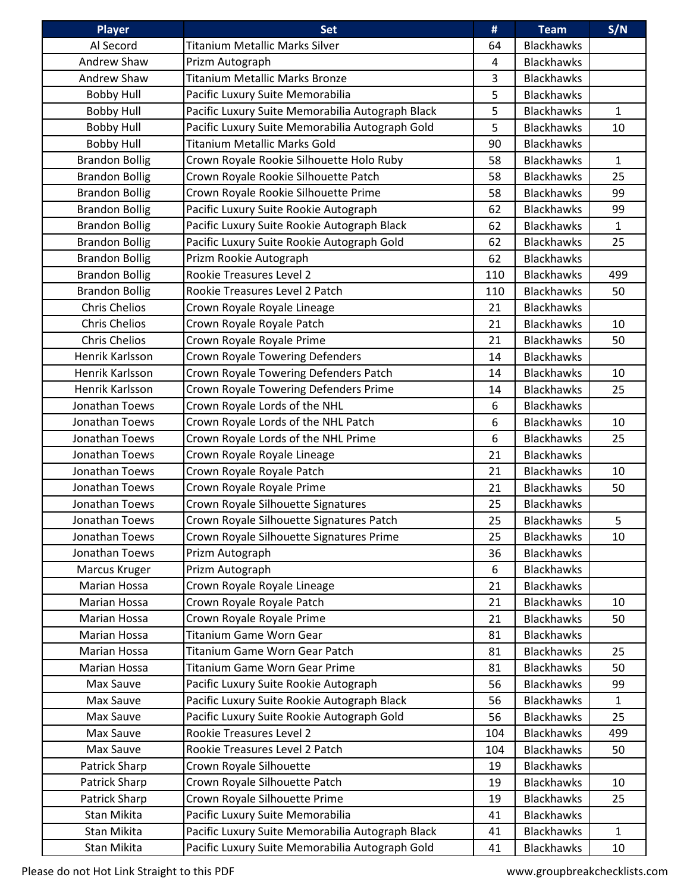| <b>Player</b>         | <b>Set</b>                                       | #   | <b>Team</b>       | S/N          |
|-----------------------|--------------------------------------------------|-----|-------------------|--------------|
| Al Secord             | Titanium Metallic Marks Silver                   | 64  | <b>Blackhawks</b> |              |
| Andrew Shaw           | Prizm Autograph                                  | 4   | <b>Blackhawks</b> |              |
| Andrew Shaw           | <b>Titanium Metallic Marks Bronze</b>            | 3   | <b>Blackhawks</b> |              |
| <b>Bobby Hull</b>     | Pacific Luxury Suite Memorabilia                 | 5   | <b>Blackhawks</b> |              |
| <b>Bobby Hull</b>     | Pacific Luxury Suite Memorabilia Autograph Black | 5   | <b>Blackhawks</b> | 1            |
| <b>Bobby Hull</b>     | Pacific Luxury Suite Memorabilia Autograph Gold  | 5   | <b>Blackhawks</b> | 10           |
| <b>Bobby Hull</b>     | Titanium Metallic Marks Gold                     | 90  | <b>Blackhawks</b> |              |
| <b>Brandon Bollig</b> | Crown Royale Rookie Silhouette Holo Ruby         | 58  | <b>Blackhawks</b> | $\mathbf{1}$ |
| <b>Brandon Bollig</b> | Crown Royale Rookie Silhouette Patch             | 58  | <b>Blackhawks</b> | 25           |
| <b>Brandon Bollig</b> | Crown Royale Rookie Silhouette Prime             | 58  | <b>Blackhawks</b> | 99           |
| <b>Brandon Bollig</b> | Pacific Luxury Suite Rookie Autograph            | 62  | <b>Blackhawks</b> | 99           |
| <b>Brandon Bollig</b> | Pacific Luxury Suite Rookie Autograph Black      | 62  | <b>Blackhawks</b> | $\mathbf{1}$ |
| <b>Brandon Bollig</b> | Pacific Luxury Suite Rookie Autograph Gold       | 62  | <b>Blackhawks</b> | 25           |
| <b>Brandon Bollig</b> | Prizm Rookie Autograph                           | 62  | <b>Blackhawks</b> |              |
| <b>Brandon Bollig</b> | Rookie Treasures Level 2                         | 110 | <b>Blackhawks</b> | 499          |
| <b>Brandon Bollig</b> | Rookie Treasures Level 2 Patch                   | 110 | <b>Blackhawks</b> | 50           |
| <b>Chris Chelios</b>  | Crown Royale Royale Lineage                      | 21  | <b>Blackhawks</b> |              |
| <b>Chris Chelios</b>  | Crown Royale Royale Patch                        | 21  | <b>Blackhawks</b> | 10           |
| <b>Chris Chelios</b>  | Crown Royale Royale Prime                        | 21  | <b>Blackhawks</b> | 50           |
| Henrik Karlsson       | <b>Crown Royale Towering Defenders</b>           | 14  | <b>Blackhawks</b> |              |
| Henrik Karlsson       | Crown Royale Towering Defenders Patch            | 14  | <b>Blackhawks</b> | 10           |
| Henrik Karlsson       | Crown Royale Towering Defenders Prime            | 14  | <b>Blackhawks</b> | 25           |
| Jonathan Toews        | Crown Royale Lords of the NHL                    | 6   | <b>Blackhawks</b> |              |
| Jonathan Toews        | Crown Royale Lords of the NHL Patch              | 6   | <b>Blackhawks</b> | 10           |
| Jonathan Toews        | Crown Royale Lords of the NHL Prime              | 6   | <b>Blackhawks</b> | 25           |
| Jonathan Toews        | Crown Royale Royale Lineage                      | 21  | <b>Blackhawks</b> |              |
| Jonathan Toews        | Crown Royale Royale Patch                        | 21  | <b>Blackhawks</b> | 10           |
| Jonathan Toews        | Crown Royale Royale Prime                        | 21  | <b>Blackhawks</b> | 50           |
| Jonathan Toews        | Crown Royale Silhouette Signatures               | 25  | <b>Blackhawks</b> |              |
| Jonathan Toews        | Crown Royale Silhouette Signatures Patch         | 25  | <b>Blackhawks</b> | 5            |
| Jonathan Toews        | Crown Royale Silhouette Signatures Prime         | 25  | <b>Blackhawks</b> | 10           |
| Jonathan Toews        | Prizm Autograph                                  | 36  | <b>Blackhawks</b> |              |
| Marcus Kruger         | Prizm Autograph                                  | 6   | <b>Blackhawks</b> |              |
| Marian Hossa          | Crown Royale Royale Lineage                      | 21  | <b>Blackhawks</b> |              |
| Marian Hossa          | Crown Royale Royale Patch                        | 21  | <b>Blackhawks</b> | 10           |
| Marian Hossa          | Crown Royale Royale Prime                        | 21  | <b>Blackhawks</b> | 50           |
| Marian Hossa          | <b>Titanium Game Worn Gear</b>                   | 81  | <b>Blackhawks</b> |              |
| Marian Hossa          | Titanium Game Worn Gear Patch                    | 81  | <b>Blackhawks</b> | 25           |
| Marian Hossa          | Titanium Game Worn Gear Prime                    | 81  | <b>Blackhawks</b> | 50           |
| Max Sauve             | Pacific Luxury Suite Rookie Autograph            | 56  | <b>Blackhawks</b> | 99           |
| Max Sauve             | Pacific Luxury Suite Rookie Autograph Black      | 56  | <b>Blackhawks</b> | $\mathbf{1}$ |
| Max Sauve             | Pacific Luxury Suite Rookie Autograph Gold       | 56  | <b>Blackhawks</b> | 25           |
| Max Sauve             | Rookie Treasures Level 2                         | 104 | <b>Blackhawks</b> | 499          |
| Max Sauve             | Rookie Treasures Level 2 Patch                   | 104 | <b>Blackhawks</b> | 50           |
| Patrick Sharp         | Crown Royale Silhouette                          | 19  | <b>Blackhawks</b> |              |
| Patrick Sharp         | Crown Royale Silhouette Patch                    | 19  | <b>Blackhawks</b> | 10           |
| Patrick Sharp         | Crown Royale Silhouette Prime                    | 19  | <b>Blackhawks</b> | 25           |
| Stan Mikita           | Pacific Luxury Suite Memorabilia                 | 41  | <b>Blackhawks</b> |              |
| Stan Mikita           | Pacific Luxury Suite Memorabilia Autograph Black | 41  | <b>Blackhawks</b> | $\mathbf{1}$ |
| Stan Mikita           | Pacific Luxury Suite Memorabilia Autograph Gold  | 41  | <b>Blackhawks</b> | 10           |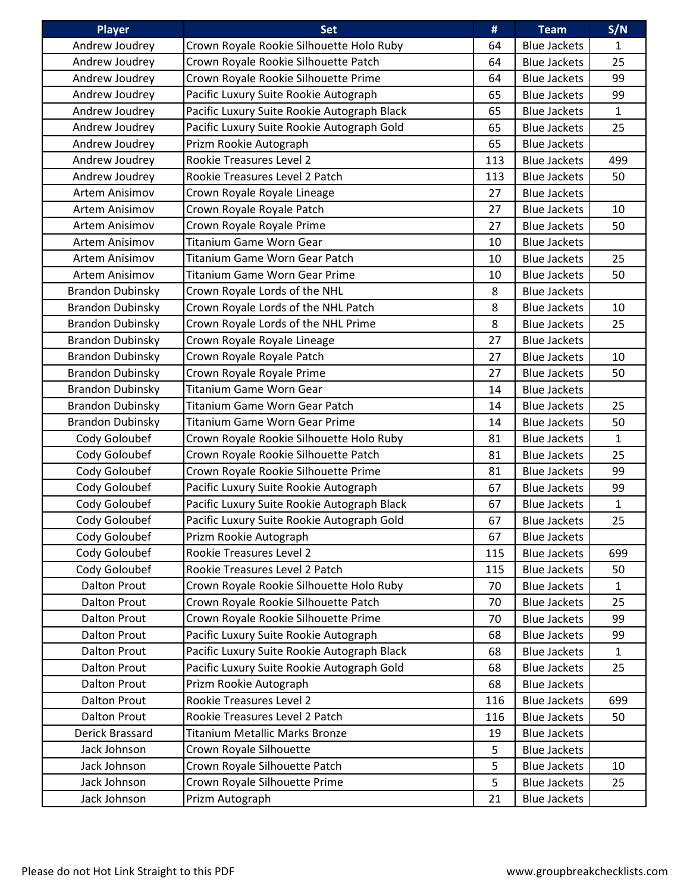| <b>Player</b>           | <b>Set</b>                                  | #   | <b>Team</b>         | S/N          |
|-------------------------|---------------------------------------------|-----|---------------------|--------------|
| Andrew Joudrey          | Crown Royale Rookie Silhouette Holo Ruby    | 64  | <b>Blue Jackets</b> | $\mathbf{1}$ |
| Andrew Joudrey          | Crown Royale Rookie Silhouette Patch        | 64  | <b>Blue Jackets</b> | 25           |
| Andrew Joudrey          | Crown Royale Rookie Silhouette Prime        | 64  | <b>Blue Jackets</b> | 99           |
| Andrew Joudrey          | Pacific Luxury Suite Rookie Autograph       | 65  | <b>Blue Jackets</b> | 99           |
| Andrew Joudrey          | Pacific Luxury Suite Rookie Autograph Black | 65  | <b>Blue Jackets</b> | $\mathbf{1}$ |
| Andrew Joudrey          | Pacific Luxury Suite Rookie Autograph Gold  | 65  | <b>Blue Jackets</b> | 25           |
| Andrew Joudrey          | Prizm Rookie Autograph                      | 65  | <b>Blue Jackets</b> |              |
| Andrew Joudrey          | Rookie Treasures Level 2                    | 113 | <b>Blue Jackets</b> | 499          |
| Andrew Joudrey          | Rookie Treasures Level 2 Patch              | 113 | <b>Blue Jackets</b> | 50           |
| Artem Anisimov          | Crown Royale Royale Lineage                 | 27  | <b>Blue Jackets</b> |              |
| Artem Anisimov          | Crown Royale Royale Patch                   | 27  | <b>Blue Jackets</b> | 10           |
| Artem Anisimov          | Crown Royale Royale Prime                   | 27  | <b>Blue Jackets</b> | 50           |
| Artem Anisimov          | Titanium Game Worn Gear                     | 10  | <b>Blue Jackets</b> |              |
| Artem Anisimov          | Titanium Game Worn Gear Patch               | 10  | <b>Blue Jackets</b> | 25           |
| Artem Anisimov          | <b>Titanium Game Worn Gear Prime</b>        | 10  | <b>Blue Jackets</b> | 50           |
| <b>Brandon Dubinsky</b> | Crown Royale Lords of the NHL               | 8   | <b>Blue Jackets</b> |              |
| <b>Brandon Dubinsky</b> | Crown Royale Lords of the NHL Patch         | 8   | <b>Blue Jackets</b> | 10           |
| <b>Brandon Dubinsky</b> | Crown Royale Lords of the NHL Prime         | 8   | <b>Blue Jackets</b> | 25           |
| <b>Brandon Dubinsky</b> | Crown Royale Royale Lineage                 | 27  | <b>Blue Jackets</b> |              |
| <b>Brandon Dubinsky</b> | Crown Royale Royale Patch                   | 27  | <b>Blue Jackets</b> | 10           |
| <b>Brandon Dubinsky</b> | Crown Royale Royale Prime                   | 27  | <b>Blue Jackets</b> | 50           |
| <b>Brandon Dubinsky</b> | <b>Titanium Game Worn Gear</b>              | 14  | <b>Blue Jackets</b> |              |
| <b>Brandon Dubinsky</b> | Titanium Game Worn Gear Patch               | 14  | <b>Blue Jackets</b> | 25           |
| <b>Brandon Dubinsky</b> | <b>Titanium Game Worn Gear Prime</b>        | 14  | <b>Blue Jackets</b> | 50           |
| Cody Goloubef           | Crown Royale Rookie Silhouette Holo Ruby    | 81  | <b>Blue Jackets</b> | $\mathbf{1}$ |
| Cody Goloubef           | Crown Royale Rookie Silhouette Patch        | 81  | <b>Blue Jackets</b> | 25           |
| Cody Goloubef           | Crown Royale Rookie Silhouette Prime        | 81  | <b>Blue Jackets</b> | 99           |
| Cody Goloubef           | Pacific Luxury Suite Rookie Autograph       | 67  | <b>Blue Jackets</b> | 99           |
| Cody Goloubef           | Pacific Luxury Suite Rookie Autograph Black | 67  | <b>Blue Jackets</b> | $\mathbf{1}$ |
| Cody Goloubef           | Pacific Luxury Suite Rookie Autograph Gold  | 67  | <b>Blue Jackets</b> | 25           |
| Cody Goloubef           | Prizm Rookie Autograph                      | 67  | <b>Blue Jackets</b> |              |
| Cody Goloubef           | Rookie Treasures Level 2                    | 115 | <b>Blue Jackets</b> | 699          |
| Cody Goloubef           | Rookie Treasures Level 2 Patch              | 115 | <b>Blue Jackets</b> | 50           |
| <b>Dalton Prout</b>     | Crown Royale Rookie Silhouette Holo Ruby    | 70  | <b>Blue Jackets</b> | $\mathbf{1}$ |
| <b>Dalton Prout</b>     | Crown Royale Rookie Silhouette Patch        | 70  | <b>Blue Jackets</b> | 25           |
| <b>Dalton Prout</b>     | Crown Royale Rookie Silhouette Prime        | 70  | <b>Blue Jackets</b> | 99           |
| <b>Dalton Prout</b>     | Pacific Luxury Suite Rookie Autograph       | 68  | <b>Blue Jackets</b> | 99           |
| <b>Dalton Prout</b>     | Pacific Luxury Suite Rookie Autograph Black | 68  | <b>Blue Jackets</b> | $\mathbf{1}$ |
| <b>Dalton Prout</b>     | Pacific Luxury Suite Rookie Autograph Gold  | 68  | <b>Blue Jackets</b> | 25           |
| <b>Dalton Prout</b>     | Prizm Rookie Autograph                      | 68  | <b>Blue Jackets</b> |              |
| <b>Dalton Prout</b>     | Rookie Treasures Level 2                    | 116 | <b>Blue Jackets</b> | 699          |
| <b>Dalton Prout</b>     | Rookie Treasures Level 2 Patch              | 116 | <b>Blue Jackets</b> | 50           |
| Derick Brassard         | <b>Titanium Metallic Marks Bronze</b>       | 19  | <b>Blue Jackets</b> |              |
| Jack Johnson            | Crown Royale Silhouette                     | 5   | <b>Blue Jackets</b> |              |
| Jack Johnson            | Crown Royale Silhouette Patch               | 5   | <b>Blue Jackets</b> | 10           |
| Jack Johnson            | Crown Royale Silhouette Prime               | 5   | <b>Blue Jackets</b> | 25           |
| Jack Johnson            | Prizm Autograph                             | 21  | <b>Blue Jackets</b> |              |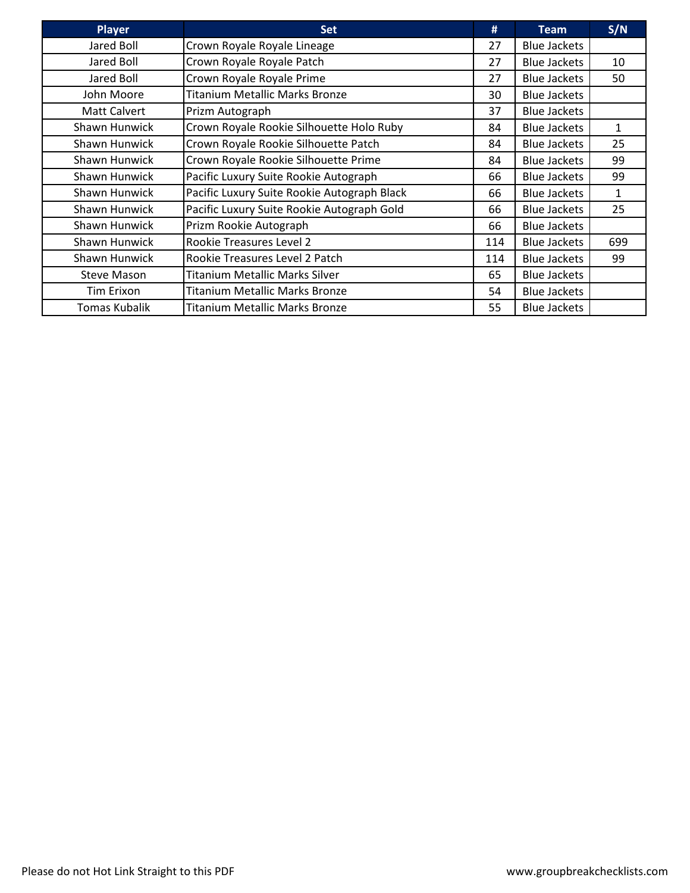| <b>Player</b>        | <b>Set</b>                                  | #   | <b>Team</b>         | S/N |
|----------------------|---------------------------------------------|-----|---------------------|-----|
| Jared Boll           | Crown Royale Royale Lineage                 | 27  | <b>Blue Jackets</b> |     |
| Jared Boll           | Crown Royale Royale Patch                   | 27  | <b>Blue Jackets</b> | 10  |
| Jared Boll           | Crown Royale Royale Prime                   | 27  | <b>Blue Jackets</b> | 50  |
| John Moore           | <b>Titanium Metallic Marks Bronze</b>       | 30  | <b>Blue Jackets</b> |     |
| Matt Calvert         | Prizm Autograph                             | 37  | <b>Blue Jackets</b> |     |
| Shawn Hunwick        | Crown Royale Rookie Silhouette Holo Ruby    | 84  | <b>Blue Jackets</b> | 1   |
| <b>Shawn Hunwick</b> | Crown Royale Rookie Silhouette Patch        | 84  | <b>Blue Jackets</b> | 25  |
| <b>Shawn Hunwick</b> | Crown Royale Rookie Silhouette Prime        | 84  | <b>Blue Jackets</b> | 99  |
| <b>Shawn Hunwick</b> | Pacific Luxury Suite Rookie Autograph       | 66  | <b>Blue Jackets</b> | 99  |
| Shawn Hunwick        | Pacific Luxury Suite Rookie Autograph Black | 66  | <b>Blue Jackets</b> | 1   |
| Shawn Hunwick        | Pacific Luxury Suite Rookie Autograph Gold  | 66  | <b>Blue Jackets</b> | 25  |
| Shawn Hunwick        | Prizm Rookie Autograph                      | 66  | <b>Blue Jackets</b> |     |
| Shawn Hunwick        | Rookie Treasures Level 2                    | 114 | <b>Blue Jackets</b> | 699 |
| Shawn Hunwick        | Rookie Treasures Level 2 Patch              | 114 | <b>Blue Jackets</b> | 99  |
| <b>Steve Mason</b>   | <b>Titanium Metallic Marks Silver</b>       | 65  | <b>Blue Jackets</b> |     |
| Tim Erixon           | <b>Titanium Metallic Marks Bronze</b>       | 54  | <b>Blue Jackets</b> |     |
| <b>Tomas Kubalik</b> | <b>Titanium Metallic Marks Bronze</b>       | 55  | <b>Blue Jackets</b> |     |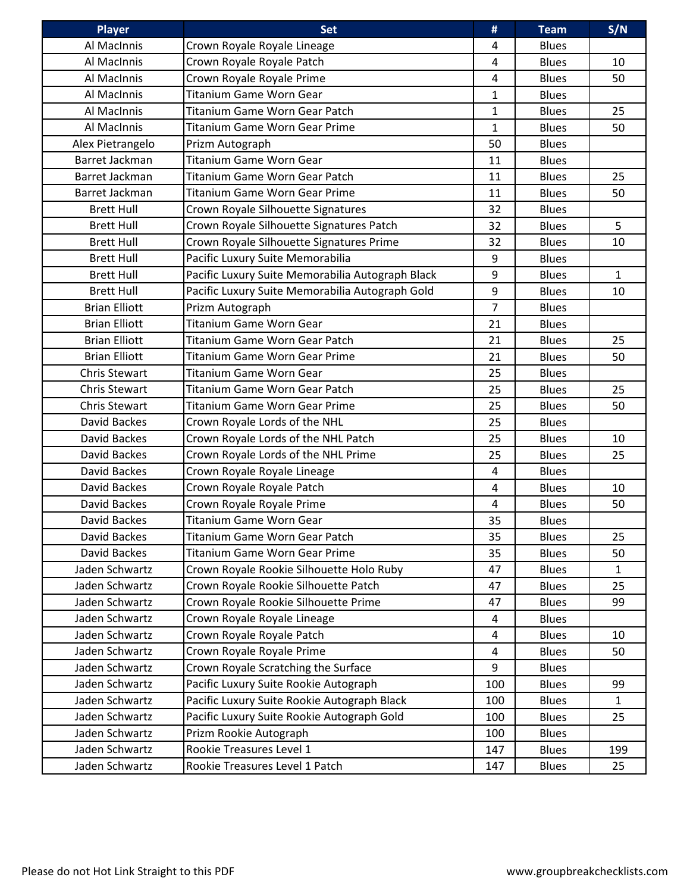| <b>Player</b>        | Set                                              | #              | <b>Team</b>  | S/N          |
|----------------------|--------------------------------------------------|----------------|--------------|--------------|
| Al MacInnis          | Crown Royale Royale Lineage                      | 4              | <b>Blues</b> |              |
| Al MacInnis          | Crown Royale Royale Patch                        | 4              | <b>Blues</b> | 10           |
| Al MacInnis          | Crown Royale Royale Prime                        | $\overline{4}$ | <b>Blues</b> | 50           |
| Al MacInnis          | Titanium Game Worn Gear                          | $\mathbf{1}$   | <b>Blues</b> |              |
| Al MacInnis          | Titanium Game Worn Gear Patch                    | $\mathbf{1}$   | <b>Blues</b> | 25           |
| Al MacInnis          | <b>Titanium Game Worn Gear Prime</b>             | $\mathbf{1}$   | <b>Blues</b> | 50           |
| Alex Pietrangelo     | Prizm Autograph                                  | 50             | <b>Blues</b> |              |
| Barret Jackman       | Titanium Game Worn Gear                          | 11             | <b>Blues</b> |              |
| Barret Jackman       | Titanium Game Worn Gear Patch                    | 11             | <b>Blues</b> | 25           |
| Barret Jackman       | <b>Titanium Game Worn Gear Prime</b>             | 11             | <b>Blues</b> | 50           |
| <b>Brett Hull</b>    | Crown Royale Silhouette Signatures               | 32             | <b>Blues</b> |              |
| <b>Brett Hull</b>    | Crown Royale Silhouette Signatures Patch         | 32             | <b>Blues</b> | 5            |
| <b>Brett Hull</b>    | Crown Royale Silhouette Signatures Prime         | 32             | <b>Blues</b> | 10           |
| <b>Brett Hull</b>    | Pacific Luxury Suite Memorabilia                 | 9              | <b>Blues</b> |              |
| <b>Brett Hull</b>    | Pacific Luxury Suite Memorabilia Autograph Black | 9              | <b>Blues</b> | $\mathbf{1}$ |
| <b>Brett Hull</b>    | Pacific Luxury Suite Memorabilia Autograph Gold  | 9              | <b>Blues</b> | 10           |
| <b>Brian Elliott</b> | Prizm Autograph                                  | $\overline{7}$ | <b>Blues</b> |              |
| <b>Brian Elliott</b> | Titanium Game Worn Gear                          | 21             | <b>Blues</b> |              |
| <b>Brian Elliott</b> | Titanium Game Worn Gear Patch                    | 21             | <b>Blues</b> | 25           |
| <b>Brian Elliott</b> | Titanium Game Worn Gear Prime                    | 21             | <b>Blues</b> | 50           |
| <b>Chris Stewart</b> | Titanium Game Worn Gear                          | 25             | <b>Blues</b> |              |
| <b>Chris Stewart</b> | Titanium Game Worn Gear Patch                    | 25             | <b>Blues</b> | 25           |
| <b>Chris Stewart</b> | <b>Titanium Game Worn Gear Prime</b>             | 25             | <b>Blues</b> | 50           |
| David Backes         | Crown Royale Lords of the NHL                    | 25             | <b>Blues</b> |              |
| David Backes         | Crown Royale Lords of the NHL Patch              | 25             | <b>Blues</b> | 10           |
| David Backes         | Crown Royale Lords of the NHL Prime              | 25             | <b>Blues</b> | 25           |
| David Backes         | Crown Royale Royale Lineage                      | $\overline{4}$ | <b>Blues</b> |              |
| David Backes         | Crown Royale Royale Patch                        | $\overline{4}$ | <b>Blues</b> | 10           |
| David Backes         | Crown Royale Royale Prime                        | 4              | <b>Blues</b> | 50           |
| David Backes         | <b>Titanium Game Worn Gear</b>                   | 35             | <b>Blues</b> |              |
| David Backes         | Titanium Game Worn Gear Patch                    | 35             | <b>Blues</b> | 25           |
| David Backes         | <b>Titanium Game Worn Gear Prime</b>             | 35             | <b>Blues</b> | 50           |
| Jaden Schwartz       | Crown Royale Rookie Silhouette Holo Ruby         | 47             | <b>Blues</b> | $\mathbf{1}$ |
| Jaden Schwartz       | Crown Royale Rookie Silhouette Patch             | 47             | <b>Blues</b> | 25           |
| Jaden Schwartz       | Crown Royale Rookie Silhouette Prime             | 47             | <b>Blues</b> | 99           |
| Jaden Schwartz       | Crown Royale Royale Lineage                      | 4              | <b>Blues</b> |              |
| Jaden Schwartz       | Crown Royale Royale Patch                        | 4              | <b>Blues</b> | 10           |
| Jaden Schwartz       | Crown Royale Royale Prime                        | 4              | <b>Blues</b> | 50           |
| Jaden Schwartz       | Crown Royale Scratching the Surface              | 9              | <b>Blues</b> |              |
| Jaden Schwartz       | Pacific Luxury Suite Rookie Autograph            | 100            | <b>Blues</b> | 99           |
| Jaden Schwartz       | Pacific Luxury Suite Rookie Autograph Black      | 100            | <b>Blues</b> | $\mathbf{1}$ |
| Jaden Schwartz       | Pacific Luxury Suite Rookie Autograph Gold       | 100            | <b>Blues</b> | 25           |
| Jaden Schwartz       | Prizm Rookie Autograph                           | 100            | <b>Blues</b> |              |
| Jaden Schwartz       | Rookie Treasures Level 1                         | 147            | <b>Blues</b> | 199          |
| Jaden Schwartz       | Rookie Treasures Level 1 Patch                   | 147            | <b>Blues</b> | 25           |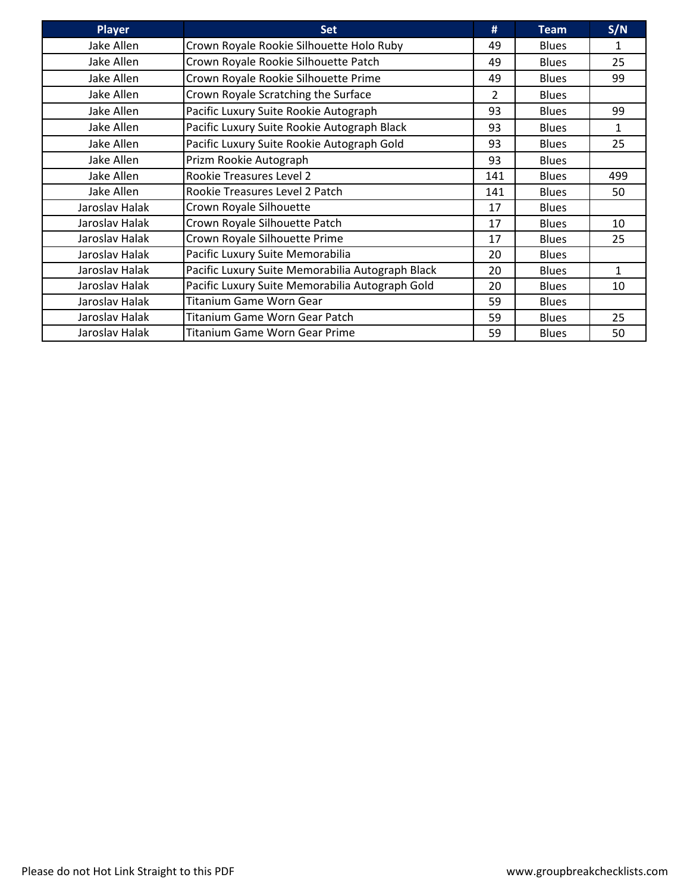| <b>Player</b>  | <b>Set</b>                                       | #   | <b>Team</b>  | S/N |
|----------------|--------------------------------------------------|-----|--------------|-----|
| Jake Allen     | Crown Royale Rookie Silhouette Holo Ruby         | 49  | <b>Blues</b> | 1   |
| Jake Allen     | Crown Royale Rookie Silhouette Patch             | 49  | <b>Blues</b> | 25  |
| Jake Allen     | Crown Royale Rookie Silhouette Prime             | 49  | <b>Blues</b> | 99  |
| Jake Allen     | Crown Royale Scratching the Surface              | 2   | <b>Blues</b> |     |
| Jake Allen     | Pacific Luxury Suite Rookie Autograph            | 93  | <b>Blues</b> | 99  |
| Jake Allen     | Pacific Luxury Suite Rookie Autograph Black      | 93  | <b>Blues</b> | 1   |
| Jake Allen     | Pacific Luxury Suite Rookie Autograph Gold       | 93  | <b>Blues</b> | 25  |
| Jake Allen     | Prizm Rookie Autograph                           | 93  | <b>Blues</b> |     |
| Jake Allen     | <b>Rookie Treasures Level 2</b>                  | 141 | <b>Blues</b> | 499 |
| Jake Allen     | Rookie Treasures Level 2 Patch                   | 141 | <b>Blues</b> | 50  |
| Jaroslav Halak | Crown Royale Silhouette                          | 17  | <b>Blues</b> |     |
| Jaroslav Halak | Crown Royale Silhouette Patch                    | 17  | <b>Blues</b> | 10  |
| Jaroslav Halak | Crown Royale Silhouette Prime                    | 17  | <b>Blues</b> | 25  |
| Jaroslav Halak | Pacific Luxury Suite Memorabilia                 | 20  | <b>Blues</b> |     |
| Jaroslav Halak | Pacific Luxury Suite Memorabilia Autograph Black | 20  | <b>Blues</b> | 1   |
| Jaroslav Halak | Pacific Luxury Suite Memorabilia Autograph Gold  | 20  | <b>Blues</b> | 10  |
| Jaroslav Halak | <b>Titanium Game Worn Gear</b>                   | 59  | <b>Blues</b> |     |
| Jaroslav Halak | Titanium Game Worn Gear Patch                    | 59  | <b>Blues</b> | 25  |
| Jaroslav Halak | <b>Titanium Game Worn Gear Prime</b>             | 59  | <b>Blues</b> | 50  |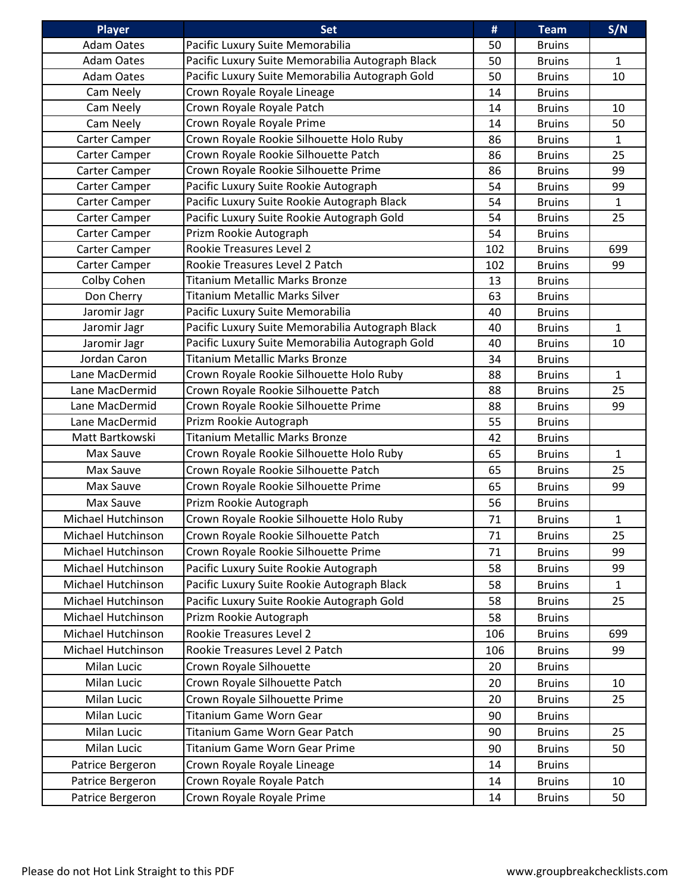| Player             | <b>Set</b>                                       | #   | <b>Team</b>   | S/N          |
|--------------------|--------------------------------------------------|-----|---------------|--------------|
| <b>Adam Oates</b>  | Pacific Luxury Suite Memorabilia                 | 50  | <b>Bruins</b> |              |
| <b>Adam Oates</b>  | Pacific Luxury Suite Memorabilia Autograph Black | 50  | <b>Bruins</b> | $\mathbf{1}$ |
| <b>Adam Oates</b>  | Pacific Luxury Suite Memorabilia Autograph Gold  | 50  | <b>Bruins</b> | 10           |
| Cam Neely          | Crown Royale Royale Lineage                      | 14  | <b>Bruins</b> |              |
| Cam Neely          | Crown Royale Royale Patch                        | 14  | <b>Bruins</b> | 10           |
| Cam Neely          | Crown Royale Royale Prime                        | 14  | <b>Bruins</b> | 50           |
| Carter Camper      | Crown Royale Rookie Silhouette Holo Ruby         | 86  | <b>Bruins</b> | $\mathbf{1}$ |
| Carter Camper      | Crown Royale Rookie Silhouette Patch             | 86  | <b>Bruins</b> | 25           |
| Carter Camper      | Crown Royale Rookie Silhouette Prime             | 86  | <b>Bruins</b> | 99           |
| Carter Camper      | Pacific Luxury Suite Rookie Autograph            | 54  | <b>Bruins</b> | 99           |
| Carter Camper      | Pacific Luxury Suite Rookie Autograph Black      | 54  | <b>Bruins</b> | $\mathbf{1}$ |
| Carter Camper      | Pacific Luxury Suite Rookie Autograph Gold       | 54  | <b>Bruins</b> | 25           |
| Carter Camper      | Prizm Rookie Autograph                           | 54  | <b>Bruins</b> |              |
| Carter Camper      | Rookie Treasures Level 2                         | 102 | <b>Bruins</b> | 699          |
| Carter Camper      | Rookie Treasures Level 2 Patch                   | 102 | <b>Bruins</b> | 99           |
| Colby Cohen        | <b>Titanium Metallic Marks Bronze</b>            | 13  | <b>Bruins</b> |              |
| Don Cherry         | <b>Titanium Metallic Marks Silver</b>            | 63  | <b>Bruins</b> |              |
| Jaromir Jagr       | Pacific Luxury Suite Memorabilia                 | 40  | <b>Bruins</b> |              |
| Jaromir Jagr       | Pacific Luxury Suite Memorabilia Autograph Black | 40  | <b>Bruins</b> | 1            |
| Jaromir Jagr       | Pacific Luxury Suite Memorabilia Autograph Gold  | 40  | <b>Bruins</b> | 10           |
| Jordan Caron       | <b>Titanium Metallic Marks Bronze</b>            | 34  | <b>Bruins</b> |              |
| Lane MacDermid     | Crown Royale Rookie Silhouette Holo Ruby         | 88  | <b>Bruins</b> | $\mathbf{1}$ |
| Lane MacDermid     | Crown Royale Rookie Silhouette Patch             | 88  | <b>Bruins</b> | 25           |
| Lane MacDermid     | Crown Royale Rookie Silhouette Prime             | 88  | <b>Bruins</b> | 99           |
| Lane MacDermid     | Prizm Rookie Autograph                           | 55  | <b>Bruins</b> |              |
| Matt Bartkowski    | <b>Titanium Metallic Marks Bronze</b>            | 42  | <b>Bruins</b> |              |
| Max Sauve          | Crown Royale Rookie Silhouette Holo Ruby         | 65  | <b>Bruins</b> | 1            |
| Max Sauve          | Crown Royale Rookie Silhouette Patch             | 65  | <b>Bruins</b> | 25           |
| Max Sauve          | Crown Royale Rookie Silhouette Prime             | 65  | <b>Bruins</b> | 99           |
| Max Sauve          | Prizm Rookie Autograph                           | 56  | <b>Bruins</b> |              |
| Michael Hutchinson | Crown Royale Rookie Silhouette Holo Ruby         | 71  | <b>Bruins</b> | $\mathbf{1}$ |
| Michael Hutchinson | Crown Royale Rookie Silhouette Patch             | 71  | <b>Bruins</b> | 25           |
| Michael Hutchinson | Crown Royale Rookie Silhouette Prime             | 71  | <b>Bruins</b> | 99           |
| Michael Hutchinson | Pacific Luxury Suite Rookie Autograph            | 58  | <b>Bruins</b> | 99           |
| Michael Hutchinson | Pacific Luxury Suite Rookie Autograph Black      | 58  | <b>Bruins</b> | $\mathbf{1}$ |
| Michael Hutchinson | Pacific Luxury Suite Rookie Autograph Gold       | 58  | <b>Bruins</b> | 25           |
| Michael Hutchinson | Prizm Rookie Autograph                           | 58  | <b>Bruins</b> |              |
| Michael Hutchinson | Rookie Treasures Level 2                         | 106 | <b>Bruins</b> | 699          |
| Michael Hutchinson | Rookie Treasures Level 2 Patch                   | 106 | <b>Bruins</b> | 99           |
| Milan Lucic        | Crown Royale Silhouette                          | 20  | <b>Bruins</b> |              |
| Milan Lucic        | Crown Royale Silhouette Patch                    | 20  | <b>Bruins</b> | 10           |
| Milan Lucic        | Crown Royale Silhouette Prime                    | 20  | <b>Bruins</b> | 25           |
| Milan Lucic        | Titanium Game Worn Gear                          | 90  | <b>Bruins</b> |              |
| Milan Lucic        | Titanium Game Worn Gear Patch                    | 90  | <b>Bruins</b> | 25           |
| Milan Lucic        | Titanium Game Worn Gear Prime                    | 90  | <b>Bruins</b> | 50           |
| Patrice Bergeron   | Crown Royale Royale Lineage                      | 14  | <b>Bruins</b> |              |
| Patrice Bergeron   | Crown Royale Royale Patch                        | 14  | <b>Bruins</b> | 10           |
| Patrice Bergeron   | Crown Royale Royale Prime                        | 14  |               | 50           |
|                    |                                                  |     | <b>Bruins</b> |              |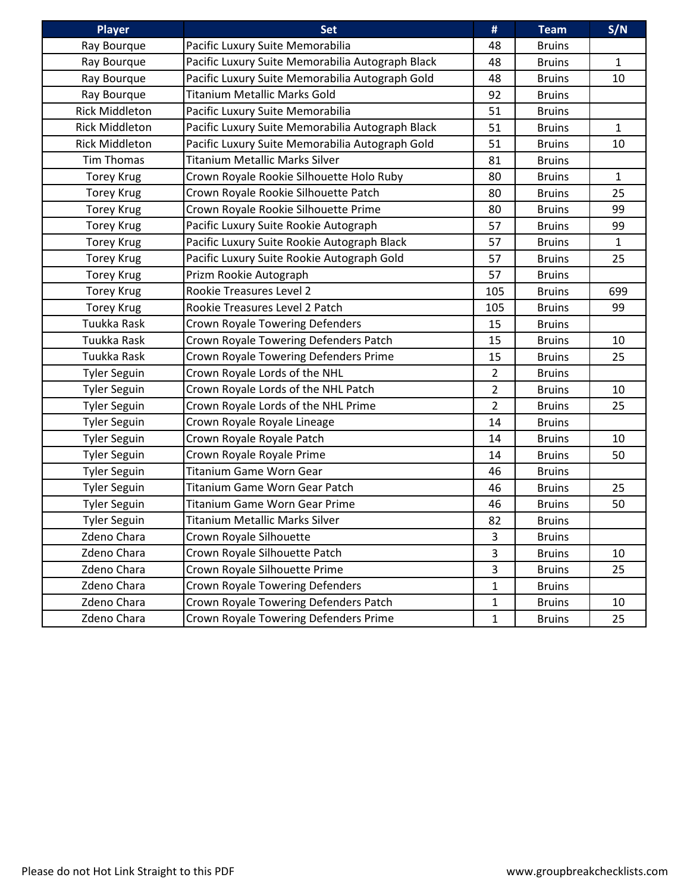| <b>Player</b>         | <b>Set</b>                                       | #              | <b>Team</b>   | S/N          |
|-----------------------|--------------------------------------------------|----------------|---------------|--------------|
| Ray Bourque           | Pacific Luxury Suite Memorabilia                 | 48             | <b>Bruins</b> |              |
| Ray Bourque           | Pacific Luxury Suite Memorabilia Autograph Black | 48             | <b>Bruins</b> | $\mathbf{1}$ |
| Ray Bourque           | Pacific Luxury Suite Memorabilia Autograph Gold  | 48             | <b>Bruins</b> | 10           |
| Ray Bourque           | Titanium Metallic Marks Gold                     | 92             | <b>Bruins</b> |              |
| <b>Rick Middleton</b> | Pacific Luxury Suite Memorabilia                 | 51             | <b>Bruins</b> |              |
| <b>Rick Middleton</b> | Pacific Luxury Suite Memorabilia Autograph Black | 51             | <b>Bruins</b> | $\mathbf{1}$ |
| <b>Rick Middleton</b> | Pacific Luxury Suite Memorabilia Autograph Gold  | 51             | <b>Bruins</b> | 10           |
| Tim Thomas            | <b>Titanium Metallic Marks Silver</b>            | 81             | <b>Bruins</b> |              |
| <b>Torey Krug</b>     | Crown Royale Rookie Silhouette Holo Ruby         | 80             | <b>Bruins</b> | $\mathbf{1}$ |
| <b>Torey Krug</b>     | Crown Royale Rookie Silhouette Patch             | 80             | <b>Bruins</b> | 25           |
| <b>Torey Krug</b>     | Crown Royale Rookie Silhouette Prime             | 80             | <b>Bruins</b> | 99           |
| <b>Torey Krug</b>     | Pacific Luxury Suite Rookie Autograph            | 57             | <b>Bruins</b> | 99           |
| <b>Torey Krug</b>     | Pacific Luxury Suite Rookie Autograph Black      | 57             | <b>Bruins</b> | $\mathbf{1}$ |
| <b>Torey Krug</b>     | Pacific Luxury Suite Rookie Autograph Gold       | 57             | <b>Bruins</b> | 25           |
| <b>Torey Krug</b>     | Prizm Rookie Autograph                           | 57             | <b>Bruins</b> |              |
| <b>Torey Krug</b>     | Rookie Treasures Level 2                         | 105            | <b>Bruins</b> | 699          |
| <b>Torey Krug</b>     | Rookie Treasures Level 2 Patch                   | 105            | <b>Bruins</b> | 99           |
| Tuukka Rask           | <b>Crown Royale Towering Defenders</b>           | 15             | <b>Bruins</b> |              |
| Tuukka Rask           | Crown Royale Towering Defenders Patch            | 15             | <b>Bruins</b> | 10           |
| Tuukka Rask           | Crown Royale Towering Defenders Prime            | 15             | <b>Bruins</b> | 25           |
| <b>Tyler Seguin</b>   | Crown Royale Lords of the NHL                    | $\overline{2}$ | <b>Bruins</b> |              |
| <b>Tyler Seguin</b>   | Crown Royale Lords of the NHL Patch              | $\overline{2}$ | <b>Bruins</b> | 10           |
| <b>Tyler Seguin</b>   | Crown Royale Lords of the NHL Prime              | 2              | <b>Bruins</b> | 25           |
| <b>Tyler Seguin</b>   | Crown Royale Royale Lineage                      | 14             | <b>Bruins</b> |              |
| <b>Tyler Seguin</b>   | Crown Royale Royale Patch                        | 14             | <b>Bruins</b> | 10           |
| <b>Tyler Seguin</b>   | Crown Royale Royale Prime                        | 14             | <b>Bruins</b> | 50           |
| <b>Tyler Seguin</b>   | <b>Titanium Game Worn Gear</b>                   | 46             | <b>Bruins</b> |              |
| <b>Tyler Seguin</b>   | Titanium Game Worn Gear Patch                    | 46             | <b>Bruins</b> | 25           |
| <b>Tyler Seguin</b>   | <b>Titanium Game Worn Gear Prime</b>             | 46             | <b>Bruins</b> | 50           |
| <b>Tyler Seguin</b>   | <b>Titanium Metallic Marks Silver</b>            | 82             | Bruins        |              |
| Zdeno Chara           | Crown Royale Silhouette                          | 3              | <b>Bruins</b> |              |
| Zdeno Chara           | Crown Royale Silhouette Patch                    | 3              | <b>Bruins</b> | 10           |
| Zdeno Chara           | Crown Royale Silhouette Prime                    | 3              | <b>Bruins</b> | 25           |
| Zdeno Chara           | Crown Royale Towering Defenders                  | $\mathbf{1}$   | <b>Bruins</b> |              |
| Zdeno Chara           | Crown Royale Towering Defenders Patch            | 1              | <b>Bruins</b> | 10           |
| Zdeno Chara           | Crown Royale Towering Defenders Prime            | $\mathbf{1}$   | <b>Bruins</b> | 25           |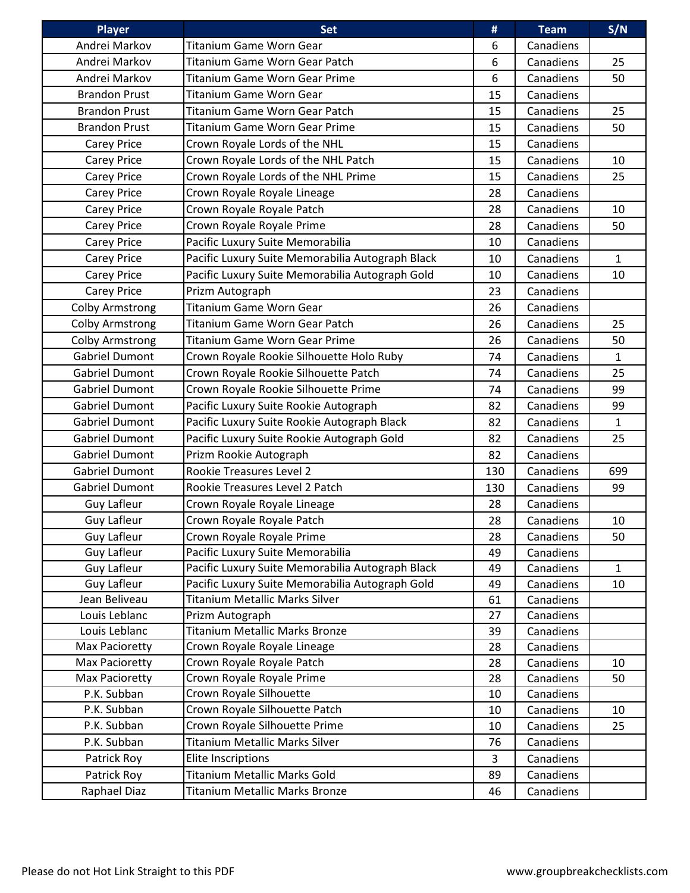| <b>Player</b>          | <b>Set</b>                                       | #   | <b>Team</b> | S/N          |
|------------------------|--------------------------------------------------|-----|-------------|--------------|
| Andrei Markov          | Titanium Game Worn Gear                          | 6   | Canadiens   |              |
| Andrei Markov          | Titanium Game Worn Gear Patch                    | 6   | Canadiens   | 25           |
| Andrei Markov          | Titanium Game Worn Gear Prime                    | 6   | Canadiens   | 50           |
| <b>Brandon Prust</b>   | <b>Titanium Game Worn Gear</b>                   | 15  | Canadiens   |              |
| <b>Brandon Prust</b>   | Titanium Game Worn Gear Patch                    | 15  | Canadiens   | 25           |
| <b>Brandon Prust</b>   | <b>Titanium Game Worn Gear Prime</b>             | 15  | Canadiens   | 50           |
| <b>Carey Price</b>     | Crown Royale Lords of the NHL                    | 15  | Canadiens   |              |
| <b>Carey Price</b>     | Crown Royale Lords of the NHL Patch              | 15  | Canadiens   | 10           |
| Carey Price            | Crown Royale Lords of the NHL Prime              | 15  | Canadiens   | 25           |
| Carey Price            | Crown Royale Royale Lineage                      | 28  | Canadiens   |              |
| Carey Price            | Crown Royale Royale Patch                        | 28  | Canadiens   | 10           |
| Carey Price            | Crown Royale Royale Prime                        | 28  | Canadiens   | 50           |
| Carey Price            | Pacific Luxury Suite Memorabilia                 | 10  | Canadiens   |              |
| Carey Price            | Pacific Luxury Suite Memorabilia Autograph Black | 10  | Canadiens   | $\mathbf{1}$ |
| Carey Price            | Pacific Luxury Suite Memorabilia Autograph Gold  | 10  | Canadiens   | 10           |
| <b>Carey Price</b>     | Prizm Autograph                                  | 23  | Canadiens   |              |
| <b>Colby Armstrong</b> | <b>Titanium Game Worn Gear</b>                   | 26  | Canadiens   |              |
| <b>Colby Armstrong</b> | Titanium Game Worn Gear Patch                    | 26  | Canadiens   | 25           |
| <b>Colby Armstrong</b> | <b>Titanium Game Worn Gear Prime</b>             | 26  | Canadiens   | 50           |
| <b>Gabriel Dumont</b>  | Crown Royale Rookie Silhouette Holo Ruby         | 74  | Canadiens   | $\mathbf{1}$ |
| <b>Gabriel Dumont</b>  | Crown Royale Rookie Silhouette Patch             | 74  | Canadiens   | 25           |
| <b>Gabriel Dumont</b>  | Crown Royale Rookie Silhouette Prime             | 74  | Canadiens   | 99           |
| <b>Gabriel Dumont</b>  | Pacific Luxury Suite Rookie Autograph            | 82  | Canadiens   | 99           |
| <b>Gabriel Dumont</b>  | Pacific Luxury Suite Rookie Autograph Black      | 82  | Canadiens   | $\mathbf{1}$ |
| <b>Gabriel Dumont</b>  | Pacific Luxury Suite Rookie Autograph Gold       | 82  | Canadiens   | 25           |
| <b>Gabriel Dumont</b>  | Prizm Rookie Autograph                           | 82  | Canadiens   |              |
| <b>Gabriel Dumont</b>  | Rookie Treasures Level 2                         | 130 | Canadiens   | 699          |
| <b>Gabriel Dumont</b>  | Rookie Treasures Level 2 Patch                   | 130 | Canadiens   | 99           |
| Guy Lafleur            | Crown Royale Royale Lineage                      | 28  | Canadiens   |              |
| <b>Guy Lafleur</b>     | Crown Royale Royale Patch                        | 28  | Canadiens   | 10           |
| Guy Lafleur            | Crown Royale Royale Prime                        | 28  | Canadiens   | 50           |
| Guy Lafleur            | Pacific Luxury Suite Memorabilia                 | 49  | Canadiens   |              |
| Guy Lafleur            | Pacific Luxury Suite Memorabilia Autograph Black | 49  | Canadiens   | $\mathbf{1}$ |
| Guy Lafleur            | Pacific Luxury Suite Memorabilia Autograph Gold  | 49  | Canadiens   | 10           |
| Jean Beliveau          | <b>Titanium Metallic Marks Silver</b>            | 61  | Canadiens   |              |
| Louis Leblanc          | Prizm Autograph                                  | 27  | Canadiens   |              |
| Louis Leblanc          | <b>Titanium Metallic Marks Bronze</b>            | 39  | Canadiens   |              |
| Max Pacioretty         | Crown Royale Royale Lineage                      | 28  | Canadiens   |              |
| Max Pacioretty         | Crown Royale Royale Patch                        | 28  | Canadiens   | 10           |
| Max Pacioretty         | Crown Royale Royale Prime                        | 28  | Canadiens   | 50           |
| P.K. Subban            | Crown Royale Silhouette                          | 10  | Canadiens   |              |
| P.K. Subban            | Crown Royale Silhouette Patch                    | 10  | Canadiens   | 10           |
| P.K. Subban            | Crown Royale Silhouette Prime                    | 10  | Canadiens   | 25           |
| P.K. Subban            | <b>Titanium Metallic Marks Silver</b>            | 76  | Canadiens   |              |
| Patrick Roy            | Elite Inscriptions                               | 3   | Canadiens   |              |
| Patrick Roy            | <b>Titanium Metallic Marks Gold</b>              | 89  | Canadiens   |              |
| Raphael Diaz           | <b>Titanium Metallic Marks Bronze</b>            | 46  | Canadiens   |              |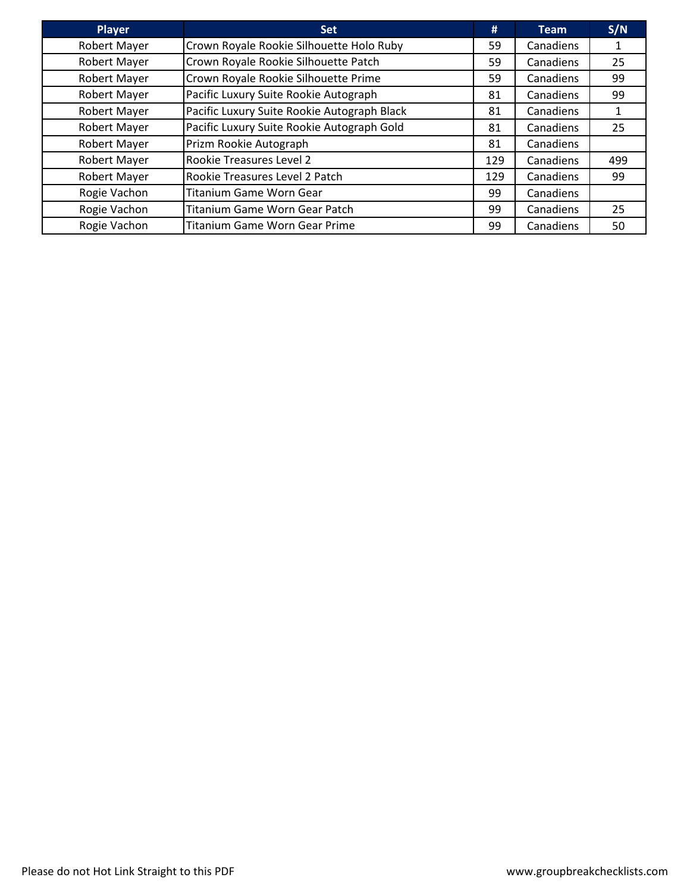| <b>Player</b>       | <b>Set</b>                                  | #   | <b>Team</b> | S/N |
|---------------------|---------------------------------------------|-----|-------------|-----|
| <b>Robert Mayer</b> | Crown Royale Rookie Silhouette Holo Ruby    | 59  | Canadiens   | 1   |
| <b>Robert Mayer</b> | Crown Royale Rookie Silhouette Patch        | 59  | Canadiens   | 25  |
| <b>Robert Mayer</b> | Crown Royale Rookie Silhouette Prime        | 59  | Canadiens   | 99  |
| Robert Mayer        | Pacific Luxury Suite Rookie Autograph       | 81  | Canadiens   | 99  |
| Robert Mayer        | Pacific Luxury Suite Rookie Autograph Black | 81  | Canadiens   | 1   |
| <b>Robert Mayer</b> | Pacific Luxury Suite Rookie Autograph Gold  | 81  | Canadiens   | 25  |
| Robert Mayer        | Prizm Rookie Autograph                      | 81  | Canadiens   |     |
| <b>Robert Mayer</b> | <b>Rookie Treasures Level 2</b>             | 129 | Canadiens   | 499 |
| <b>Robert Mayer</b> | Rookie Treasures Level 2 Patch              | 129 | Canadiens   | 99  |
| Rogie Vachon        | <b>Titanium Game Worn Gear</b>              | 99  | Canadiens   |     |
| Rogie Vachon        | Titanium Game Worn Gear Patch               | 99  | Canadiens   | 25  |
| Rogie Vachon        | <b>Titanium Game Worn Gear Prime</b>        | 99  | Canadiens   | 50  |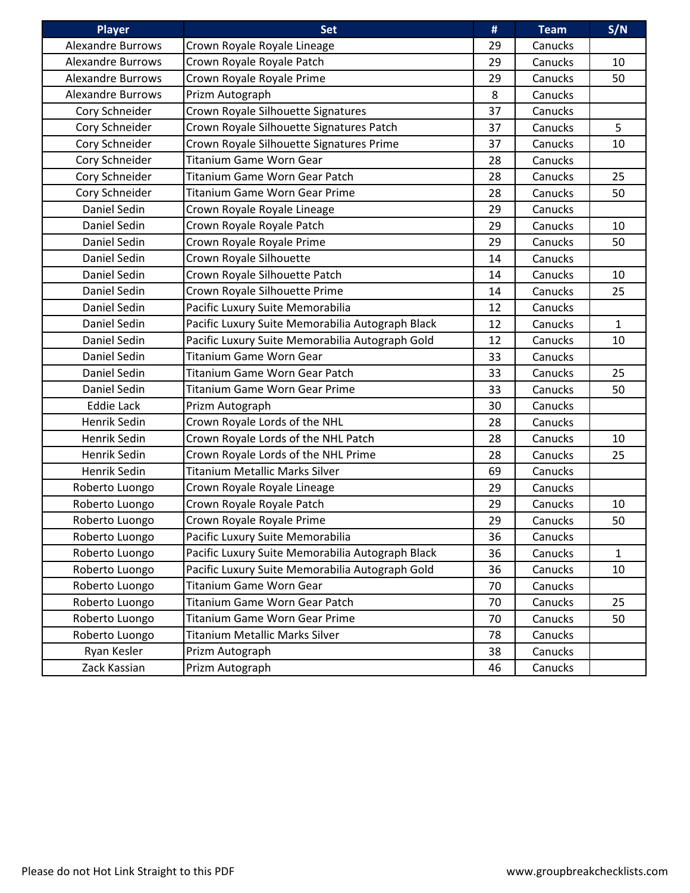| <b>Player</b>            | <b>Set</b>                                       | #  | <b>Team</b> | S/N          |
|--------------------------|--------------------------------------------------|----|-------------|--------------|
| <b>Alexandre Burrows</b> | Crown Royale Royale Lineage                      | 29 | Canucks     |              |
| <b>Alexandre Burrows</b> | Crown Royale Royale Patch                        | 29 | Canucks     | 10           |
| <b>Alexandre Burrows</b> | Crown Royale Royale Prime                        | 29 | Canucks     | 50           |
| <b>Alexandre Burrows</b> | Prizm Autograph                                  | 8  | Canucks     |              |
| Cory Schneider           | Crown Royale Silhouette Signatures               | 37 | Canucks     |              |
| Cory Schneider           | Crown Royale Silhouette Signatures Patch         | 37 | Canucks     | 5            |
| Cory Schneider           | Crown Royale Silhouette Signatures Prime         | 37 | Canucks     | 10           |
| Cory Schneider           | Titanium Game Worn Gear                          | 28 | Canucks     |              |
| Cory Schneider           | Titanium Game Worn Gear Patch                    | 28 | Canucks     | 25           |
| Cory Schneider           | <b>Titanium Game Worn Gear Prime</b>             | 28 | Canucks     | 50           |
| Daniel Sedin             | Crown Royale Royale Lineage                      | 29 | Canucks     |              |
| Daniel Sedin             | Crown Royale Royale Patch                        | 29 | Canucks     | 10           |
| Daniel Sedin             | Crown Royale Royale Prime                        | 29 | Canucks     | 50           |
| Daniel Sedin             | Crown Royale Silhouette                          | 14 | Canucks     |              |
| Daniel Sedin             | Crown Royale Silhouette Patch                    | 14 | Canucks     | 10           |
| Daniel Sedin             | Crown Royale Silhouette Prime                    | 14 | Canucks     | 25           |
| Daniel Sedin             | Pacific Luxury Suite Memorabilia                 | 12 | Canucks     |              |
| Daniel Sedin             | Pacific Luxury Suite Memorabilia Autograph Black | 12 | Canucks     | $\mathbf{1}$ |
| Daniel Sedin             | Pacific Luxury Suite Memorabilia Autograph Gold  | 12 | Canucks     | 10           |
| Daniel Sedin             | <b>Titanium Game Worn Gear</b>                   | 33 | Canucks     |              |
| Daniel Sedin             | Titanium Game Worn Gear Patch                    | 33 | Canucks     | 25           |
| Daniel Sedin             | Titanium Game Worn Gear Prime                    | 33 | Canucks     | 50           |
| <b>Eddie Lack</b>        | Prizm Autograph                                  | 30 | Canucks     |              |
| Henrik Sedin             | Crown Royale Lords of the NHL                    | 28 | Canucks     |              |
| Henrik Sedin             | Crown Royale Lords of the NHL Patch              | 28 | Canucks     | 10           |
| Henrik Sedin             | Crown Royale Lords of the NHL Prime              | 28 | Canucks     | 25           |
| Henrik Sedin             | <b>Titanium Metallic Marks Silver</b>            | 69 | Canucks     |              |
| Roberto Luongo           | Crown Royale Royale Lineage                      | 29 | Canucks     |              |
| Roberto Luongo           | Crown Royale Royale Patch                        | 29 | Canucks     | 10           |
| Roberto Luongo           | Crown Royale Royale Prime                        | 29 | Canucks     | 50           |
| Roberto Luongo           | Pacific Luxury Suite Memorabilia                 | 36 | Canucks     |              |
| Roberto Luongo           | Pacific Luxury Suite Memorabilia Autograph Black | 36 | Canucks     | $\mathbf{1}$ |
| Roberto Luongo           | Pacific Luxury Suite Memorabilia Autograph Gold  | 36 | Canucks     | 10           |
| Roberto Luongo           | Titanium Game Worn Gear                          | 70 | Canucks     |              |
| Roberto Luongo           | Titanium Game Worn Gear Patch                    | 70 | Canucks     | 25           |
| Roberto Luongo           | Titanium Game Worn Gear Prime                    | 70 | Canucks     | 50           |
| Roberto Luongo           | <b>Titanium Metallic Marks Silver</b>            | 78 | Canucks     |              |
| Ryan Kesler              | Prizm Autograph                                  | 38 | Canucks     |              |
| Zack Kassian             | Prizm Autograph                                  | 46 | Canucks     |              |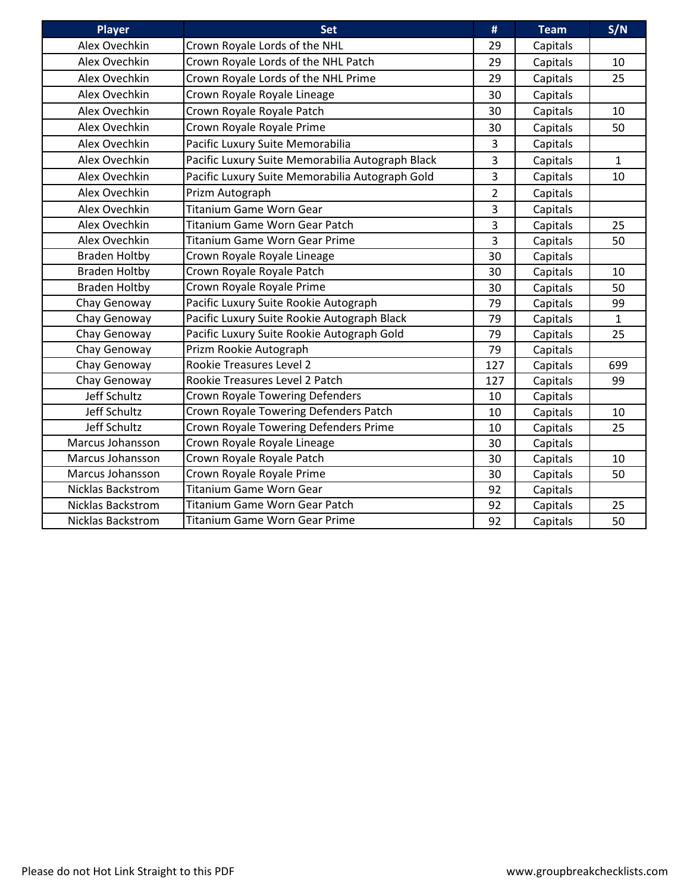| <b>Player</b>            | <b>Set</b>                                       | #              | <b>Team</b> | S/N          |
|--------------------------|--------------------------------------------------|----------------|-------------|--------------|
| Alex Ovechkin            | Crown Royale Lords of the NHL                    | 29             | Capitals    |              |
| Alex Ovechkin            | Crown Royale Lords of the NHL Patch              | 29             | Capitals    | 10           |
| Alex Ovechkin            | Crown Royale Lords of the NHL Prime              | 29             | Capitals    | 25           |
| Alex Ovechkin            | Crown Royale Royale Lineage                      | 30             | Capitals    |              |
| Alex Ovechkin            | Crown Royale Royale Patch                        | 30             | Capitals    | 10           |
| Alex Ovechkin            | Crown Royale Royale Prime                        | 30             | Capitals    | 50           |
| Alex Ovechkin            | Pacific Luxury Suite Memorabilia                 | 3              | Capitals    |              |
| Alex Ovechkin            | Pacific Luxury Suite Memorabilia Autograph Black | 3              | Capitals    | $\mathbf{1}$ |
| Alex Ovechkin            | Pacific Luxury Suite Memorabilia Autograph Gold  | $\overline{3}$ | Capitals    | 10           |
| Alex Ovechkin            | Prizm Autograph                                  | $\overline{2}$ | Capitals    |              |
| Alex Ovechkin            | <b>Titanium Game Worn Gear</b>                   | $\overline{3}$ | Capitals    |              |
| Alex Ovechkin            | <b>Titanium Game Worn Gear Patch</b>             | 3              | Capitals    | 25           |
| Alex Ovechkin            | <b>Titanium Game Worn Gear Prime</b>             | $\overline{3}$ | Capitals    | 50           |
| <b>Braden Holtby</b>     | Crown Royale Royale Lineage                      | 30             | Capitals    |              |
| <b>Braden Holtby</b>     | Crown Royale Royale Patch                        | 30             | Capitals    | 10           |
| <b>Braden Holtby</b>     | Crown Royale Royale Prime                        | 30             | Capitals    | 50           |
| Chay Genoway             | Pacific Luxury Suite Rookie Autograph            | 79             | Capitals    | 99           |
| Chay Genoway             | Pacific Luxury Suite Rookie Autograph Black      | 79             | Capitals    | $\mathbf{1}$ |
| Chay Genoway             | Pacific Luxury Suite Rookie Autograph Gold       | 79             | Capitals    | 25           |
| Chay Genoway             | Prizm Rookie Autograph                           | 79             | Capitals    |              |
| Chay Genoway             | <b>Rookie Treasures Level 2</b>                  | 127            | Capitals    | 699          |
| Chay Genoway             | Rookie Treasures Level 2 Patch                   | 127            | Capitals    | 99           |
| Jeff Schultz             | <b>Crown Royale Towering Defenders</b>           | 10             | Capitals    |              |
| Jeff Schultz             | Crown Royale Towering Defenders Patch            | 10             | Capitals    | 10           |
| Jeff Schultz             | Crown Royale Towering Defenders Prime            | 10             | Capitals    | 25           |
| Marcus Johansson         | Crown Royale Royale Lineage                      | 30             | Capitals    |              |
| Marcus Johansson         | Crown Royale Royale Patch                        | 30             | Capitals    | 10           |
| Marcus Johansson         | Crown Royale Royale Prime                        | 30             | Capitals    | 50           |
| Nicklas Backstrom        | <b>Titanium Game Worn Gear</b>                   | 92             | Capitals    |              |
| <b>Nicklas Backstrom</b> | Titanium Game Worn Gear Patch                    | 92             | Capitals    | 25           |
| <b>Nicklas Backstrom</b> | <b>Titanium Game Worn Gear Prime</b>             | 92             | Capitals    | 50           |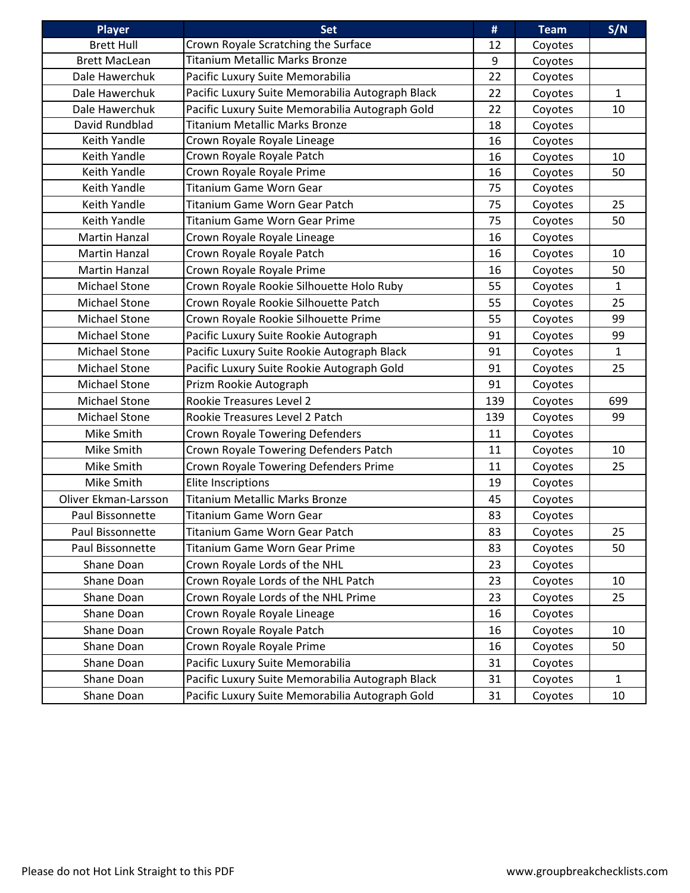| <b>Player</b>        | <b>Set</b>                                       | #   | <b>Team</b> | S/N          |
|----------------------|--------------------------------------------------|-----|-------------|--------------|
| <b>Brett Hull</b>    | Crown Royale Scratching the Surface              | 12  | Coyotes     |              |
| <b>Brett MacLean</b> | Titanium Metallic Marks Bronze                   | 9   | Coyotes     |              |
| Dale Hawerchuk       | Pacific Luxury Suite Memorabilia                 | 22  | Coyotes     |              |
| Dale Hawerchuk       | Pacific Luxury Suite Memorabilia Autograph Black | 22  | Coyotes     | $\mathbf{1}$ |
| Dale Hawerchuk       | Pacific Luxury Suite Memorabilia Autograph Gold  | 22  | Coyotes     | 10           |
| David Rundblad       | <b>Titanium Metallic Marks Bronze</b>            | 18  | Coyotes     |              |
| Keith Yandle         | Crown Royale Royale Lineage                      | 16  | Coyotes     |              |
| Keith Yandle         | Crown Royale Royale Patch                        | 16  | Coyotes     | 10           |
| Keith Yandle         | Crown Royale Royale Prime                        | 16  | Coyotes     | 50           |
| Keith Yandle         | <b>Titanium Game Worn Gear</b>                   | 75  | Coyotes     |              |
| Keith Yandle         | Titanium Game Worn Gear Patch                    | 75  | Coyotes     | 25           |
| Keith Yandle         | <b>Titanium Game Worn Gear Prime</b>             | 75  | Coyotes     | 50           |
| <b>Martin Hanzal</b> | Crown Royale Royale Lineage                      | 16  | Coyotes     |              |
| <b>Martin Hanzal</b> | Crown Royale Royale Patch                        | 16  | Coyotes     | 10           |
| <b>Martin Hanzal</b> | Crown Royale Royale Prime                        | 16  | Coyotes     | 50           |
| Michael Stone        | Crown Royale Rookie Silhouette Holo Ruby         | 55  | Coyotes     | $\mathbf{1}$ |
| Michael Stone        | Crown Royale Rookie Silhouette Patch             | 55  | Coyotes     | 25           |
| <b>Michael Stone</b> | Crown Royale Rookie Silhouette Prime             | 55  | Coyotes     | 99           |
| Michael Stone        | Pacific Luxury Suite Rookie Autograph            | 91  | Coyotes     | 99           |
| <b>Michael Stone</b> | Pacific Luxury Suite Rookie Autograph Black      | 91  | Coyotes     | $\mathbf{1}$ |
| Michael Stone        | Pacific Luxury Suite Rookie Autograph Gold       | 91  | Coyotes     | 25           |
| Michael Stone        | Prizm Rookie Autograph                           | 91  | Coyotes     |              |
| <b>Michael Stone</b> | Rookie Treasures Level 2                         | 139 | Coyotes     | 699          |
| Michael Stone        | Rookie Treasures Level 2 Patch                   | 139 | Coyotes     | 99           |
| Mike Smith           | Crown Royale Towering Defenders                  | 11  | Coyotes     |              |
| Mike Smith           | Crown Royale Towering Defenders Patch            | 11  | Coyotes     | 10           |
| Mike Smith           | Crown Royale Towering Defenders Prime            | 11  | Coyotes     | 25           |
| Mike Smith           | <b>Elite Inscriptions</b>                        | 19  | Coyotes     |              |
| Oliver Ekman-Larsson | <b>Titanium Metallic Marks Bronze</b>            | 45  | Coyotes     |              |
| Paul Bissonnette     | <b>Titanium Game Worn Gear</b>                   | 83  | Coyotes     |              |
| Paul Bissonnette     | Titanium Game Worn Gear Patch                    | 83  | Coyotes     | 25           |
| Paul Bissonnette     | Titanium Game Worn Gear Prime                    | 83  | Coyotes     | 50           |
| Shane Doan           | Crown Royale Lords of the NHL                    | 23  | Coyotes     |              |
| Shane Doan           | Crown Royale Lords of the NHL Patch              | 23  | Coyotes     | 10           |
| Shane Doan           | Crown Royale Lords of the NHL Prime              | 23  | Coyotes     | 25           |
| Shane Doan           | Crown Royale Royale Lineage                      | 16  | Coyotes     |              |
| Shane Doan           | Crown Royale Royale Patch                        | 16  | Coyotes     | 10           |
| Shane Doan           | Crown Royale Royale Prime                        | 16  | Coyotes     | 50           |
| Shane Doan           | Pacific Luxury Suite Memorabilia                 | 31  | Coyotes     |              |
| Shane Doan           | Pacific Luxury Suite Memorabilia Autograph Black | 31  | Coyotes     | $\mathbf{1}$ |
| Shane Doan           | Pacific Luxury Suite Memorabilia Autograph Gold  | 31  | Coyotes     | 10           |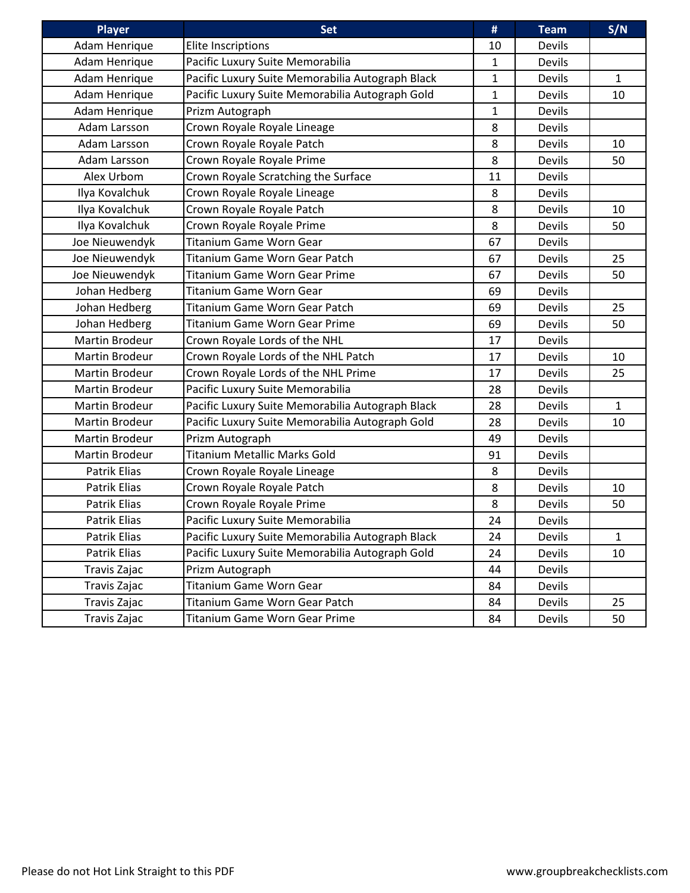| <b>Player</b>         | <b>Set</b>                                       | #            | <b>Team</b>   | S/N          |
|-----------------------|--------------------------------------------------|--------------|---------------|--------------|
| Adam Henrique         | Elite Inscriptions                               | 10           | Devils        |              |
| Adam Henrique         | Pacific Luxury Suite Memorabilia                 | $\mathbf{1}$ | <b>Devils</b> |              |
| Adam Henrique         | Pacific Luxury Suite Memorabilia Autograph Black | $\mathbf{1}$ | Devils        | $\mathbf{1}$ |
| Adam Henrique         | Pacific Luxury Suite Memorabilia Autograph Gold  | $\mathbf{1}$ | Devils        | 10           |
| Adam Henrique         | Prizm Autograph                                  | $\mathbf{1}$ | Devils        |              |
| Adam Larsson          | Crown Royale Royale Lineage                      | 8            | <b>Devils</b> |              |
| Adam Larsson          | Crown Royale Royale Patch                        | 8            | Devils        | 10           |
| Adam Larsson          | Crown Royale Royale Prime                        | 8            | <b>Devils</b> | 50           |
| Alex Urbom            | Crown Royale Scratching the Surface              | 11           | <b>Devils</b> |              |
| Ilya Kovalchuk        | Crown Royale Royale Lineage                      | 8            | <b>Devils</b> |              |
| Ilya Kovalchuk        | Crown Royale Royale Patch                        | 8            | Devils        | 10           |
| Ilya Kovalchuk        | Crown Royale Royale Prime                        | 8            | Devils        | 50           |
| Joe Nieuwendyk        | Titanium Game Worn Gear                          | 67           | <b>Devils</b> |              |
| Joe Nieuwendyk        | Titanium Game Worn Gear Patch                    | 67           | <b>Devils</b> | 25           |
| Joe Nieuwendyk        | <b>Titanium Game Worn Gear Prime</b>             | 67           | <b>Devils</b> | 50           |
| Johan Hedberg         | <b>Titanium Game Worn Gear</b>                   | 69           | <b>Devils</b> |              |
| Johan Hedberg         | Titanium Game Worn Gear Patch                    | 69           | Devils        | 25           |
| Johan Hedberg         | <b>Titanium Game Worn Gear Prime</b>             | 69           | <b>Devils</b> | 50           |
| Martin Brodeur        | Crown Royale Lords of the NHL                    | 17           | Devils        |              |
| <b>Martin Brodeur</b> | Crown Royale Lords of the NHL Patch              | 17           | Devils        | 10           |
| <b>Martin Brodeur</b> | Crown Royale Lords of the NHL Prime              | 17           | Devils        | 25           |
| Martin Brodeur        | Pacific Luxury Suite Memorabilia                 | 28           | Devils        |              |
| Martin Brodeur        | Pacific Luxury Suite Memorabilia Autograph Black | 28           | Devils        | 1            |
| Martin Brodeur        | Pacific Luxury Suite Memorabilia Autograph Gold  | 28           | Devils        | 10           |
| Martin Brodeur        | Prizm Autograph                                  | 49           | <b>Devils</b> |              |
| <b>Martin Brodeur</b> | <b>Titanium Metallic Marks Gold</b>              | 91           | <b>Devils</b> |              |
| Patrik Elias          | Crown Royale Royale Lineage                      | 8            | <b>Devils</b> |              |
| Patrik Elias          | Crown Royale Royale Patch                        | 8            | Devils        | 10           |
| Patrik Elias          | Crown Royale Royale Prime                        | 8            | Devils        | 50           |
| Patrik Elias          | Pacific Luxury Suite Memorabilia                 | 24           | Devils        |              |
| Patrik Elias          | Pacific Luxury Suite Memorabilia Autograph Black | 24           | Devils        | $\mathbf{1}$ |
| Patrik Elias          | Pacific Luxury Suite Memorabilia Autograph Gold  | 24           | Devils        | 10           |
| Travis Zajac          | Prizm Autograph                                  | 44           | Devils        |              |
| Travis Zajac          | Titanium Game Worn Gear                          | 84           | Devils        |              |
| Travis Zajac          | Titanium Game Worn Gear Patch                    | 84           | Devils        | 25           |
| Travis Zajac          | Titanium Game Worn Gear Prime                    | 84           | Devils        | 50           |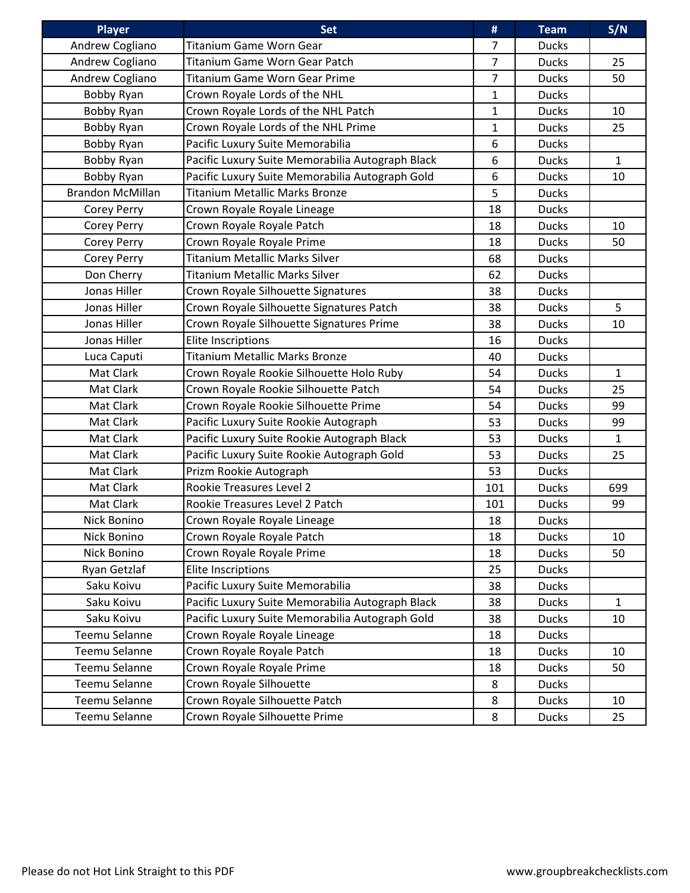| <b>Player</b>           | <b>Set</b>                                       | #              | <b>Team</b>  | S/N          |
|-------------------------|--------------------------------------------------|----------------|--------------|--------------|
| Andrew Cogliano         | <b>Titanium Game Worn Gear</b>                   | 7              | <b>Ducks</b> |              |
| Andrew Cogliano         | Titanium Game Worn Gear Patch                    | $\overline{7}$ | <b>Ducks</b> | 25           |
| Andrew Cogliano         | <b>Titanium Game Worn Gear Prime</b>             | $\overline{7}$ | <b>Ducks</b> | 50           |
| Bobby Ryan              | Crown Royale Lords of the NHL                    | 1              | <b>Ducks</b> |              |
| Bobby Ryan              | Crown Royale Lords of the NHL Patch              | 1              | <b>Ducks</b> | 10           |
| Bobby Ryan              | Crown Royale Lords of the NHL Prime              | $\mathbf{1}$   | <b>Ducks</b> | 25           |
| Bobby Ryan              | Pacific Luxury Suite Memorabilia                 | 6              | <b>Ducks</b> |              |
| Bobby Ryan              | Pacific Luxury Suite Memorabilia Autograph Black | 6              | <b>Ducks</b> | $\mathbf{1}$ |
| Bobby Ryan              | Pacific Luxury Suite Memorabilia Autograph Gold  | 6              | <b>Ducks</b> | 10           |
| <b>Brandon McMillan</b> | <b>Titanium Metallic Marks Bronze</b>            | 5              | <b>Ducks</b> |              |
| Corey Perry             | Crown Royale Royale Lineage                      | 18             | <b>Ducks</b> |              |
| Corey Perry             | Crown Royale Royale Patch                        | 18             | <b>Ducks</b> | 10           |
| Corey Perry             | Crown Royale Royale Prime                        | 18             | <b>Ducks</b> | 50           |
| <b>Corey Perry</b>      | <b>Titanium Metallic Marks Silver</b>            | 68             | <b>Ducks</b> |              |
| Don Cherry              | <b>Titanium Metallic Marks Silver</b>            | 62             | <b>Ducks</b> |              |
| Jonas Hiller            | Crown Royale Silhouette Signatures               | 38             | <b>Ducks</b> |              |
| Jonas Hiller            | Crown Royale Silhouette Signatures Patch         | 38             | <b>Ducks</b> | 5            |
| Jonas Hiller            | Crown Royale Silhouette Signatures Prime         | 38             | <b>Ducks</b> | 10           |
| Jonas Hiller            | <b>Elite Inscriptions</b>                        | 16             | <b>Ducks</b> |              |
| Luca Caputi             | <b>Titanium Metallic Marks Bronze</b>            | 40             | <b>Ducks</b> |              |
| Mat Clark               | Crown Royale Rookie Silhouette Holo Ruby         | 54             | <b>Ducks</b> | $\mathbf{1}$ |
| Mat Clark               | Crown Royale Rookie Silhouette Patch             | 54             | <b>Ducks</b> | 25           |
| Mat Clark               | Crown Royale Rookie Silhouette Prime             | 54             | <b>Ducks</b> | 99           |
| Mat Clark               | Pacific Luxury Suite Rookie Autograph            | 53             | <b>Ducks</b> | 99           |
| Mat Clark               | Pacific Luxury Suite Rookie Autograph Black      | 53             | <b>Ducks</b> | $\mathbf 1$  |
| Mat Clark               | Pacific Luxury Suite Rookie Autograph Gold       | 53             | <b>Ducks</b> | 25           |
| Mat Clark               | Prizm Rookie Autograph                           | 53             | <b>Ducks</b> |              |
| Mat Clark               | Rookie Treasures Level 2                         | 101            | <b>Ducks</b> | 699          |
| Mat Clark               | Rookie Treasures Level 2 Patch                   | 101            | <b>Ducks</b> | 99           |
| Nick Bonino             | Crown Royale Royale Lineage                      | 18             | <b>Ducks</b> |              |
| Nick Bonino             | Crown Royale Royale Patch                        | 18             | <b>Ducks</b> | 10           |
| Nick Bonino             | Crown Royale Royale Prime                        | 18             | <b>Ducks</b> | 50           |
| Ryan Getzlaf            | <b>Elite Inscriptions</b>                        | 25             | <b>Ducks</b> |              |
| Saku Koivu              | Pacific Luxury Suite Memorabilia                 | 38             | <b>Ducks</b> |              |
| Saku Koivu              | Pacific Luxury Suite Memorabilia Autograph Black | 38             | <b>Ducks</b> | $\mathbf{1}$ |
| Saku Koivu              | Pacific Luxury Suite Memorabilia Autograph Gold  | 38             | <b>Ducks</b> | 10           |
| Teemu Selanne           | Crown Royale Royale Lineage                      | 18             | <b>Ducks</b> |              |
| Teemu Selanne           | Crown Royale Royale Patch                        | 18             | <b>Ducks</b> | 10           |
| Teemu Selanne           | Crown Royale Royale Prime                        | 18             | <b>Ducks</b> | 50           |
| Teemu Selanne           | Crown Royale Silhouette                          | 8              | <b>Ducks</b> |              |
| Teemu Selanne           | Crown Royale Silhouette Patch                    | 8              | <b>Ducks</b> | 10           |
| Teemu Selanne           | Crown Royale Silhouette Prime                    | 8              | <b>Ducks</b> | 25           |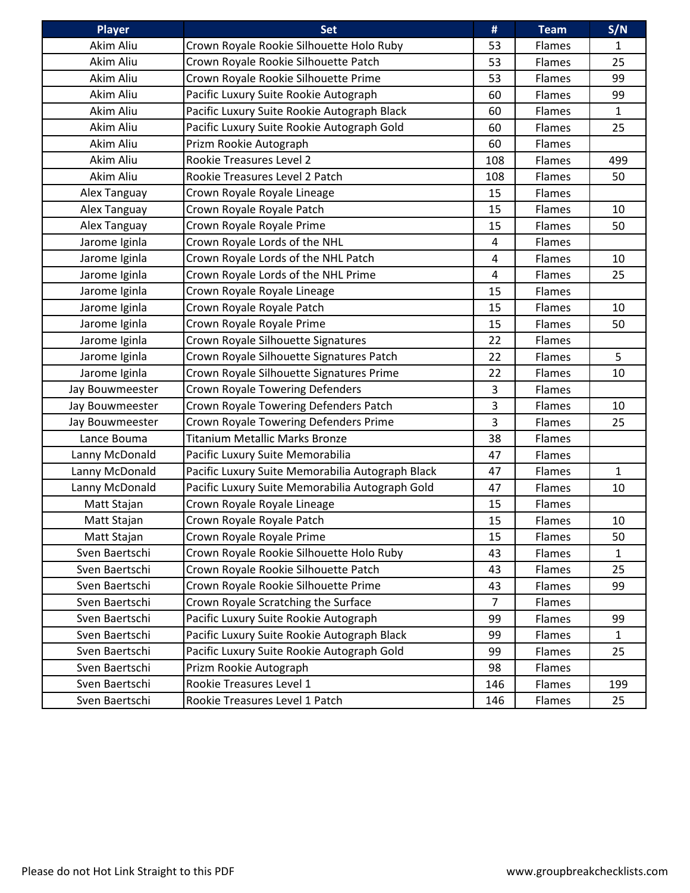| <b>Player</b>   | <b>Set</b>                                       | #   | <b>Team</b> | S/N          |
|-----------------|--------------------------------------------------|-----|-------------|--------------|
| Akim Aliu       | Crown Royale Rookie Silhouette Holo Ruby         | 53  | Flames      | 1            |
| Akim Aliu       | Crown Royale Rookie Silhouette Patch             | 53  | Flames      | 25           |
| Akim Aliu       | Crown Royale Rookie Silhouette Prime             | 53  | Flames      | 99           |
| Akim Aliu       | Pacific Luxury Suite Rookie Autograph            | 60  | Flames      | 99           |
| Akim Aliu       | Pacific Luxury Suite Rookie Autograph Black      | 60  | Flames      | $\mathbf{1}$ |
| Akim Aliu       | Pacific Luxury Suite Rookie Autograph Gold       | 60  | Flames      | 25           |
| Akim Aliu       | Prizm Rookie Autograph                           | 60  | Flames      |              |
| Akim Aliu       | Rookie Treasures Level 2                         | 108 | Flames      | 499          |
| Akim Aliu       | Rookie Treasures Level 2 Patch                   | 108 | Flames      | 50           |
| Alex Tanguay    | Crown Royale Royale Lineage                      | 15  | Flames      |              |
| Alex Tanguay    | Crown Royale Royale Patch                        | 15  | Flames      | 10           |
| Alex Tanguay    | Crown Royale Royale Prime                        | 15  | Flames      | 50           |
| Jarome Iginla   | Crown Royale Lords of the NHL                    | 4   | Flames      |              |
| Jarome Iginla   | Crown Royale Lords of the NHL Patch              | 4   | Flames      | 10           |
| Jarome Iginla   | Crown Royale Lords of the NHL Prime              | 4   | Flames      | 25           |
| Jarome Iginla   | Crown Royale Royale Lineage                      | 15  | Flames      |              |
| Jarome Iginla   | Crown Royale Royale Patch                        | 15  | Flames      | 10           |
| Jarome Iginla   | Crown Royale Royale Prime                        | 15  | Flames      | 50           |
| Jarome Iginla   | Crown Royale Silhouette Signatures               | 22  | Flames      |              |
| Jarome Iginla   | Crown Royale Silhouette Signatures Patch         | 22  | Flames      | 5            |
| Jarome Iginla   | Crown Royale Silhouette Signatures Prime         | 22  | Flames      | 10           |
| Jay Bouwmeester | Crown Royale Towering Defenders                  | 3   | Flames      |              |
| Jay Bouwmeester | Crown Royale Towering Defenders Patch            | 3   | Flames      | 10           |
| Jay Bouwmeester | Crown Royale Towering Defenders Prime            | 3   | Flames      | 25           |
| Lance Bouma     | <b>Titanium Metallic Marks Bronze</b>            | 38  | Flames      |              |
| Lanny McDonald  | Pacific Luxury Suite Memorabilia                 | 47  | Flames      |              |
| Lanny McDonald  | Pacific Luxury Suite Memorabilia Autograph Black | 47  | Flames      | $\mathbf{1}$ |
| Lanny McDonald  | Pacific Luxury Suite Memorabilia Autograph Gold  | 47  | Flames      | 10           |
| Matt Stajan     | Crown Royale Royale Lineage                      | 15  | Flames      |              |
| Matt Stajan     | Crown Royale Royale Patch                        | 15  | Flames      | 10           |
| Matt Stajan     | Crown Royale Royale Prime                        | 15  | Flames      | 50           |
| Sven Baertschi  | Crown Royale Rookie Silhouette Holo Ruby         | 43  | Flames      | $\mathbf{1}$ |
| Sven Baertschi  | Crown Royale Rookie Silhouette Patch             | 43  | Flames      | 25           |
| Sven Baertschi  | Crown Royale Rookie Silhouette Prime             | 43  | Flames      | 99           |
| Sven Baertschi  | Crown Royale Scratching the Surface              | 7   | Flames      |              |
| Sven Baertschi  | Pacific Luxury Suite Rookie Autograph            | 99  | Flames      | 99           |
| Sven Baertschi  | Pacific Luxury Suite Rookie Autograph Black      | 99  | Flames      | $\mathbf{1}$ |
| Sven Baertschi  | Pacific Luxury Suite Rookie Autograph Gold       | 99  | Flames      | 25           |
| Sven Baertschi  | Prizm Rookie Autograph                           | 98  | Flames      |              |
| Sven Baertschi  | Rookie Treasures Level 1                         | 146 | Flames      | 199          |
| Sven Baertschi  | Rookie Treasures Level 1 Patch                   | 146 | Flames      | 25           |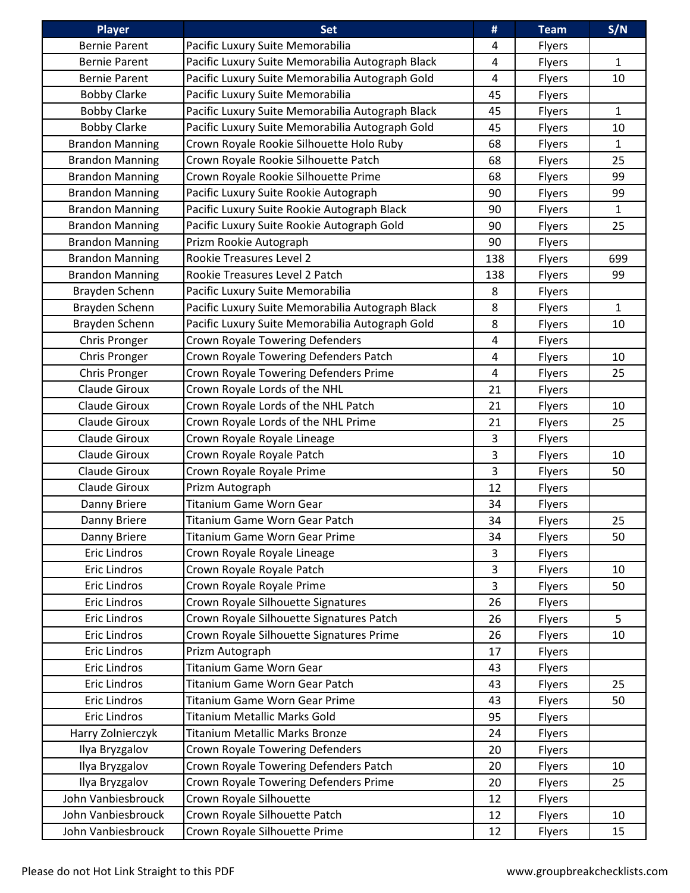| <b>Player</b>          | <b>Set</b>                                       | #              | <b>Team</b> | S/N          |
|------------------------|--------------------------------------------------|----------------|-------------|--------------|
| <b>Bernie Parent</b>   | Pacific Luxury Suite Memorabilia                 | 4              | Flyers      |              |
| <b>Bernie Parent</b>   | Pacific Luxury Suite Memorabilia Autograph Black | 4              | Flyers      | $\mathbf{1}$ |
| <b>Bernie Parent</b>   | Pacific Luxury Suite Memorabilia Autograph Gold  | 4              | Flyers      | 10           |
| <b>Bobby Clarke</b>    | Pacific Luxury Suite Memorabilia                 | 45             | Flyers      |              |
| <b>Bobby Clarke</b>    | Pacific Luxury Suite Memorabilia Autograph Black | 45             | Flyers      | $\mathbf{1}$ |
| <b>Bobby Clarke</b>    | Pacific Luxury Suite Memorabilia Autograph Gold  | 45             | Flyers      | 10           |
| <b>Brandon Manning</b> | Crown Royale Rookie Silhouette Holo Ruby         | 68             | Flyers      | $\mathbf{1}$ |
| <b>Brandon Manning</b> | Crown Royale Rookie Silhouette Patch             | 68             | Flyers      | 25           |
| <b>Brandon Manning</b> | Crown Royale Rookie Silhouette Prime             | 68             | Flyers      | 99           |
| <b>Brandon Manning</b> | Pacific Luxury Suite Rookie Autograph            | 90             | Flyers      | 99           |
| <b>Brandon Manning</b> | Pacific Luxury Suite Rookie Autograph Black      | 90             | Flyers      | $\mathbf{1}$ |
| <b>Brandon Manning</b> | Pacific Luxury Suite Rookie Autograph Gold       | 90             | Flyers      | 25           |
| <b>Brandon Manning</b> | Prizm Rookie Autograph                           | 90             | Flyers      |              |
| <b>Brandon Manning</b> | Rookie Treasures Level 2                         | 138            | Flyers      | 699          |
| <b>Brandon Manning</b> | Rookie Treasures Level 2 Patch                   | 138            | Flyers      | 99           |
| Brayden Schenn         | Pacific Luxury Suite Memorabilia                 | 8              | Flyers      |              |
| Brayden Schenn         | Pacific Luxury Suite Memorabilia Autograph Black | 8              | Flyers      | $\mathbf{1}$ |
| Brayden Schenn         | Pacific Luxury Suite Memorabilia Autograph Gold  | 8              | Flyers      | 10           |
| Chris Pronger          | Crown Royale Towering Defenders                  | 4              | Flyers      |              |
| Chris Pronger          | Crown Royale Towering Defenders Patch            | 4              | Flyers      | 10           |
| Chris Pronger          | Crown Royale Towering Defenders Prime            | 4              | Flyers      | 25           |
| Claude Giroux          | Crown Royale Lords of the NHL                    | 21             | Flyers      |              |
| Claude Giroux          | Crown Royale Lords of the NHL Patch              | 21             | Flyers      | 10           |
| <b>Claude Giroux</b>   | Crown Royale Lords of the NHL Prime              | 21             | Flyers      | 25           |
| Claude Giroux          | Crown Royale Royale Lineage                      | 3              | Flyers      |              |
| <b>Claude Giroux</b>   | Crown Royale Royale Patch                        | 3              | Flyers      | 10           |
| Claude Giroux          | Crown Royale Royale Prime                        | $\overline{3}$ | Flyers      | 50           |
| Claude Giroux          | Prizm Autograph                                  | 12             | Flyers      |              |
| Danny Briere           | <b>Titanium Game Worn Gear</b>                   | 34             | Flyers      |              |
| Danny Briere           | Titanium Game Worn Gear Patch                    | 34             | Flyers      | 25           |
| Danny Briere           | Titanium Game Worn Gear Prime                    | 34             | Flyers      | 50           |
| <b>Eric Lindros</b>    | Crown Royale Royale Lineage                      | 3              | Flyers      |              |
| Eric Lindros           | Crown Royale Royale Patch                        | 3              | Flyers      | 10           |
| Eric Lindros           | Crown Royale Royale Prime                        | $\overline{3}$ | Flyers      | 50           |
| <b>Eric Lindros</b>    | Crown Royale Silhouette Signatures               | 26             | Flyers      |              |
| Eric Lindros           | Crown Royale Silhouette Signatures Patch         | 26             | Flyers      | 5            |
| <b>Eric Lindros</b>    | Crown Royale Silhouette Signatures Prime         | 26             | Flyers      | 10           |
| <b>Eric Lindros</b>    | Prizm Autograph                                  | 17             | Flyers      |              |
| <b>Eric Lindros</b>    | Titanium Game Worn Gear                          | 43             | Flyers      |              |
| <b>Eric Lindros</b>    | Titanium Game Worn Gear Patch                    | 43             | Flyers      | 25           |
| Eric Lindros           | Titanium Game Worn Gear Prime                    | 43             | Flyers      | 50           |
| Eric Lindros           | Titanium Metallic Marks Gold                     | 95             | Flyers      |              |
| Harry Zolnierczyk      | <b>Titanium Metallic Marks Bronze</b>            | 24             | Flyers      |              |
| Ilya Bryzgalov         | Crown Royale Towering Defenders                  | 20             | Flyers      |              |
| Ilya Bryzgalov         | Crown Royale Towering Defenders Patch            | 20             | Flyers      | 10           |
| Ilya Bryzgalov         | Crown Royale Towering Defenders Prime            | 20             | Flyers      | 25           |
| John Vanbiesbrouck     | Crown Royale Silhouette                          | 12             | Flyers      |              |
| John Vanbiesbrouck     | Crown Royale Silhouette Patch                    | 12             | Flyers      | 10           |
| John Vanbiesbrouck     | Crown Royale Silhouette Prime                    | 12             | Flyers      | 15           |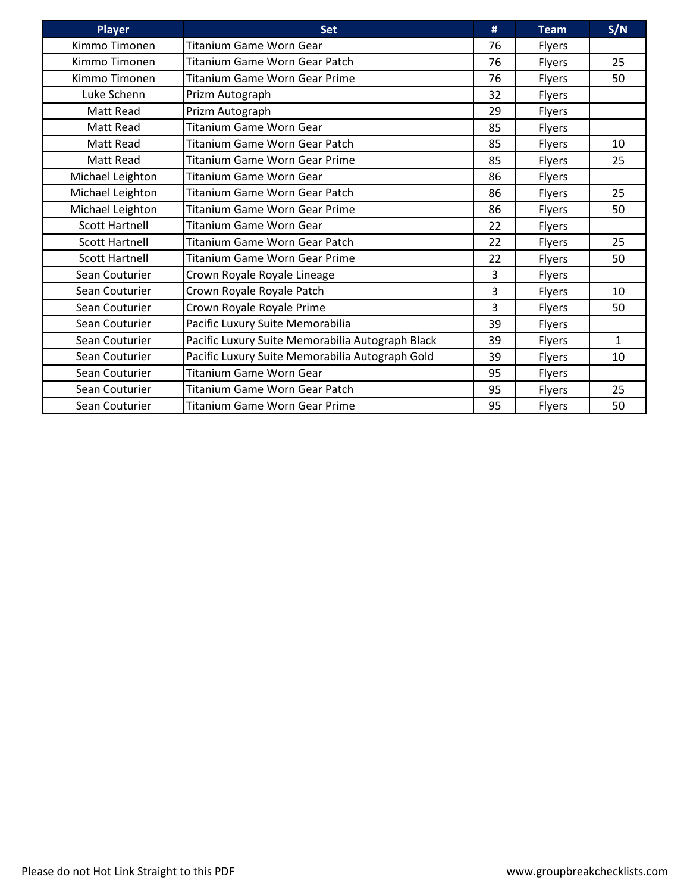| <b>Player</b>         | <b>Set</b>                                       | #  | <b>Team</b>   | S/N          |
|-----------------------|--------------------------------------------------|----|---------------|--------------|
| Kimmo Timonen         | <b>Titanium Game Worn Gear</b>                   | 76 | <b>Flyers</b> |              |
| Kimmo Timonen         | Titanium Game Worn Gear Patch                    | 76 | <b>Flyers</b> | 25           |
| Kimmo Timonen         | <b>Titanium Game Worn Gear Prime</b>             | 76 | <b>Flyers</b> | 50           |
| Luke Schenn           | Prizm Autograph                                  | 32 | <b>Flyers</b> |              |
| Matt Read             | Prizm Autograph                                  | 29 | <b>Flyers</b> |              |
| Matt Read             | <b>Titanium Game Worn Gear</b>                   | 85 | <b>Flyers</b> |              |
| Matt Read             | Titanium Game Worn Gear Patch                    | 85 | Flyers        | 10           |
| Matt Read             | <b>Titanium Game Worn Gear Prime</b>             | 85 | <b>Flyers</b> | 25           |
| Michael Leighton      | <b>Titanium Game Worn Gear</b>                   | 86 | <b>Flyers</b> |              |
| Michael Leighton      | <b>Titanium Game Worn Gear Patch</b>             | 86 | <b>Flyers</b> | 25           |
| Michael Leighton      | <b>Titanium Game Worn Gear Prime</b>             | 86 | <b>Flyers</b> | 50           |
| <b>Scott Hartnell</b> | Titanium Game Worn Gear                          | 22 | Flyers        |              |
| <b>Scott Hartnell</b> | Titanium Game Worn Gear Patch                    | 22 | Flyers        | 25           |
| <b>Scott Hartnell</b> | Titanium Game Worn Gear Prime                    | 22 | <b>Flyers</b> | 50           |
| Sean Couturier        | Crown Royale Royale Lineage                      | 3  | Flyers        |              |
| Sean Couturier        | Crown Royale Royale Patch                        | 3  | <b>Flyers</b> | 10           |
| Sean Couturier        | Crown Royale Royale Prime                        | 3  | <b>Flyers</b> | 50           |
| Sean Couturier        | Pacific Luxury Suite Memorabilia                 | 39 | <b>Flyers</b> |              |
| Sean Couturier        | Pacific Luxury Suite Memorabilia Autograph Black | 39 | Flyers        | $\mathbf{1}$ |
| Sean Couturier        | Pacific Luxury Suite Memorabilia Autograph Gold  | 39 | Flyers        | 10           |
| Sean Couturier        | <b>Titanium Game Worn Gear</b>                   | 95 | <b>Flyers</b> |              |
| Sean Couturier        | <b>Titanium Game Worn Gear Patch</b>             | 95 | Flyers        | 25           |
| Sean Couturier        | Titanium Game Worn Gear Prime                    | 95 | Flyers        | 50           |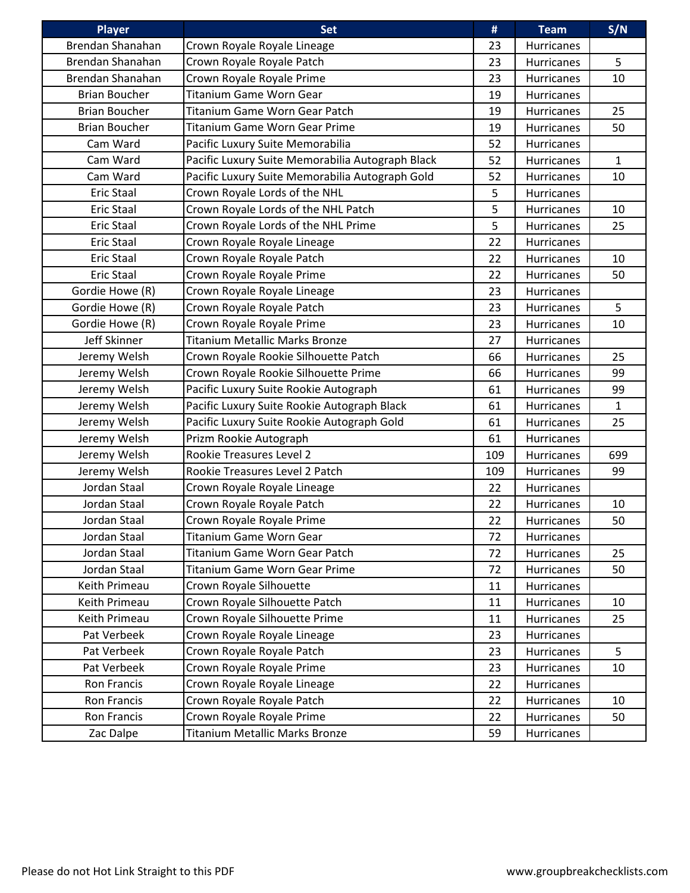| <b>Player</b>        | <b>Set</b>                                       | #   | <b>Team</b>       | S/N          |
|----------------------|--------------------------------------------------|-----|-------------------|--------------|
| Brendan Shanahan     | Crown Royale Royale Lineage                      | 23  | Hurricanes        |              |
| Brendan Shanahan     | Crown Royale Royale Patch                        | 23  | Hurricanes        | 5            |
| Brendan Shanahan     | Crown Royale Royale Prime                        | 23  | <b>Hurricanes</b> | 10           |
| <b>Brian Boucher</b> | Titanium Game Worn Gear                          | 19  | <b>Hurricanes</b> |              |
| <b>Brian Boucher</b> | Titanium Game Worn Gear Patch                    | 19  | Hurricanes        | 25           |
| <b>Brian Boucher</b> | <b>Titanium Game Worn Gear Prime</b>             | 19  | <b>Hurricanes</b> | 50           |
| Cam Ward             | Pacific Luxury Suite Memorabilia                 | 52  | Hurricanes        |              |
| Cam Ward             | Pacific Luxury Suite Memorabilia Autograph Black | 52  | <b>Hurricanes</b> | $\mathbf{1}$ |
| Cam Ward             | Pacific Luxury Suite Memorabilia Autograph Gold  | 52  | Hurricanes        | 10           |
| <b>Eric Staal</b>    | Crown Royale Lords of the NHL                    | 5   | Hurricanes        |              |
| <b>Eric Staal</b>    | Crown Royale Lords of the NHL Patch              | 5   | Hurricanes        | 10           |
| <b>Eric Staal</b>    | Crown Royale Lords of the NHL Prime              | 5   | Hurricanes        | 25           |
| <b>Eric Staal</b>    | Crown Royale Royale Lineage                      | 22  | Hurricanes        |              |
| <b>Eric Staal</b>    | Crown Royale Royale Patch                        | 22  | Hurricanes        | 10           |
| <b>Eric Staal</b>    | Crown Royale Royale Prime                        | 22  | Hurricanes        | 50           |
| Gordie Howe (R)      | Crown Royale Royale Lineage                      | 23  | Hurricanes        |              |
| Gordie Howe (R)      | Crown Royale Royale Patch                        | 23  | Hurricanes        | 5            |
| Gordie Howe (R)      | Crown Royale Royale Prime                        | 23  | Hurricanes        | 10           |
| Jeff Skinner         | <b>Titanium Metallic Marks Bronze</b>            | 27  | Hurricanes        |              |
| Jeremy Welsh         | Crown Royale Rookie Silhouette Patch             | 66  | <b>Hurricanes</b> | 25           |
| Jeremy Welsh         | Crown Royale Rookie Silhouette Prime             | 66  | Hurricanes        | 99           |
| Jeremy Welsh         | Pacific Luxury Suite Rookie Autograph            | 61  | Hurricanes        | 99           |
| Jeremy Welsh         | Pacific Luxury Suite Rookie Autograph Black      | 61  | Hurricanes        | $\mathbf{1}$ |
| Jeremy Welsh         | Pacific Luxury Suite Rookie Autograph Gold       | 61  | Hurricanes        | 25           |
| Jeremy Welsh         | Prizm Rookie Autograph                           | 61  | Hurricanes        |              |
| Jeremy Welsh         | Rookie Treasures Level 2                         | 109 | Hurricanes        | 699          |
| Jeremy Welsh         | Rookie Treasures Level 2 Patch                   | 109 | Hurricanes        | 99           |
| Jordan Staal         | Crown Royale Royale Lineage                      | 22  | Hurricanes        |              |
| Jordan Staal         | Crown Royale Royale Patch                        | 22  | Hurricanes        | 10           |
| Jordan Staal         | Crown Royale Royale Prime                        | 22  | Hurricanes        | 50           |
| Jordan Staal         | Titanium Game Worn Gear                          | 72  | Hurricanes        |              |
| Jordan Staal         | Titanium Game Worn Gear Patch                    | 72  | Hurricanes        | 25           |
| Jordan Staal         | Titanium Game Worn Gear Prime                    | 72  | Hurricanes        | 50           |
| Keith Primeau        | Crown Royale Silhouette                          | 11  | Hurricanes        |              |
| Keith Primeau        | Crown Royale Silhouette Patch                    | 11  | Hurricanes        | 10           |
| Keith Primeau        | Crown Royale Silhouette Prime                    | 11  | Hurricanes        | 25           |
| Pat Verbeek          | Crown Royale Royale Lineage                      | 23  | Hurricanes        |              |
| Pat Verbeek          | Crown Royale Royale Patch                        | 23  | Hurricanes        | 5            |
| Pat Verbeek          | Crown Royale Royale Prime                        | 23  | Hurricanes        | 10           |
| Ron Francis          | Crown Royale Royale Lineage                      | 22  | Hurricanes        |              |
| Ron Francis          | Crown Royale Royale Patch                        | 22  | Hurricanes        | 10           |
| Ron Francis          | Crown Royale Royale Prime                        | 22  | Hurricanes        | 50           |
| Zac Dalpe            | Titanium Metallic Marks Bronze                   | 59  | Hurricanes        |              |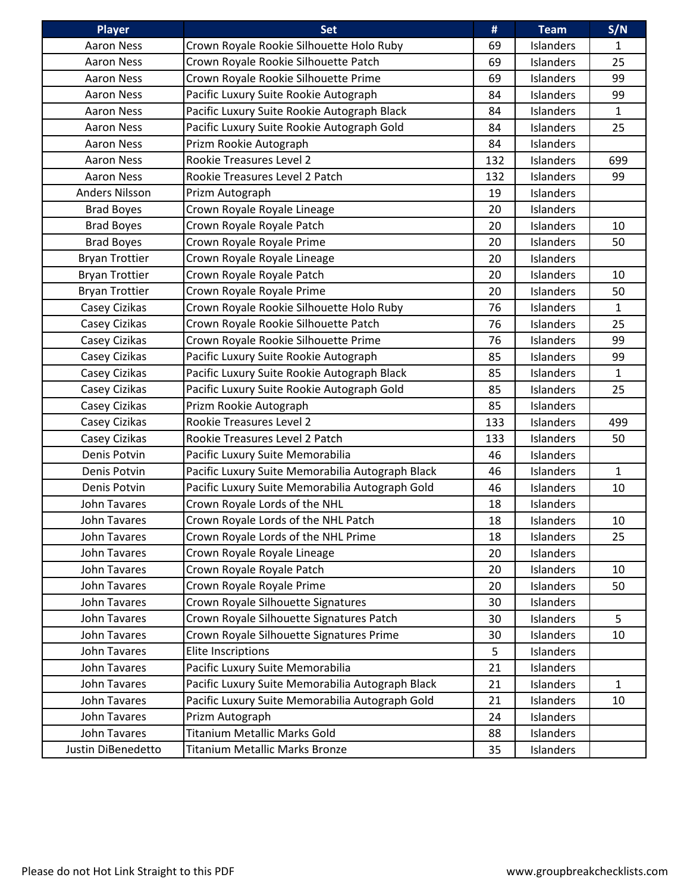| <b>Player</b>         | <b>Set</b>                                       | #   | <b>Team</b>      | S/N          |
|-----------------------|--------------------------------------------------|-----|------------------|--------------|
| <b>Aaron Ness</b>     | Crown Royale Rookie Silhouette Holo Ruby         | 69  | Islanders        | $\mathbf{1}$ |
| <b>Aaron Ness</b>     | Crown Royale Rookie Silhouette Patch             | 69  | Islanders        | 25           |
| <b>Aaron Ness</b>     | Crown Royale Rookie Silhouette Prime             | 69  | Islanders        | 99           |
| <b>Aaron Ness</b>     | Pacific Luxury Suite Rookie Autograph            | 84  | Islanders        | 99           |
| <b>Aaron Ness</b>     | Pacific Luxury Suite Rookie Autograph Black      | 84  | Islanders        | $\mathbf{1}$ |
| <b>Aaron Ness</b>     | Pacific Luxury Suite Rookie Autograph Gold       | 84  | Islanders        | 25           |
| <b>Aaron Ness</b>     | Prizm Rookie Autograph                           | 84  | <b>Islanders</b> |              |
| <b>Aaron Ness</b>     | Rookie Treasures Level 2                         | 132 | Islanders        | 699          |
| <b>Aaron Ness</b>     | Rookie Treasures Level 2 Patch                   | 132 | Islanders        | 99           |
| <b>Anders Nilsson</b> | Prizm Autograph                                  | 19  | Islanders        |              |
| <b>Brad Boyes</b>     | Crown Royale Royale Lineage                      | 20  | Islanders        |              |
| <b>Brad Boyes</b>     | Crown Royale Royale Patch                        | 20  | Islanders        | 10           |
| <b>Brad Boyes</b>     | Crown Royale Royale Prime                        | 20  | <b>Islanders</b> | 50           |
| <b>Bryan Trottier</b> | Crown Royale Royale Lineage                      | 20  | Islanders        |              |
| <b>Bryan Trottier</b> | Crown Royale Royale Patch                        | 20  | Islanders        | 10           |
| <b>Bryan Trottier</b> | Crown Royale Royale Prime                        | 20  | Islanders        | 50           |
| Casey Cizikas         | Crown Royale Rookie Silhouette Holo Ruby         | 76  | Islanders        | $\mathbf{1}$ |
| Casey Cizikas         | Crown Royale Rookie Silhouette Patch             | 76  | Islanders        | 25           |
| Casey Cizikas         | Crown Royale Rookie Silhouette Prime             | 76  | Islanders        | 99           |
| Casey Cizikas         | Pacific Luxury Suite Rookie Autograph            | 85  | Islanders        | 99           |
| Casey Cizikas         | Pacific Luxury Suite Rookie Autograph Black      | 85  | Islanders        | $\mathbf{1}$ |
| Casey Cizikas         | Pacific Luxury Suite Rookie Autograph Gold       | 85  | <b>Islanders</b> | 25           |
| Casey Cizikas         | Prizm Rookie Autograph                           | 85  | <b>Islanders</b> |              |
| Casey Cizikas         | Rookie Treasures Level 2                         | 133 | Islanders        | 499          |
| Casey Cizikas         | Rookie Treasures Level 2 Patch                   | 133 | Islanders        | 50           |
| Denis Potvin          | Pacific Luxury Suite Memorabilia                 | 46  | Islanders        |              |
| Denis Potvin          | Pacific Luxury Suite Memorabilia Autograph Black | 46  | Islanders        | $\mathbf{1}$ |
| Denis Potvin          | Pacific Luxury Suite Memorabilia Autograph Gold  | 46  | Islanders        | 10           |
| John Tavares          | Crown Royale Lords of the NHL                    | 18  | <b>Islanders</b> |              |
| John Tavares          | Crown Royale Lords of the NHL Patch              | 18  | Islanders        | 10           |
| John Tavares          | Crown Royale Lords of the NHL Prime              | 18  | Islanders        | 25           |
| John Tavares          | Crown Royale Royale Lineage                      | 20  | Islanders        |              |
| John Tavares          | Crown Royale Royale Patch                        | 20  | Islanders        | 10           |
| <b>John Tavares</b>   | Crown Royale Royale Prime                        | 20  | Islanders        | 50           |
| John Tavares          | Crown Royale Silhouette Signatures               | 30  | Islanders        |              |
| John Tavares          | Crown Royale Silhouette Signatures Patch         | 30  | Islanders        | 5            |
| John Tavares          | Crown Royale Silhouette Signatures Prime         | 30  | Islanders        | 10           |
| John Tavares          | <b>Elite Inscriptions</b>                        | 5   | Islanders        |              |
| John Tavares          | Pacific Luxury Suite Memorabilia                 | 21  | Islanders        |              |
| John Tavares          | Pacific Luxury Suite Memorabilia Autograph Black | 21  | Islanders        | 1            |
| John Tavares          | Pacific Luxury Suite Memorabilia Autograph Gold  | 21  | Islanders        | 10           |
| John Tavares          | Prizm Autograph                                  | 24  | Islanders        |              |
| John Tavares          | Titanium Metallic Marks Gold                     | 88  | Islanders        |              |
| Justin DiBenedetto    | Titanium Metallic Marks Bronze                   | 35  | Islanders        |              |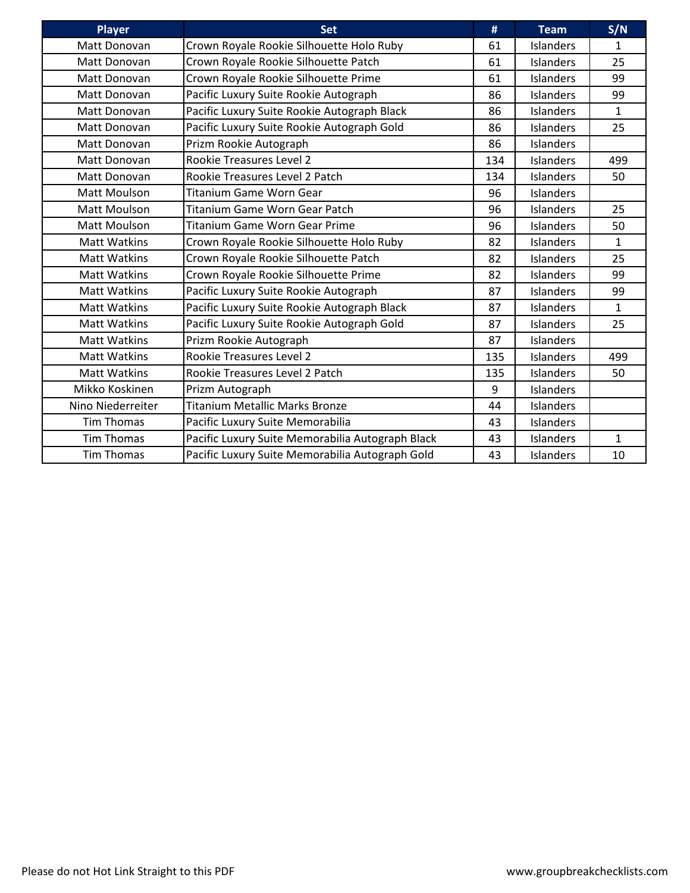| Player              | <b>Set</b>                                       | #   | <b>Team</b>      | S/N          |
|---------------------|--------------------------------------------------|-----|------------------|--------------|
| Matt Donovan        | Crown Royale Rookie Silhouette Holo Ruby         | 61  | Islanders        | $\mathbf{1}$ |
| Matt Donovan        | Crown Royale Rookie Silhouette Patch             | 61  | Islanders        | 25           |
| Matt Donovan        | Crown Royale Rookie Silhouette Prime             | 61  | Islanders        | 99           |
| Matt Donovan        | Pacific Luxury Suite Rookie Autograph            | 86  | Islanders        | 99           |
| Matt Donovan        | Pacific Luxury Suite Rookie Autograph Black      | 86  | Islanders        | $\mathbf{1}$ |
| Matt Donovan        | Pacific Luxury Suite Rookie Autograph Gold       | 86  | <b>Islanders</b> | 25           |
| Matt Donovan        | Prizm Rookie Autograph                           | 86  | <b>Islanders</b> |              |
| Matt Donovan        | <b>Rookie Treasures Level 2</b>                  | 134 | Islanders        | 499          |
| Matt Donovan        | Rookie Treasures Level 2 Patch                   | 134 | Islanders        | 50           |
| Matt Moulson        | <b>Titanium Game Worn Gear</b>                   | 96  | <b>Islanders</b> |              |
| <b>Matt Moulson</b> | <b>Titanium Game Worn Gear Patch</b>             | 96  | <b>Islanders</b> | 25           |
| <b>Matt Moulson</b> | <b>Titanium Game Worn Gear Prime</b>             | 96  | Islanders        | 50           |
| <b>Matt Watkins</b> | Crown Royale Rookie Silhouette Holo Ruby         | 82  | Islanders        | $\mathbf 1$  |
| <b>Matt Watkins</b> | Crown Royale Rookie Silhouette Patch             | 82  | Islanders        | 25           |
| <b>Matt Watkins</b> | Crown Royale Rookie Silhouette Prime             | 82  | <b>Islanders</b> | 99           |
| <b>Matt Watkins</b> | Pacific Luxury Suite Rookie Autograph            | 87  | Islanders        | 99           |
| <b>Matt Watkins</b> | Pacific Luxury Suite Rookie Autograph Black      | 87  | Islanders        | $\mathbf{1}$ |
| <b>Matt Watkins</b> | Pacific Luxury Suite Rookie Autograph Gold       | 87  | Islanders        | 25           |
| <b>Matt Watkins</b> | Prizm Rookie Autograph                           | 87  | <b>Islanders</b> |              |
| <b>Matt Watkins</b> | Rookie Treasures Level 2                         | 135 | Islanders        | 499          |
| <b>Matt Watkins</b> | Rookie Treasures Level 2 Patch                   | 135 | <b>Islanders</b> | 50           |
| Mikko Koskinen      | Prizm Autograph                                  | 9   | <b>Islanders</b> |              |
| Nino Niederreiter   | <b>Titanium Metallic Marks Bronze</b>            | 44  | <b>Islanders</b> |              |
| <b>Tim Thomas</b>   | Pacific Luxury Suite Memorabilia                 | 43  | Islanders        |              |
| <b>Tim Thomas</b>   | Pacific Luxury Suite Memorabilia Autograph Black | 43  | Islanders        | 1            |
| <b>Tim Thomas</b>   | Pacific Luxury Suite Memorabilia Autograph Gold  | 43  | Islanders        | 10           |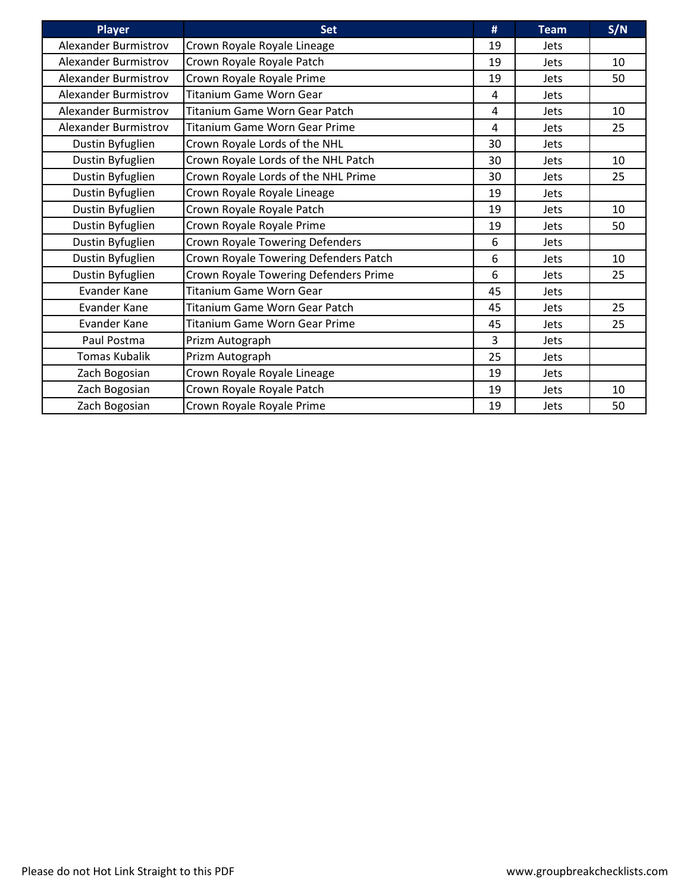| <b>Player</b>               | <b>Set</b>                            | #  | <b>Team</b> | S/N             |
|-----------------------------|---------------------------------------|----|-------------|-----------------|
| Alexander Burmistrov        | Crown Royale Royale Lineage           | 19 | <b>Jets</b> |                 |
| Alexander Burmistrov        | Crown Royale Royale Patch             | 19 | <b>Jets</b> | 10              |
| Alexander Burmistrov        | Crown Royale Royale Prime             | 19 | <b>Jets</b> | 50              |
| <b>Alexander Burmistrov</b> | <b>Titanium Game Worn Gear</b>        | 4  | <b>Jets</b> |                 |
| Alexander Burmistrov        | Titanium Game Worn Gear Patch         | 4  | <b>Jets</b> | 10              |
| Alexander Burmistrov        | Titanium Game Worn Gear Prime         | 4  | <b>Jets</b> | 25              |
| Dustin Byfuglien            | Crown Royale Lords of the NHL         | 30 | Jets        |                 |
| Dustin Byfuglien            | Crown Royale Lords of the NHL Patch   | 30 | <b>Jets</b> | 10 <sup>1</sup> |
| Dustin Byfuglien            | Crown Royale Lords of the NHL Prime   | 30 | <b>Jets</b> | 25              |
| Dustin Byfuglien            | Crown Royale Royale Lineage           | 19 | <b>Jets</b> |                 |
| Dustin Byfuglien            | Crown Royale Royale Patch             | 19 | <b>Jets</b> | 10              |
| Dustin Byfuglien            | Crown Royale Royale Prime             | 19 | <b>Jets</b> | 50              |
| Dustin Byfuglien            | Crown Royale Towering Defenders       | 6  | <b>Jets</b> |                 |
| Dustin Byfuglien            | Crown Royale Towering Defenders Patch | 6  | <b>Jets</b> | 10              |
| Dustin Byfuglien            | Crown Royale Towering Defenders Prime | 6  | <b>Jets</b> | 25              |
| Evander Kane                | <b>Titanium Game Worn Gear</b>        | 45 | <b>Jets</b> |                 |
| Evander Kane                | Titanium Game Worn Gear Patch         | 45 | <b>Jets</b> | 25              |
| <b>Evander Kane</b>         | <b>Titanium Game Worn Gear Prime</b>  | 45 | <b>Jets</b> | 25              |
| Paul Postma                 | Prizm Autograph                       | 3  | <b>Jets</b> |                 |
| <b>Tomas Kubalik</b>        | Prizm Autograph                       | 25 | <b>Jets</b> |                 |
| Zach Bogosian               | Crown Royale Royale Lineage           | 19 | <b>Jets</b> |                 |
| Zach Bogosian               | Crown Royale Royale Patch             | 19 | <b>Jets</b> | 10              |
| Zach Bogosian               | Crown Royale Royale Prime             | 19 | Jets        | 50              |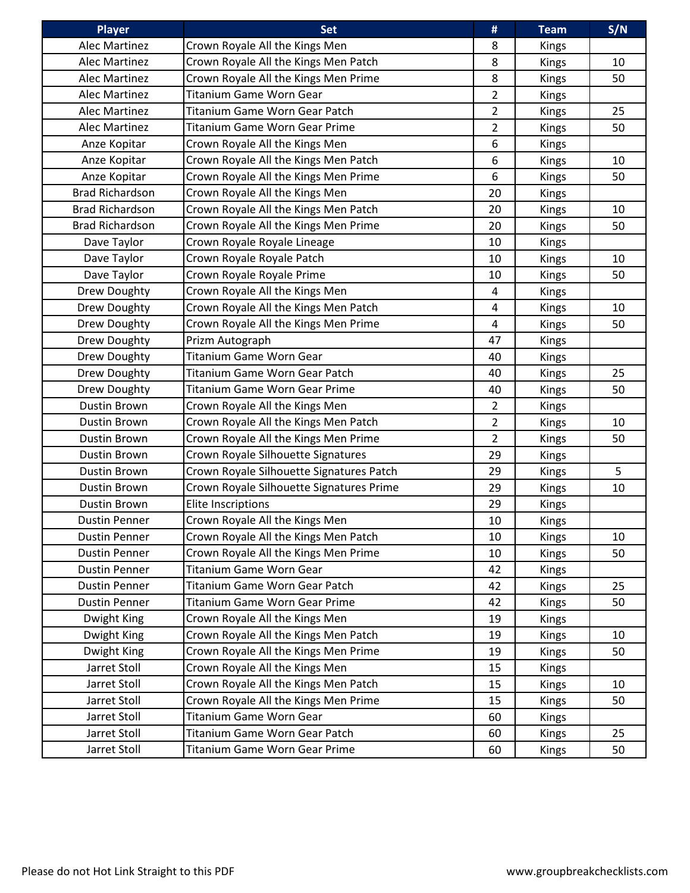| <b>Player</b>          | <b>Set</b>                               | #              | <b>Team</b>  | S/N |
|------------------------|------------------------------------------|----------------|--------------|-----|
| Alec Martinez          | Crown Royale All the Kings Men           | 8              | Kings        |     |
| Alec Martinez          | Crown Royale All the Kings Men Patch     | 8              | <b>Kings</b> | 10  |
| <b>Alec Martinez</b>   | Crown Royale All the Kings Men Prime     | 8              | Kings        | 50  |
| Alec Martinez          | Titanium Game Worn Gear                  | $\overline{2}$ | <b>Kings</b> |     |
| Alec Martinez          | Titanium Game Worn Gear Patch            | $\overline{2}$ | Kings        | 25  |
| Alec Martinez          | <b>Titanium Game Worn Gear Prime</b>     | $\overline{2}$ | Kings        | 50  |
| Anze Kopitar           | Crown Royale All the Kings Men           | 6              | Kings        |     |
| Anze Kopitar           | Crown Royale All the Kings Men Patch     | 6              | <b>Kings</b> | 10  |
| Anze Kopitar           | Crown Royale All the Kings Men Prime     | 6              | <b>Kings</b> | 50  |
| <b>Brad Richardson</b> | Crown Royale All the Kings Men           | 20             | Kings        |     |
| <b>Brad Richardson</b> | Crown Royale All the Kings Men Patch     | 20             | <b>Kings</b> | 10  |
| <b>Brad Richardson</b> | Crown Royale All the Kings Men Prime     | 20             | Kings        | 50  |
| Dave Taylor            | Crown Royale Royale Lineage              | 10             | Kings        |     |
| Dave Taylor            | Crown Royale Royale Patch                | 10             | <b>Kings</b> | 10  |
| Dave Taylor            | Crown Royale Royale Prime                | 10             | Kings        | 50  |
| Drew Doughty           | Crown Royale All the Kings Men           | 4              | Kings        |     |
| Drew Doughty           | Crown Royale All the Kings Men Patch     | $\overline{4}$ | Kings        | 10  |
| Drew Doughty           | Crown Royale All the Kings Men Prime     | $\overline{4}$ | Kings        | 50  |
| Drew Doughty           | Prizm Autograph                          | 47             | <b>Kings</b> |     |
| Drew Doughty           | <b>Titanium Game Worn Gear</b>           | 40             | Kings        |     |
| Drew Doughty           | Titanium Game Worn Gear Patch            | 40             | <b>Kings</b> | 25  |
| Drew Doughty           | Titanium Game Worn Gear Prime            | 40             | Kings        | 50  |
| Dustin Brown           | Crown Royale All the Kings Men           | $\overline{2}$ | <b>Kings</b> |     |
| <b>Dustin Brown</b>    | Crown Royale All the Kings Men Patch     | $\overline{2}$ | Kings        | 10  |
| Dustin Brown           | Crown Royale All the Kings Men Prime     | $\overline{2}$ | <b>Kings</b> | 50  |
| <b>Dustin Brown</b>    | Crown Royale Silhouette Signatures       | 29             | <b>Kings</b> |     |
| <b>Dustin Brown</b>    | Crown Royale Silhouette Signatures Patch | 29             | <b>Kings</b> | 5   |
| <b>Dustin Brown</b>    | Crown Royale Silhouette Signatures Prime | 29             | Kings        | 10  |
| Dustin Brown           | <b>Elite Inscriptions</b>                | 29             | Kings        |     |
| <b>Dustin Penner</b>   | Crown Royale All the Kings Men           | 10             | <b>Kings</b> |     |
| <b>Dustin Penner</b>   | Crown Royale All the Kings Men Patch     | 10             | <b>Kings</b> | 10  |
| <b>Dustin Penner</b>   | Crown Royale All the Kings Men Prime     | 10             | <b>Kings</b> | 50  |
| <b>Dustin Penner</b>   | Titanium Game Worn Gear                  | 42             | <b>Kings</b> |     |
| <b>Dustin Penner</b>   | Titanium Game Worn Gear Patch            | 42             | <b>Kings</b> | 25  |
| <b>Dustin Penner</b>   | Titanium Game Worn Gear Prime            | 42             | <b>Kings</b> | 50  |
| Dwight King            | Crown Royale All the Kings Men           | 19             | <b>Kings</b> |     |
| Dwight King            | Crown Royale All the Kings Men Patch     | 19             | <b>Kings</b> | 10  |
| Dwight King            | Crown Royale All the Kings Men Prime     | 19             | <b>Kings</b> | 50  |
| Jarret Stoll           | Crown Royale All the Kings Men           | 15             | <b>Kings</b> |     |
| Jarret Stoll           | Crown Royale All the Kings Men Patch     | 15             | <b>Kings</b> | 10  |
| Jarret Stoll           | Crown Royale All the Kings Men Prime     | 15             | <b>Kings</b> | 50  |
| Jarret Stoll           | Titanium Game Worn Gear                  | 60             | Kings        |     |
| Jarret Stoll           | Titanium Game Worn Gear Patch            | 60             | <b>Kings</b> | 25  |
| Jarret Stoll           | Titanium Game Worn Gear Prime            | 60             | Kings        | 50  |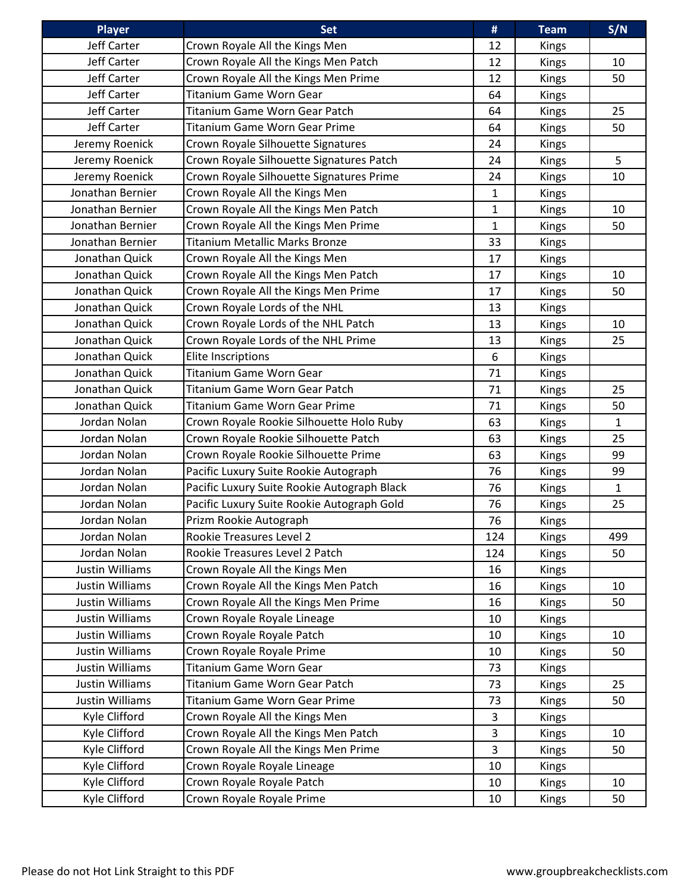| <b>Player</b>          | <b>Set</b>                                  | #            | <b>Team</b>  | S/N          |
|------------------------|---------------------------------------------|--------------|--------------|--------------|
| <b>Jeff Carter</b>     | Crown Royale All the Kings Men              | 12           | <b>Kings</b> |              |
| Jeff Carter            | Crown Royale All the Kings Men Patch        | 12           | <b>Kings</b> | 10           |
| Jeff Carter            | Crown Royale All the Kings Men Prime        | 12           | Kings        | 50           |
| Jeff Carter            | Titanium Game Worn Gear                     | 64           | <b>Kings</b> |              |
| Jeff Carter            | Titanium Game Worn Gear Patch               | 64           | <b>Kings</b> | 25           |
| Jeff Carter            | <b>Titanium Game Worn Gear Prime</b>        | 64           | <b>Kings</b> | 50           |
| Jeremy Roenick         | Crown Royale Silhouette Signatures          | 24           | <b>Kings</b> |              |
| Jeremy Roenick         | Crown Royale Silhouette Signatures Patch    | 24           | Kings        | 5            |
| Jeremy Roenick         | Crown Royale Silhouette Signatures Prime    | 24           | <b>Kings</b> | 10           |
| Jonathan Bernier       | Crown Royale All the Kings Men              | $\mathbf{1}$ | <b>Kings</b> |              |
| Jonathan Bernier       | Crown Royale All the Kings Men Patch        | 1            | Kings        | 10           |
| Jonathan Bernier       | Crown Royale All the Kings Men Prime        | $\mathbf{1}$ | <b>Kings</b> | 50           |
| Jonathan Bernier       | Titanium Metallic Marks Bronze              | 33           | Kings        |              |
| Jonathan Quick         | Crown Royale All the Kings Men              | 17           | <b>Kings</b> |              |
| Jonathan Quick         | Crown Royale All the Kings Men Patch        | 17           | Kings        | 10           |
| Jonathan Quick         | Crown Royale All the Kings Men Prime        | 17           | <b>Kings</b> | 50           |
| Jonathan Quick         | Crown Royale Lords of the NHL               | 13           | <b>Kings</b> |              |
| Jonathan Quick         | Crown Royale Lords of the NHL Patch         | 13           | <b>Kings</b> | 10           |
| Jonathan Quick         | Crown Royale Lords of the NHL Prime         | 13           | <b>Kings</b> | 25           |
| Jonathan Quick         | <b>Elite Inscriptions</b>                   | 6            | Kings        |              |
| Jonathan Quick         | Titanium Game Worn Gear                     | 71           | Kings        |              |
| Jonathan Quick         | Titanium Game Worn Gear Patch               | 71           | Kings        | 25           |
| Jonathan Quick         | <b>Titanium Game Worn Gear Prime</b>        | 71           | <b>Kings</b> | 50           |
| Jordan Nolan           | Crown Royale Rookie Silhouette Holo Ruby    | 63           | <b>Kings</b> | $\mathbf{1}$ |
| Jordan Nolan           | Crown Royale Rookie Silhouette Patch        | 63           | <b>Kings</b> | 25           |
| Jordan Nolan           | Crown Royale Rookie Silhouette Prime        | 63           | <b>Kings</b> | 99           |
| Jordan Nolan           | Pacific Luxury Suite Rookie Autograph       | 76           | <b>Kings</b> | 99           |
| Jordan Nolan           | Pacific Luxury Suite Rookie Autograph Black | 76           | Kings        | $\mathbf{1}$ |
| Jordan Nolan           | Pacific Luxury Suite Rookie Autograph Gold  | 76           | Kings        | 25           |
| Jordan Nolan           | Prizm Rookie Autograph                      | 76           | Kings        |              |
| Jordan Nolan           | Rookie Treasures Level 2                    | 124          | <b>Kings</b> | 499          |
| Jordan Nolan           | Rookie Treasures Level 2 Patch              | 124          | <b>Kings</b> | 50           |
| <b>Justin Williams</b> | Crown Royale All the Kings Men              | 16           | <b>Kings</b> |              |
| Justin Williams        | Crown Royale All the Kings Men Patch        | 16           | <b>Kings</b> | 10           |
| Justin Williams        | Crown Royale All the Kings Men Prime        | 16           | <b>Kings</b> | 50           |
| Justin Williams        | Crown Royale Royale Lineage                 | 10           | <b>Kings</b> |              |
| <b>Justin Williams</b> | Crown Royale Royale Patch                   | 10           | <b>Kings</b> | 10           |
| <b>Justin Williams</b> | Crown Royale Royale Prime                   | 10           | <b>Kings</b> | 50           |
| Justin Williams        | Titanium Game Worn Gear                     | 73           | <b>Kings</b> |              |
| <b>Justin Williams</b> | Titanium Game Worn Gear Patch               | 73           | <b>Kings</b> | 25           |
| <b>Justin Williams</b> | Titanium Game Worn Gear Prime               | 73           | <b>Kings</b> | 50           |
| Kyle Clifford          | Crown Royale All the Kings Men              | 3            | <b>Kings</b> |              |
| Kyle Clifford          | Crown Royale All the Kings Men Patch        | 3            | <b>Kings</b> | 10           |
| Kyle Clifford          | Crown Royale All the Kings Men Prime        | 3            | <b>Kings</b> | 50           |
| Kyle Clifford          | Crown Royale Royale Lineage                 | 10           | <b>Kings</b> |              |
| Kyle Clifford          | Crown Royale Royale Patch                   | 10           | <b>Kings</b> | 10           |
| Kyle Clifford          | Crown Royale Royale Prime                   | 10           | Kings        | 50           |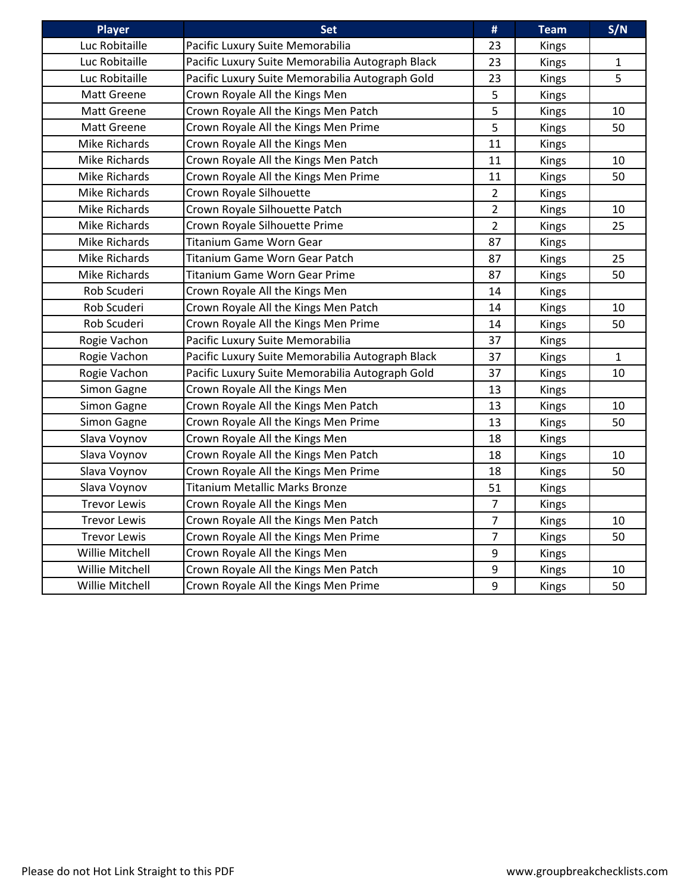| <b>Player</b>       | <b>Set</b>                                       | #              | <b>Team</b>  | S/N          |
|---------------------|--------------------------------------------------|----------------|--------------|--------------|
| Luc Robitaille      | Pacific Luxury Suite Memorabilia                 | 23             | <b>Kings</b> |              |
| Luc Robitaille      | Pacific Luxury Suite Memorabilia Autograph Black | 23             | <b>Kings</b> | 1            |
| Luc Robitaille      | Pacific Luxury Suite Memorabilia Autograph Gold  | 23             | <b>Kings</b> | 5            |
| Matt Greene         | Crown Royale All the Kings Men                   | 5              | Kings        |              |
| <b>Matt Greene</b>  | Crown Royale All the Kings Men Patch             | 5              | Kings        | 10           |
| <b>Matt Greene</b>  | Crown Royale All the Kings Men Prime             | 5              | <b>Kings</b> | 50           |
| Mike Richards       | Crown Royale All the Kings Men                   | 11             | <b>Kings</b> |              |
| Mike Richards       | Crown Royale All the Kings Men Patch             | 11             | <b>Kings</b> | 10           |
| Mike Richards       | Crown Royale All the Kings Men Prime             | 11             | <b>Kings</b> | 50           |
| Mike Richards       | Crown Royale Silhouette                          | $\overline{2}$ | <b>Kings</b> |              |
| Mike Richards       | Crown Royale Silhouette Patch                    | $\overline{2}$ | <b>Kings</b> | 10           |
| Mike Richards       | Crown Royale Silhouette Prime                    | $\overline{2}$ | <b>Kings</b> | 25           |
| Mike Richards       | <b>Titanium Game Worn Gear</b>                   | 87             | Kings        |              |
| Mike Richards       | Titanium Game Worn Gear Patch                    | 87             | <b>Kings</b> | 25           |
| Mike Richards       | <b>Titanium Game Worn Gear Prime</b>             | 87             | <b>Kings</b> | 50           |
| Rob Scuderi         | Crown Royale All the Kings Men                   | 14             | <b>Kings</b> |              |
| Rob Scuderi         | Crown Royale All the Kings Men Patch             | 14             | Kings        | 10           |
| Rob Scuderi         | Crown Royale All the Kings Men Prime             | 14             | Kings        | 50           |
| Rogie Vachon        | Pacific Luxury Suite Memorabilia                 | 37             | <b>Kings</b> |              |
| Rogie Vachon        | Pacific Luxury Suite Memorabilia Autograph Black | 37             | <b>Kings</b> | $\mathbf{1}$ |
| Rogie Vachon        | Pacific Luxury Suite Memorabilia Autograph Gold  | 37             | Kings        | 10           |
| Simon Gagne         | Crown Royale All the Kings Men                   | 13             | <b>Kings</b> |              |
| Simon Gagne         | Crown Royale All the Kings Men Patch             | 13             | <b>Kings</b> | 10           |
| Simon Gagne         | Crown Royale All the Kings Men Prime             | 13             | Kings        | 50           |
| Slava Voynov        | Crown Royale All the Kings Men                   | 18             | Kings        |              |
| Slava Voynov        | Crown Royale All the Kings Men Patch             | 18             | Kings        | 10           |
| Slava Voynov        | Crown Royale All the Kings Men Prime             | 18             | <b>Kings</b> | 50           |
| Slava Voynov        | <b>Titanium Metallic Marks Bronze</b>            | 51             | <b>Kings</b> |              |
| <b>Trevor Lewis</b> | Crown Royale All the Kings Men                   | $\overline{7}$ | Kings        |              |
| <b>Trevor Lewis</b> | Crown Royale All the Kings Men Patch             | $\overline{7}$ | Kings        | 10           |
| <b>Trevor Lewis</b> | Crown Royale All the Kings Men Prime             | $\overline{7}$ | Kings        | 50           |
| Willie Mitchell     | Crown Royale All the Kings Men                   | 9              | <b>Kings</b> |              |
| Willie Mitchell     | Crown Royale All the Kings Men Patch             | 9              | Kings        | 10           |
| Willie Mitchell     | Crown Royale All the Kings Men Prime             | 9              | Kings        | 50           |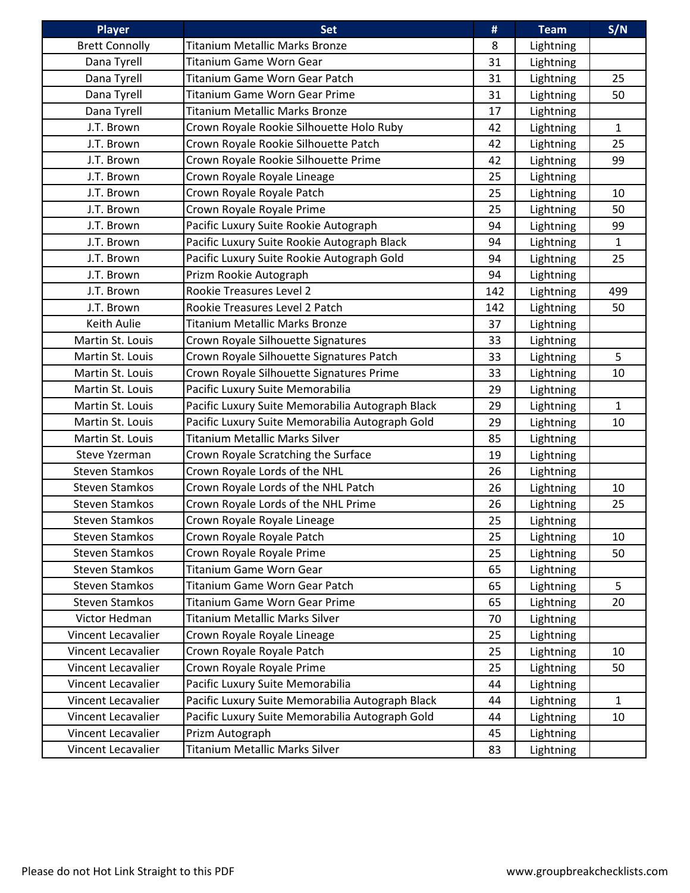| <b>Player</b>         | <b>Set</b>                                       | #   | <b>Team</b>      | S/N          |
|-----------------------|--------------------------------------------------|-----|------------------|--------------|
| <b>Brett Connolly</b> | <b>Titanium Metallic Marks Bronze</b>            | 8   | Lightning        |              |
| Dana Tyrell           | Titanium Game Worn Gear                          | 31  | Lightning        |              |
| Dana Tyrell           | Titanium Game Worn Gear Patch                    | 31  | Lightning        | 25           |
| Dana Tyrell           | <b>Titanium Game Worn Gear Prime</b>             | 31  | Lightning        | 50           |
| Dana Tyrell           | <b>Titanium Metallic Marks Bronze</b>            | 17  | Lightning        |              |
| J.T. Brown            | Crown Royale Rookie Silhouette Holo Ruby         | 42  | Lightning        | $\mathbf{1}$ |
| J.T. Brown            | Crown Royale Rookie Silhouette Patch             | 42  | Lightning        | 25           |
| J.T. Brown            | Crown Royale Rookie Silhouette Prime             | 42  | Lightning        | 99           |
| J.T. Brown            | Crown Royale Royale Lineage                      | 25  | Lightning        |              |
| J.T. Brown            | Crown Royale Royale Patch                        | 25  | Lightning        | 10           |
| J.T. Brown            | Crown Royale Royale Prime                        | 25  | Lightning        | 50           |
| J.T. Brown            | Pacific Luxury Suite Rookie Autograph            | 94  | Lightning        | 99           |
| J.T. Brown            | Pacific Luxury Suite Rookie Autograph Black      | 94  | Lightning        | $\mathbf{1}$ |
| J.T. Brown            | Pacific Luxury Suite Rookie Autograph Gold       | 94  | Lightning        | 25           |
| J.T. Brown            | Prizm Rookie Autograph                           | 94  | Lightning        |              |
| J.T. Brown            | Rookie Treasures Level 2                         | 142 | Lightning        | 499          |
| J.T. Brown            | Rookie Treasures Level 2 Patch                   | 142 | Lightning        | 50           |
| Keith Aulie           | <b>Titanium Metallic Marks Bronze</b>            | 37  | <b>Lightning</b> |              |
| Martin St. Louis      | Crown Royale Silhouette Signatures               | 33  | <b>Lightning</b> |              |
| Martin St. Louis      | Crown Royale Silhouette Signatures Patch         | 33  | Lightning        | 5            |
| Martin St. Louis      | Crown Royale Silhouette Signatures Prime         | 33  | Lightning        | 10           |
| Martin St. Louis      | Pacific Luxury Suite Memorabilia                 | 29  | Lightning        |              |
| Martin St. Louis      | Pacific Luxury Suite Memorabilia Autograph Black | 29  | <b>Lightning</b> | $\mathbf{1}$ |
| Martin St. Louis      | Pacific Luxury Suite Memorabilia Autograph Gold  | 29  | Lightning        | 10           |
| Martin St. Louis      | <b>Titanium Metallic Marks Silver</b>            | 85  | Lightning        |              |
| Steve Yzerman         | Crown Royale Scratching the Surface              | 19  | Lightning        |              |
| <b>Steven Stamkos</b> | Crown Royale Lords of the NHL                    | 26  | Lightning        |              |
| <b>Steven Stamkos</b> | Crown Royale Lords of the NHL Patch              | 26  | Lightning        | 10           |
| <b>Steven Stamkos</b> | Crown Royale Lords of the NHL Prime              | 26  | Lightning        | 25           |
| <b>Steven Stamkos</b> | Crown Royale Royale Lineage                      | 25  | Lightning        |              |
| <b>Steven Stamkos</b> | Crown Royale Royale Patch                        | 25  | <b>Lightning</b> | 10           |
| <b>Steven Stamkos</b> | Crown Royale Royale Prime                        | 25  | <b>Lightning</b> | 50           |
| <b>Steven Stamkos</b> | Titanium Game Worn Gear                          | 65  | Lightning        |              |
| <b>Steven Stamkos</b> | Titanium Game Worn Gear Patch                    | 65  | Lightning        | 5            |
| <b>Steven Stamkos</b> | Titanium Game Worn Gear Prime                    | 65  | Lightning        | 20           |
| Victor Hedman         | <b>Titanium Metallic Marks Silver</b>            | 70  | Lightning        |              |
| Vincent Lecavalier    | Crown Royale Royale Lineage                      | 25  | <b>Lightning</b> |              |
| Vincent Lecavalier    | Crown Royale Royale Patch                        | 25  | Lightning        | 10           |
| Vincent Lecavalier    | Crown Royale Royale Prime                        | 25  | Lightning        | 50           |
| Vincent Lecavalier    | Pacific Luxury Suite Memorabilia                 | 44  | <b>Lightning</b> |              |
| Vincent Lecavalier    | Pacific Luxury Suite Memorabilia Autograph Black | 44  | Lightning        | $\mathbf{1}$ |
| Vincent Lecavalier    | Pacific Luxury Suite Memorabilia Autograph Gold  | 44  | Lightning        | 10           |
| Vincent Lecavalier    | Prizm Autograph                                  | 45  | Lightning        |              |
| Vincent Lecavalier    | Titanium Metallic Marks Silver                   | 83  | Lightning        |              |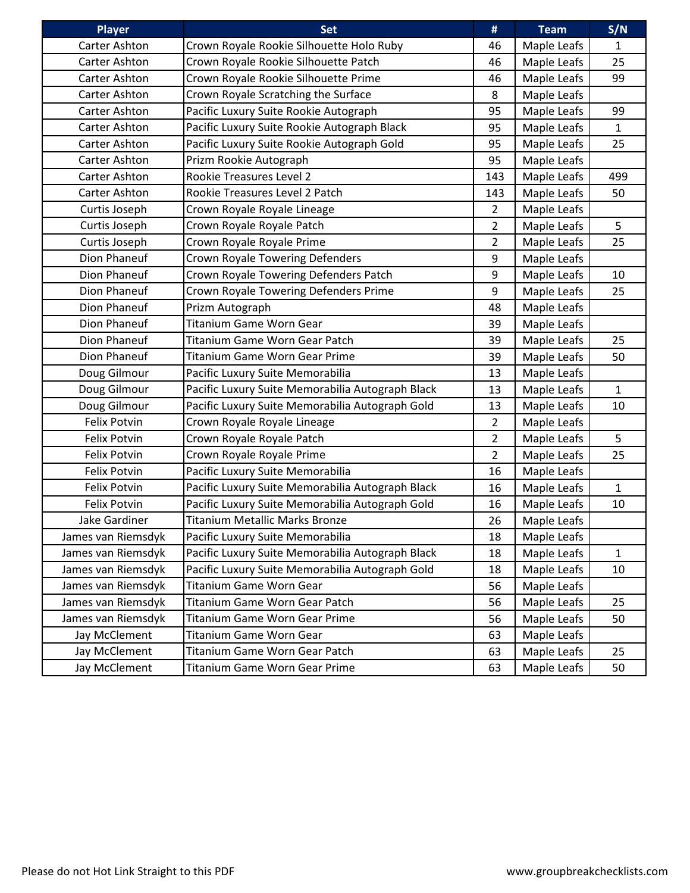| <b>Player</b>        | <b>Set</b>                                       | #              | <b>Team</b> | S/N          |
|----------------------|--------------------------------------------------|----------------|-------------|--------------|
| Carter Ashton        | Crown Royale Rookie Silhouette Holo Ruby         | 46             | Maple Leafs | 1            |
| <b>Carter Ashton</b> | Crown Royale Rookie Silhouette Patch             | 46             | Maple Leafs | 25           |
| Carter Ashton        | Crown Royale Rookie Silhouette Prime             | 46             | Maple Leafs | 99           |
| Carter Ashton        | Crown Royale Scratching the Surface              | 8              | Maple Leafs |              |
| Carter Ashton        | Pacific Luxury Suite Rookie Autograph            | 95             | Maple Leafs | 99           |
| Carter Ashton        | Pacific Luxury Suite Rookie Autograph Black      | 95             | Maple Leafs | $\mathbf{1}$ |
| Carter Ashton        | Pacific Luxury Suite Rookie Autograph Gold       | 95             | Maple Leafs | 25           |
| Carter Ashton        | Prizm Rookie Autograph                           | 95             | Maple Leafs |              |
| Carter Ashton        | Rookie Treasures Level 2                         | 143            | Maple Leafs | 499          |
| Carter Ashton        | Rookie Treasures Level 2 Patch                   | 143            | Maple Leafs | 50           |
| Curtis Joseph        | Crown Royale Royale Lineage                      | 2              | Maple Leafs |              |
| Curtis Joseph        | Crown Royale Royale Patch                        | $\overline{2}$ | Maple Leafs | 5            |
| Curtis Joseph        | Crown Royale Royale Prime                        | $\overline{2}$ | Maple Leafs | 25           |
| Dion Phaneuf         | Crown Royale Towering Defenders                  | 9              | Maple Leafs |              |
| Dion Phaneuf         | Crown Royale Towering Defenders Patch            | 9              | Maple Leafs | 10           |
| Dion Phaneuf         | Crown Royale Towering Defenders Prime            | 9              | Maple Leafs | 25           |
| Dion Phaneuf         | Prizm Autograph                                  | 48             | Maple Leafs |              |
| Dion Phaneuf         | Titanium Game Worn Gear                          | 39             | Maple Leafs |              |
| Dion Phaneuf         | <b>Titanium Game Worn Gear Patch</b>             | 39             | Maple Leafs | 25           |
| Dion Phaneuf         | <b>Titanium Game Worn Gear Prime</b>             | 39             | Maple Leafs | 50           |
| Doug Gilmour         | Pacific Luxury Suite Memorabilia                 | 13             | Maple Leafs |              |
| Doug Gilmour         | Pacific Luxury Suite Memorabilia Autograph Black | 13             | Maple Leafs | $\mathbf{1}$ |
| Doug Gilmour         | Pacific Luxury Suite Memorabilia Autograph Gold  | 13             | Maple Leafs | 10           |
| Felix Potvin         | Crown Royale Royale Lineage                      | $\overline{2}$ | Maple Leafs |              |
| Felix Potvin         | Crown Royale Royale Patch                        | $\overline{2}$ | Maple Leafs | 5            |
| Felix Potvin         | Crown Royale Royale Prime                        | $\overline{2}$ | Maple Leafs | 25           |
| <b>Felix Potvin</b>  | Pacific Luxury Suite Memorabilia                 | 16             | Maple Leafs |              |
| Felix Potvin         | Pacific Luxury Suite Memorabilia Autograph Black | 16             | Maple Leafs | $\mathbf{1}$ |
| <b>Felix Potvin</b>  | Pacific Luxury Suite Memorabilia Autograph Gold  | 16             | Maple Leafs | 10           |
| Jake Gardiner        | <b>Titanium Metallic Marks Bronze</b>            | 26             | Maple Leafs |              |
| James van Riemsdyk   | Pacific Luxury Suite Memorabilia                 | 18             | Maple Leafs |              |
| James van Riemsdyk   | Pacific Luxury Suite Memorabilia Autograph Black | 18             | Maple Leafs | $\mathbf 1$  |
| James van Riemsdyk   | Pacific Luxury Suite Memorabilia Autograph Gold  | 18             | Maple Leafs | 10           |
| James van Riemsdyk   | Titanium Game Worn Gear                          | 56             | Maple Leafs |              |
| James van Riemsdyk   | Titanium Game Worn Gear Patch                    | 56             | Maple Leafs | 25           |
| James van Riemsdyk   | <b>Titanium Game Worn Gear Prime</b>             | 56             | Maple Leafs | 50           |
| Jay McClement        | Titanium Game Worn Gear                          | 63             | Maple Leafs |              |
| Jay McClement        | Titanium Game Worn Gear Patch                    | 63             | Maple Leafs | 25           |
| Jay McClement        | <b>Titanium Game Worn Gear Prime</b>             | 63             | Maple Leafs | 50           |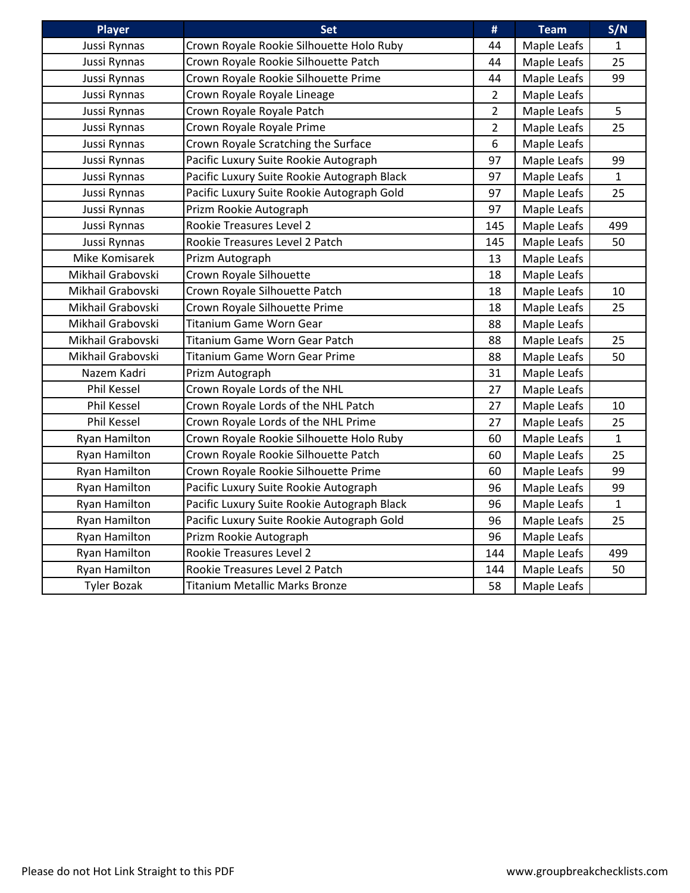| Player               | <b>Set</b>                                  | #              | <b>Team</b> | S/N          |
|----------------------|---------------------------------------------|----------------|-------------|--------------|
| Jussi Rynnas         | Crown Royale Rookie Silhouette Holo Ruby    | 44             | Maple Leafs | 1            |
| Jussi Rynnas         | Crown Royale Rookie Silhouette Patch        | 44             | Maple Leafs | 25           |
| Jussi Rynnas         | Crown Royale Rookie Silhouette Prime        | 44             | Maple Leafs | 99           |
| Jussi Rynnas         | Crown Royale Royale Lineage                 | $\overline{2}$ | Maple Leafs |              |
| Jussi Rynnas         | Crown Royale Royale Patch                   | $\overline{2}$ | Maple Leafs | 5            |
| Jussi Rynnas         | Crown Royale Royale Prime                   | $\overline{2}$ | Maple Leafs | 25           |
| Jussi Rynnas         | Crown Royale Scratching the Surface         | 6              | Maple Leafs |              |
| Jussi Rynnas         | Pacific Luxury Suite Rookie Autograph       | 97             | Maple Leafs | 99           |
| Jussi Rynnas         | Pacific Luxury Suite Rookie Autograph Black | 97             | Maple Leafs | $\mathbf 1$  |
| Jussi Rynnas         | Pacific Luxury Suite Rookie Autograph Gold  | 97             | Maple Leafs | 25           |
| Jussi Rynnas         | Prizm Rookie Autograph                      | 97             | Maple Leafs |              |
| Jussi Rynnas         | Rookie Treasures Level 2                    | 145            | Maple Leafs | 499          |
| Jussi Rynnas         | Rookie Treasures Level 2 Patch              | 145            | Maple Leafs | 50           |
| Mike Komisarek       | Prizm Autograph                             | 13             | Maple Leafs |              |
| Mikhail Grabovski    | Crown Royale Silhouette                     | 18             | Maple Leafs |              |
| Mikhail Grabovski    | Crown Royale Silhouette Patch               | 18             | Maple Leafs | 10           |
| Mikhail Grabovski    | Crown Royale Silhouette Prime               | 18             | Maple Leafs | 25           |
| Mikhail Grabovski    | <b>Titanium Game Worn Gear</b>              | 88             | Maple Leafs |              |
| Mikhail Grabovski    | Titanium Game Worn Gear Patch               | 88             | Maple Leafs | 25           |
| Mikhail Grabovski    | <b>Titanium Game Worn Gear Prime</b>        | 88             | Maple Leafs | 50           |
| Nazem Kadri          | Prizm Autograph                             | 31             | Maple Leafs |              |
| <b>Phil Kessel</b>   | Crown Royale Lords of the NHL               | 27             | Maple Leafs |              |
| <b>Phil Kessel</b>   | Crown Royale Lords of the NHL Patch         | 27             | Maple Leafs | 10           |
| <b>Phil Kessel</b>   | Crown Royale Lords of the NHL Prime         | 27             | Maple Leafs | 25           |
| Ryan Hamilton        | Crown Royale Rookie Silhouette Holo Ruby    | 60             | Maple Leafs | $\mathbf{1}$ |
| <b>Ryan Hamilton</b> | Crown Royale Rookie Silhouette Patch        | 60             | Maple Leafs | 25           |
| <b>Ryan Hamilton</b> | Crown Royale Rookie Silhouette Prime        | 60             | Maple Leafs | 99           |
| Ryan Hamilton        | Pacific Luxury Suite Rookie Autograph       | 96             | Maple Leafs | 99           |
| Ryan Hamilton        | Pacific Luxury Suite Rookie Autograph Black | 96             | Maple Leafs | $\mathbf{1}$ |
| <b>Ryan Hamilton</b> | Pacific Luxury Suite Rookie Autograph Gold  | 96             | Maple Leafs | 25           |
| Ryan Hamilton        | Prizm Rookie Autograph                      | 96             | Maple Leafs |              |
| <b>Ryan Hamilton</b> | Rookie Treasures Level 2                    | 144            | Maple Leafs | 499          |
| Ryan Hamilton        | Rookie Treasures Level 2 Patch              | 144            | Maple Leafs | 50           |
| <b>Tyler Bozak</b>   | <b>Titanium Metallic Marks Bronze</b>       | 58             | Maple Leafs |              |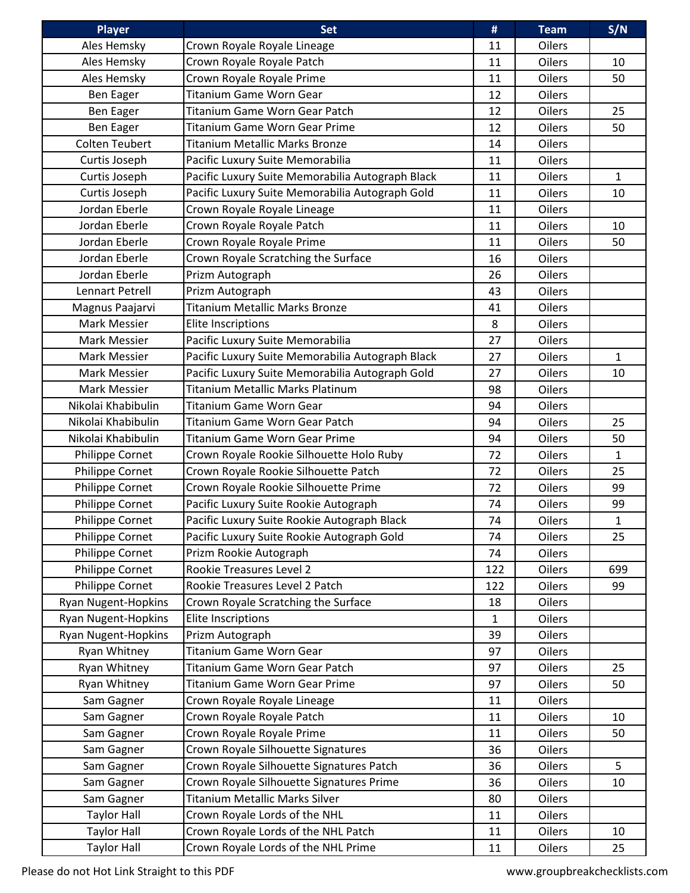| <b>Player</b>              | <b>Set</b>                                       | #            | <b>Team</b>   | S/N          |
|----------------------------|--------------------------------------------------|--------------|---------------|--------------|
| Ales Hemsky                | Crown Royale Royale Lineage                      | 11           | Oilers        |              |
| Ales Hemsky                | Crown Royale Royale Patch                        | 11           | <b>Oilers</b> | 10           |
| Ales Hemsky                | Crown Royale Royale Prime                        | 11           | <b>Oilers</b> | 50           |
| Ben Eager                  | <b>Titanium Game Worn Gear</b>                   | 12           | <b>Oilers</b> |              |
| Ben Eager                  | Titanium Game Worn Gear Patch                    | 12           | <b>Oilers</b> | 25           |
| Ben Eager                  | <b>Titanium Game Worn Gear Prime</b>             | 12           | Oilers        | 50           |
| <b>Colten Teubert</b>      | <b>Titanium Metallic Marks Bronze</b>            | 14           | <b>Oilers</b> |              |
| Curtis Joseph              | Pacific Luxury Suite Memorabilia                 | 11           | <b>Oilers</b> |              |
| Curtis Joseph              | Pacific Luxury Suite Memorabilia Autograph Black | 11           | <b>Oilers</b> | $\mathbf{1}$ |
| Curtis Joseph              | Pacific Luxury Suite Memorabilia Autograph Gold  | 11           | <b>Oilers</b> | 10           |
| Jordan Eberle              | Crown Royale Royale Lineage                      | 11           | Oilers        |              |
| Jordan Eberle              | Crown Royale Royale Patch                        | 11           | <b>Oilers</b> | 10           |
| Jordan Eberle              | Crown Royale Royale Prime                        | 11           | <b>Oilers</b> | 50           |
| Jordan Eberle              | Crown Royale Scratching the Surface              | 16           | <b>Oilers</b> |              |
| Jordan Eberle              | Prizm Autograph                                  | 26           | Oilers        |              |
| Lennart Petrell            | Prizm Autograph                                  | 43           | Oilers        |              |
| Magnus Paajarvi            | Titanium Metallic Marks Bronze                   | 41           | <b>Oilers</b> |              |
| Mark Messier               | <b>Elite Inscriptions</b>                        | 8            | <b>Oilers</b> |              |
| Mark Messier               | Pacific Luxury Suite Memorabilia                 | 27           | <b>Oilers</b> |              |
| Mark Messier               | Pacific Luxury Suite Memorabilia Autograph Black | 27           | Oilers        | $\mathbf{1}$ |
| Mark Messier               | Pacific Luxury Suite Memorabilia Autograph Gold  | 27           | <b>Oilers</b> | 10           |
| Mark Messier               | <b>Titanium Metallic Marks Platinum</b>          |              |               |              |
| Nikolai Khabibulin         |                                                  | 98           | <b>Oilers</b> |              |
|                            | <b>Titanium Game Worn Gear</b>                   | 94           | <b>Oilers</b> |              |
| Nikolai Khabibulin         | Titanium Game Worn Gear Patch                    | 94           | <b>Oilers</b> | 25           |
| Nikolai Khabibulin         | <b>Titanium Game Worn Gear Prime</b>             | 94           | <b>Oilers</b> | 50           |
| Philippe Cornet            | Crown Royale Rookie Silhouette Holo Ruby         | 72           | <b>Oilers</b> | $\mathbf{1}$ |
| Philippe Cornet            | Crown Royale Rookie Silhouette Patch             | 72           | <b>Oilers</b> | 25           |
| Philippe Cornet            | Crown Royale Rookie Silhouette Prime             | 72           | <b>Oilers</b> | 99           |
| Philippe Cornet            | Pacific Luxury Suite Rookie Autograph            | 74           | <b>Oilers</b> | 99           |
| Philippe Cornet            | Pacific Luxury Suite Rookie Autograph Black      | 74           | <b>Oilers</b> | $\mathbf{1}$ |
| Philippe Cornet            | Pacific Luxury Suite Rookie Autograph Gold       | 74           | Oilers        | 25           |
| Philippe Cornet            | Prizm Rookie Autograph                           | 74           | Oilers        |              |
| Philippe Cornet            | Rookie Treasures Level 2                         | 122          | Oilers        | 699          |
| Philippe Cornet            | Rookie Treasures Level 2 Patch                   | 122          | <b>Oilers</b> | 99           |
| Ryan Nugent-Hopkins        | Crown Royale Scratching the Surface              | 18           | <b>Oilers</b> |              |
| <b>Ryan Nugent-Hopkins</b> | <b>Elite Inscriptions</b>                        | $\mathbf{1}$ | Oilers        |              |
| Ryan Nugent-Hopkins        | Prizm Autograph                                  | 39           | Oilers        |              |
| Ryan Whitney               | Titanium Game Worn Gear                          | 97           | Oilers        |              |
| Ryan Whitney               | Titanium Game Worn Gear Patch                    | 97           | <b>Oilers</b> | 25           |
| Ryan Whitney               | Titanium Game Worn Gear Prime                    | 97           | <b>Oilers</b> | 50           |
| Sam Gagner                 | Crown Royale Royale Lineage                      | 11           | Oilers        |              |
| Sam Gagner                 | Crown Royale Royale Patch                        | 11           | Oilers        | 10           |
| Sam Gagner                 | Crown Royale Royale Prime                        | 11           | Oilers        | 50           |
| Sam Gagner                 | Crown Royale Silhouette Signatures               | 36           | Oilers        |              |
| Sam Gagner                 | Crown Royale Silhouette Signatures Patch         | 36           | <b>Oilers</b> | 5            |
| Sam Gagner                 | Crown Royale Silhouette Signatures Prime         | 36           | Oilers        | 10           |
| Sam Gagner                 | Titanium Metallic Marks Silver                   | 80           | Oilers        |              |
| <b>Taylor Hall</b>         | Crown Royale Lords of the NHL                    | 11           | Oilers        |              |
| <b>Taylor Hall</b>         | Crown Royale Lords of the NHL Patch              | 11           | <b>Oilers</b> | 10           |
| <b>Taylor Hall</b>         | Crown Royale Lords of the NHL Prime              | 11           | Oilers        | 25           |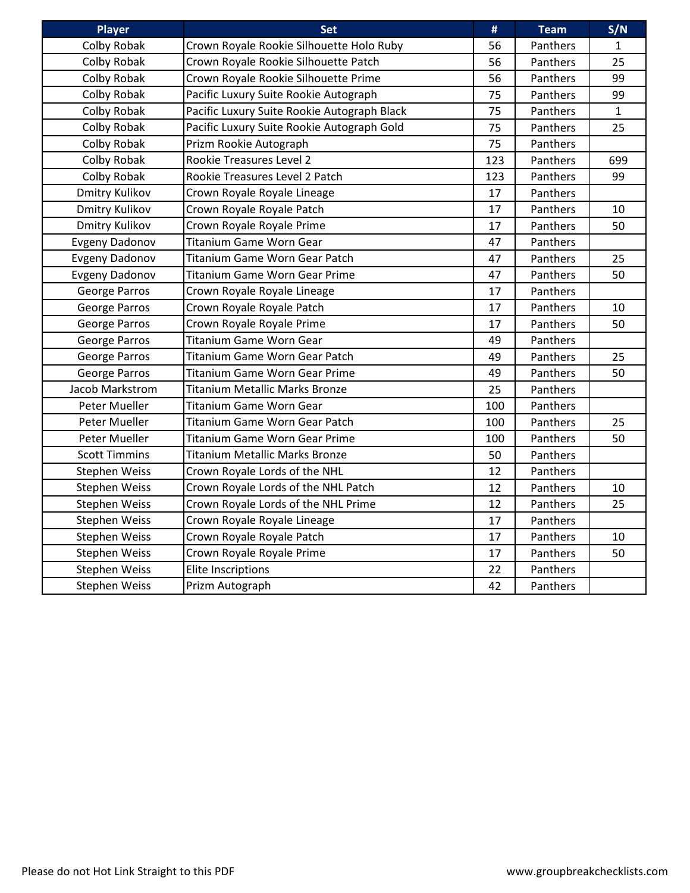| <b>Player</b>         | <b>Set</b>                                  | #   | <b>Team</b>     | S/N          |
|-----------------------|---------------------------------------------|-----|-----------------|--------------|
| Colby Robak           | Crown Royale Rookie Silhouette Holo Ruby    | 56  | Panthers        | $\mathbf{1}$ |
| Colby Robak           | Crown Royale Rookie Silhouette Patch        | 56  | Panthers        | 25           |
| Colby Robak           | Crown Royale Rookie Silhouette Prime        | 56  | Panthers        | 99           |
| Colby Robak           | Pacific Luxury Suite Rookie Autograph       | 75  | Panthers        | 99           |
| Colby Robak           | Pacific Luxury Suite Rookie Autograph Black | 75  | Panthers        | $\mathbf{1}$ |
| Colby Robak           | Pacific Luxury Suite Rookie Autograph Gold  | 75  | Panthers        | 25           |
| Colby Robak           | Prizm Rookie Autograph                      | 75  | Panthers        |              |
| Colby Robak           | Rookie Treasures Level 2                    | 123 | Panthers        | 699          |
| Colby Robak           | Rookie Treasures Level 2 Patch              | 123 | Panthers        | 99           |
| <b>Dmitry Kulikov</b> | Crown Royale Royale Lineage                 | 17  | Panthers        |              |
| <b>Dmitry Kulikov</b> | Crown Royale Royale Patch                   | 17  | Panthers        | 10           |
| <b>Dmitry Kulikov</b> | Crown Royale Royale Prime                   | 17  | Panthers        | 50           |
| <b>Evgeny Dadonov</b> | <b>Titanium Game Worn Gear</b>              | 47  | Panthers        |              |
| <b>Evgeny Dadonov</b> | Titanium Game Worn Gear Patch               | 47  | Panthers        | 25           |
| <b>Evgeny Dadonov</b> | <b>Titanium Game Worn Gear Prime</b>        | 47  | Panthers        | 50           |
| George Parros         | Crown Royale Royale Lineage                 | 17  | Panthers        |              |
| George Parros         | Crown Royale Royale Patch                   | 17  | Panthers        | 10           |
| <b>George Parros</b>  | Crown Royale Royale Prime                   | 17  | Panthers        | 50           |
| George Parros         | <b>Titanium Game Worn Gear</b>              | 49  | Panthers        |              |
| George Parros         | Titanium Game Worn Gear Patch               | 49  | Panthers        | 25           |
| <b>George Parros</b>  | <b>Titanium Game Worn Gear Prime</b>        | 49  | <b>Panthers</b> | 50           |
| Jacob Markstrom       | <b>Titanium Metallic Marks Bronze</b>       | 25  | Panthers        |              |
| Peter Mueller         | <b>Titanium Game Worn Gear</b>              | 100 | Panthers        |              |
| Peter Mueller         | Titanium Game Worn Gear Patch               | 100 | Panthers        | 25           |
| Peter Mueller         | <b>Titanium Game Worn Gear Prime</b>        | 100 | Panthers        | 50           |
| <b>Scott Timmins</b>  | <b>Titanium Metallic Marks Bronze</b>       | 50  | Panthers        |              |
| Stephen Weiss         | Crown Royale Lords of the NHL               | 12  | Panthers        |              |
| <b>Stephen Weiss</b>  | Crown Royale Lords of the NHL Patch         | 12  | Panthers        | 10           |
| <b>Stephen Weiss</b>  | Crown Royale Lords of the NHL Prime         | 12  | Panthers        | 25           |
| <b>Stephen Weiss</b>  | Crown Royale Royale Lineage                 | 17  | Panthers        |              |
| <b>Stephen Weiss</b>  | Crown Royale Royale Patch                   | 17  | Panthers        | 10           |
| <b>Stephen Weiss</b>  | Crown Royale Royale Prime                   | 17  | Panthers        | 50           |
| Stephen Weiss         | <b>Elite Inscriptions</b>                   | 22  | Panthers        |              |
| <b>Stephen Weiss</b>  | Prizm Autograph                             | 42  | Panthers        |              |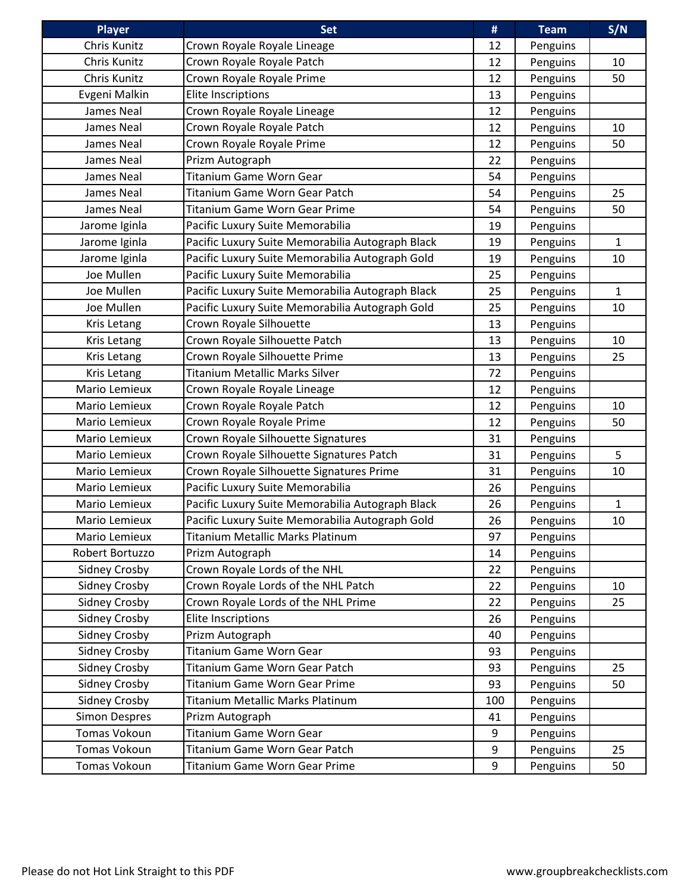| <b>Player</b>        | <b>Set</b>                                       | #   | <b>Team</b> | S/N          |
|----------------------|--------------------------------------------------|-----|-------------|--------------|
| Chris Kunitz         | Crown Royale Royale Lineage                      | 12  | Penguins    |              |
| Chris Kunitz         | Crown Royale Royale Patch                        | 12  | Penguins    | 10           |
| Chris Kunitz         | Crown Royale Royale Prime                        | 12  | Penguins    | 50           |
| Evgeni Malkin        | <b>Elite Inscriptions</b>                        | 13  | Penguins    |              |
| James Neal           | Crown Royale Royale Lineage                      | 12  | Penguins    |              |
| James Neal           | Crown Royale Royale Patch                        | 12  | Penguins    | 10           |
| James Neal           | Crown Royale Royale Prime                        | 12  | Penguins    | 50           |
| James Neal           | Prizm Autograph                                  | 22  | Penguins    |              |
| James Neal           | Titanium Game Worn Gear                          | 54  | Penguins    |              |
| James Neal           | Titanium Game Worn Gear Patch                    | 54  | Penguins    | 25           |
| James Neal           | <b>Titanium Game Worn Gear Prime</b>             | 54  | Penguins    | 50           |
| Jarome Iginla        | Pacific Luxury Suite Memorabilia                 | 19  | Penguins    |              |
| Jarome Iginla        | Pacific Luxury Suite Memorabilia Autograph Black | 19  | Penguins    | $\mathbf{1}$ |
| Jarome Iginla        | Pacific Luxury Suite Memorabilia Autograph Gold  | 19  | Penguins    | 10           |
| Joe Mullen           | Pacific Luxury Suite Memorabilia                 | 25  | Penguins    |              |
| Joe Mullen           | Pacific Luxury Suite Memorabilia Autograph Black | 25  | Penguins    | $\mathbf{1}$ |
| Joe Mullen           | Pacific Luxury Suite Memorabilia Autograph Gold  | 25  | Penguins    | 10           |
| Kris Letang          | Crown Royale Silhouette                          | 13  | Penguins    |              |
| Kris Letang          | Crown Royale Silhouette Patch                    | 13  | Penguins    | 10           |
| Kris Letang          | Crown Royale Silhouette Prime                    | 13  | Penguins    | 25           |
| Kris Letang          | Titanium Metallic Marks Silver                   | 72  | Penguins    |              |
| Mario Lemieux        | Crown Royale Royale Lineage                      | 12  | Penguins    |              |
| Mario Lemieux        | Crown Royale Royale Patch                        | 12  | Penguins    | 10           |
| Mario Lemieux        | Crown Royale Royale Prime                        | 12  | Penguins    | 50           |
| Mario Lemieux        | Crown Royale Silhouette Signatures               | 31  | Penguins    |              |
| Mario Lemieux        | Crown Royale Silhouette Signatures Patch         | 31  | Penguins    | 5            |
| Mario Lemieux        | Crown Royale Silhouette Signatures Prime         | 31  | Penguins    | 10           |
| Mario Lemieux        | Pacific Luxury Suite Memorabilia                 | 26  | Penguins    |              |
| Mario Lemieux        | Pacific Luxury Suite Memorabilia Autograph Black | 26  | Penguins    | $\mathbf{1}$ |
| Mario Lemieux        | Pacific Luxury Suite Memorabilia Autograph Gold  | 26  | Penguins    | 10           |
| Mario Lemieux        | Titanium Metallic Marks Platinum                 | 97  | Penguins    |              |
| Robert Bortuzzo      | Prizm Autograph                                  | 14  | Penguins    |              |
| <b>Sidney Crosby</b> | Crown Royale Lords of the NHL                    | 22  | Penguins    |              |
| <b>Sidney Crosby</b> | Crown Royale Lords of the NHL Patch              | 22  | Penguins    | 10           |
| Sidney Crosby        | Crown Royale Lords of the NHL Prime              | 22  | Penguins    | 25           |
| <b>Sidney Crosby</b> | Elite Inscriptions                               | 26  | Penguins    |              |
| <b>Sidney Crosby</b> | Prizm Autograph                                  | 40  | Penguins    |              |
| <b>Sidney Crosby</b> | Titanium Game Worn Gear                          | 93  | Penguins    |              |
| <b>Sidney Crosby</b> | Titanium Game Worn Gear Patch                    | 93  | Penguins    | 25           |
| Sidney Crosby        | Titanium Game Worn Gear Prime                    | 93  | Penguins    | 50           |
| <b>Sidney Crosby</b> | Titanium Metallic Marks Platinum                 | 100 | Penguins    |              |
| <b>Simon Despres</b> | Prizm Autograph                                  | 41  | Penguins    |              |
| Tomas Vokoun         | Titanium Game Worn Gear                          | 9   | Penguins    |              |
| Tomas Vokoun         | Titanium Game Worn Gear Patch                    | 9   | Penguins    | 25           |
| Tomas Vokoun         | Titanium Game Worn Gear Prime                    | 9   | Penguins    | 50           |
|                      |                                                  |     |             |              |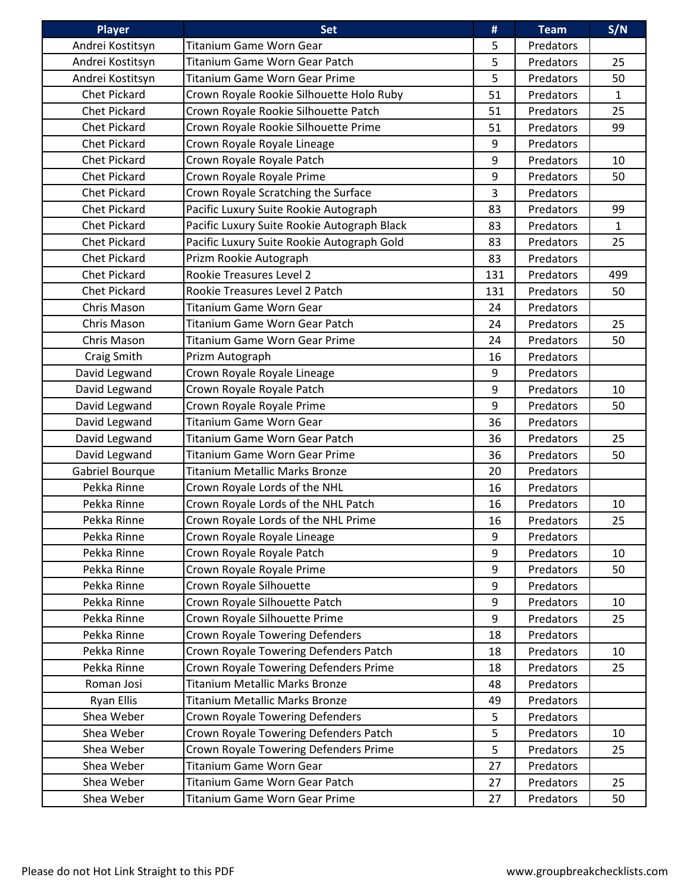| Player              | <b>Set</b>                                  | #   | <b>Team</b> | S/N          |
|---------------------|---------------------------------------------|-----|-------------|--------------|
| Andrei Kostitsyn    | Titanium Game Worn Gear                     | 5   | Predators   |              |
| Andrei Kostitsyn    | Titanium Game Worn Gear Patch               | 5   | Predators   | 25           |
| Andrei Kostitsyn    | <b>Titanium Game Worn Gear Prime</b>        | 5   | Predators   | 50           |
| Chet Pickard        | Crown Royale Rookie Silhouette Holo Ruby    | 51  | Predators   | $\mathbf{1}$ |
| Chet Pickard        | Crown Royale Rookie Silhouette Patch        | 51  | Predators   | 25           |
| Chet Pickard        | Crown Royale Rookie Silhouette Prime        | 51  | Predators   | 99           |
| Chet Pickard        | Crown Royale Royale Lineage                 | 9   | Predators   |              |
| Chet Pickard        | Crown Royale Royale Patch                   | 9   | Predators   | 10           |
| Chet Pickard        | Crown Royale Royale Prime                   | 9   | Predators   | 50           |
| <b>Chet Pickard</b> | Crown Royale Scratching the Surface         | 3   | Predators   |              |
| Chet Pickard        | Pacific Luxury Suite Rookie Autograph       | 83  | Predators   | 99           |
| Chet Pickard        | Pacific Luxury Suite Rookie Autograph Black | 83  | Predators   | $\mathbf{1}$ |
| Chet Pickard        | Pacific Luxury Suite Rookie Autograph Gold  | 83  | Predators   | 25           |
| Chet Pickard        | Prizm Rookie Autograph                      | 83  | Predators   |              |
| Chet Pickard        | Rookie Treasures Level 2                    | 131 | Predators   | 499          |
| Chet Pickard        | Rookie Treasures Level 2 Patch              | 131 | Predators   | 50           |
| Chris Mason         | <b>Titanium Game Worn Gear</b>              | 24  | Predators   |              |
| Chris Mason         | Titanium Game Worn Gear Patch               | 24  | Predators   | 25           |
| Chris Mason         | <b>Titanium Game Worn Gear Prime</b>        | 24  | Predators   | 50           |
| Craig Smith         | Prizm Autograph                             | 16  | Predators   |              |
| David Legwand       | Crown Royale Royale Lineage                 | 9   | Predators   |              |
| David Legwand       | Crown Royale Royale Patch                   | 9   | Predators   | 10           |
| David Legwand       | Crown Royale Royale Prime                   | 9   | Predators   | 50           |
| David Legwand       | Titanium Game Worn Gear                     | 36  | Predators   |              |
| David Legwand       | Titanium Game Worn Gear Patch               | 36  | Predators   | 25           |
| David Legwand       | <b>Titanium Game Worn Gear Prime</b>        | 36  | Predators   | 50           |
| Gabriel Bourque     | <b>Titanium Metallic Marks Bronze</b>       | 20  | Predators   |              |
| Pekka Rinne         | Crown Royale Lords of the NHL               | 16  | Predators   |              |
| Pekka Rinne         | Crown Royale Lords of the NHL Patch         | 16  | Predators   | 10           |
| Pekka Rinne         | Crown Royale Lords of the NHL Prime         | 16  | Predators   | 25           |
| Pekka Rinne         | Crown Royale Royale Lineage                 | 9   | Predators   |              |
| Pekka Rinne         | Crown Royale Royale Patch                   | 9   | Predators   | 10           |
| Pekka Rinne         | Crown Royale Royale Prime                   | 9   | Predators   | 50           |
| Pekka Rinne         | Crown Royale Silhouette                     | 9   | Predators   |              |
| Pekka Rinne         | Crown Royale Silhouette Patch               | 9   | Predators   | 10           |
| Pekka Rinne         | Crown Royale Silhouette Prime               | 9   | Predators   | 25           |
| Pekka Rinne         | Crown Royale Towering Defenders             | 18  | Predators   |              |
| Pekka Rinne         | Crown Royale Towering Defenders Patch       | 18  | Predators   | 10           |
| Pekka Rinne         | Crown Royale Towering Defenders Prime       | 18  | Predators   | 25           |
| Roman Josi          | <b>Titanium Metallic Marks Bronze</b>       | 48  | Predators   |              |
| <b>Ryan Ellis</b>   | <b>Titanium Metallic Marks Bronze</b>       | 49  | Predators   |              |
| Shea Weber          | Crown Royale Towering Defenders             | 5   | Predators   |              |
| Shea Weber          | Crown Royale Towering Defenders Patch       | 5   | Predators   | 10           |
| Shea Weber          | Crown Royale Towering Defenders Prime       | 5   | Predators   | 25           |
| Shea Weber          | Titanium Game Worn Gear                     | 27  | Predators   |              |
| Shea Weber          | Titanium Game Worn Gear Patch               | 27  | Predators   | 25           |
| Shea Weber          | Titanium Game Worn Gear Prime               | 27  | Predators   | 50           |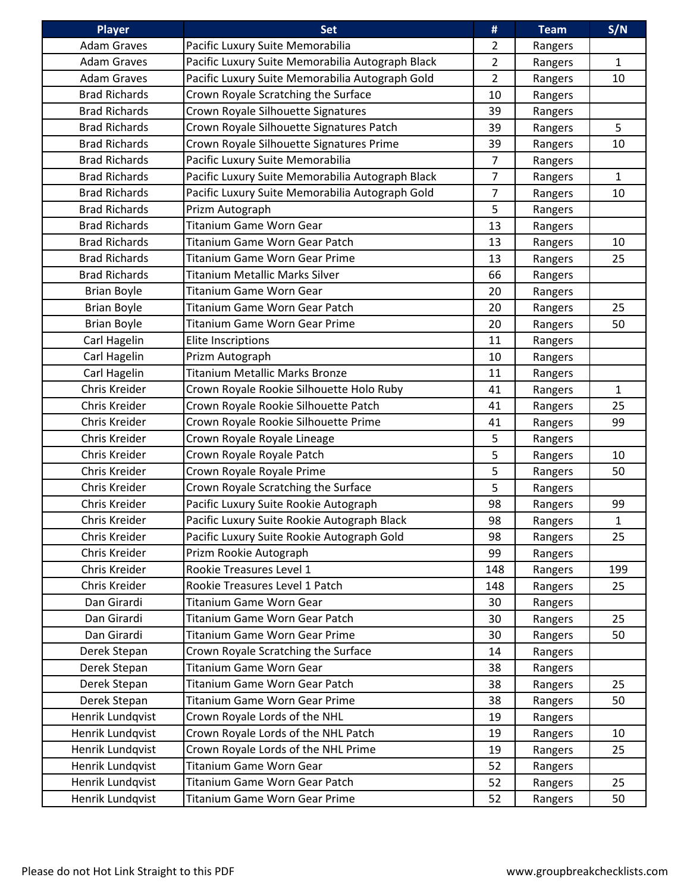| <b>Player</b>        | <b>Set</b>                                       | #              | <b>Team</b> | S/N          |
|----------------------|--------------------------------------------------|----------------|-------------|--------------|
| <b>Adam Graves</b>   | Pacific Luxury Suite Memorabilia                 | $\overline{2}$ | Rangers     |              |
| <b>Adam Graves</b>   | Pacific Luxury Suite Memorabilia Autograph Black | $\overline{2}$ | Rangers     | $\mathbf{1}$ |
| <b>Adam Graves</b>   | Pacific Luxury Suite Memorabilia Autograph Gold  | $\overline{2}$ | Rangers     | 10           |
| <b>Brad Richards</b> | Crown Royale Scratching the Surface              | 10             | Rangers     |              |
| <b>Brad Richards</b> | Crown Royale Silhouette Signatures               | 39             | Rangers     |              |
| <b>Brad Richards</b> | Crown Royale Silhouette Signatures Patch         | 39             | Rangers     | 5            |
| <b>Brad Richards</b> | Crown Royale Silhouette Signatures Prime         | 39             | Rangers     | 10           |
| <b>Brad Richards</b> | Pacific Luxury Suite Memorabilia                 | $\overline{7}$ | Rangers     |              |
| <b>Brad Richards</b> | Pacific Luxury Suite Memorabilia Autograph Black | $\overline{7}$ | Rangers     | $\mathbf{1}$ |
| <b>Brad Richards</b> | Pacific Luxury Suite Memorabilia Autograph Gold  | $\overline{7}$ | Rangers     | 10           |
| <b>Brad Richards</b> | Prizm Autograph                                  | 5              | Rangers     |              |
| <b>Brad Richards</b> | <b>Titanium Game Worn Gear</b>                   | 13             | Rangers     |              |
| <b>Brad Richards</b> | Titanium Game Worn Gear Patch                    | 13             | Rangers     | 10           |
| <b>Brad Richards</b> | <b>Titanium Game Worn Gear Prime</b>             | 13             | Rangers     | 25           |
| <b>Brad Richards</b> | <b>Titanium Metallic Marks Silver</b>            | 66             | Rangers     |              |
| <b>Brian Boyle</b>   | <b>Titanium Game Worn Gear</b>                   | 20             | Rangers     |              |
| <b>Brian Boyle</b>   | Titanium Game Worn Gear Patch                    | 20             | Rangers     | 25           |
| <b>Brian Boyle</b>   | Titanium Game Worn Gear Prime                    | 20             | Rangers     | 50           |
| Carl Hagelin         | Elite Inscriptions                               | 11             | Rangers     |              |
| Carl Hagelin         | Prizm Autograph                                  | 10             | Rangers     |              |
| Carl Hagelin         | <b>Titanium Metallic Marks Bronze</b>            | 11             | Rangers     |              |
| Chris Kreider        | Crown Royale Rookie Silhouette Holo Ruby         | 41             | Rangers     | $\mathbf{1}$ |
| Chris Kreider        | Crown Royale Rookie Silhouette Patch             | 41             | Rangers     | 25           |
| Chris Kreider        | Crown Royale Rookie Silhouette Prime             | 41             | Rangers     | 99           |
| Chris Kreider        | Crown Royale Royale Lineage                      | 5              | Rangers     |              |
| Chris Kreider        | Crown Royale Royale Patch                        | 5              | Rangers     | 10           |
| Chris Kreider        | Crown Royale Royale Prime                        | 5              | Rangers     | 50           |
| Chris Kreider        | Crown Royale Scratching the Surface              | 5              | Rangers     |              |
| Chris Kreider        | Pacific Luxury Suite Rookie Autograph            | 98             | Rangers     | 99           |
| Chris Kreider        | Pacific Luxury Suite Rookie Autograph Black      | 98             | Rangers     | $\mathbf{1}$ |
| Chris Kreider        | Pacific Luxury Suite Rookie Autograph Gold       | 98             | Rangers     | 25           |
| Chris Kreider        | Prizm Rookie Autograph                           | 99             | Rangers     |              |
| Chris Kreider        | Rookie Treasures Level 1                         | 148            | Rangers     | 199          |
| Chris Kreider        | Rookie Treasures Level 1 Patch                   | 148            | Rangers     | 25           |
| Dan Girardi          | Titanium Game Worn Gear                          | 30             | Rangers     |              |
| Dan Girardi          | Titanium Game Worn Gear Patch                    | 30             | Rangers     | 25           |
| Dan Girardi          | <b>Titanium Game Worn Gear Prime</b>             | 30             | Rangers     | 50           |
| Derek Stepan         | Crown Royale Scratching the Surface              | 14             | Rangers     |              |
| Derek Stepan         | Titanium Game Worn Gear                          | 38             | Rangers     |              |
| Derek Stepan         | Titanium Game Worn Gear Patch                    | 38             | Rangers     | 25           |
| Derek Stepan         | Titanium Game Worn Gear Prime                    | 38             | Rangers     | 50           |
| Henrik Lundqvist     | Crown Royale Lords of the NHL                    | 19             | Rangers     |              |
| Henrik Lundqvist     | Crown Royale Lords of the NHL Patch              | 19             | Rangers     | 10           |
| Henrik Lundqvist     | Crown Royale Lords of the NHL Prime              | 19             | Rangers     | 25           |
| Henrik Lundqvist     | <b>Titanium Game Worn Gear</b>                   | 52             | Rangers     |              |
| Henrik Lundqvist     | Titanium Game Worn Gear Patch                    | 52             | Rangers     | 25           |
| Henrik Lundqvist     | Titanium Game Worn Gear Prime                    | 52             | Rangers     | 50           |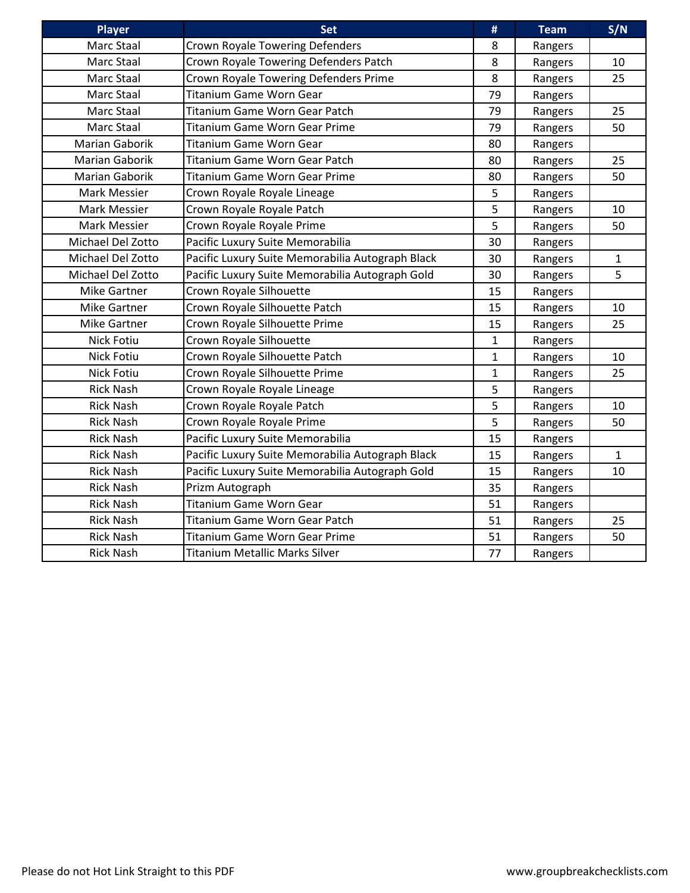| <b>Player</b>       | <b>Set</b>                                       | #            | <b>Team</b> | S/N          |
|---------------------|--------------------------------------------------|--------------|-------------|--------------|
| Marc Staal          | Crown Royale Towering Defenders                  | 8            | Rangers     |              |
| Marc Staal          | Crown Royale Towering Defenders Patch            | 8            | Rangers     | 10           |
| Marc Staal          | Crown Royale Towering Defenders Prime            | 8            | Rangers     | 25           |
| Marc Staal          | <b>Titanium Game Worn Gear</b>                   | 79           | Rangers     |              |
| Marc Staal          | Titanium Game Worn Gear Patch                    | 79           | Rangers     | 25           |
| Marc Staal          | <b>Titanium Game Worn Gear Prime</b>             | 79           | Rangers     | 50           |
| Marian Gaborik      | Titanium Game Worn Gear                          | 80           | Rangers     |              |
| Marian Gaborik      | Titanium Game Worn Gear Patch                    | 80           | Rangers     | 25           |
| Marian Gaborik      | <b>Titanium Game Worn Gear Prime</b>             | 80           | Rangers     | 50           |
| Mark Messier        | Crown Royale Royale Lineage                      | 5            | Rangers     |              |
| Mark Messier        | Crown Royale Royale Patch                        | 5            | Rangers     | 10           |
| Mark Messier        | Crown Royale Royale Prime                        | 5            | Rangers     | 50           |
| Michael Del Zotto   | Pacific Luxury Suite Memorabilia                 | 30           | Rangers     |              |
| Michael Del Zotto   | Pacific Luxury Suite Memorabilia Autograph Black | 30           | Rangers     | $\mathbf{1}$ |
| Michael Del Zotto   | Pacific Luxury Suite Memorabilia Autograph Gold  | 30           | Rangers     | 5            |
| <b>Mike Gartner</b> | Crown Royale Silhouette                          | 15           | Rangers     |              |
| <b>Mike Gartner</b> | Crown Royale Silhouette Patch                    | 15           | Rangers     | 10           |
| <b>Mike Gartner</b> | Crown Royale Silhouette Prime                    | 15           | Rangers     | 25           |
| Nick Fotiu          | Crown Royale Silhouette                          | 1            | Rangers     |              |
| Nick Fotiu          | Crown Royale Silhouette Patch                    | 1            | Rangers     | 10           |
| Nick Fotiu          | Crown Royale Silhouette Prime                    | $\mathbf{1}$ | Rangers     | 25           |
| <b>Rick Nash</b>    | Crown Royale Royale Lineage                      | 5            | Rangers     |              |
| <b>Rick Nash</b>    | Crown Royale Royale Patch                        | 5            | Rangers     | 10           |
| <b>Rick Nash</b>    | Crown Royale Royale Prime                        | 5            | Rangers     | 50           |
| <b>Rick Nash</b>    | Pacific Luxury Suite Memorabilia                 | 15           | Rangers     |              |
| <b>Rick Nash</b>    | Pacific Luxury Suite Memorabilia Autograph Black | 15           | Rangers     | $\mathbf{1}$ |
| <b>Rick Nash</b>    | Pacific Luxury Suite Memorabilia Autograph Gold  | 15           | Rangers     | 10           |
| <b>Rick Nash</b>    | Prizm Autograph                                  | 35           | Rangers     |              |
| <b>Rick Nash</b>    | <b>Titanium Game Worn Gear</b>                   | 51           | Rangers     |              |
| <b>Rick Nash</b>    | Titanium Game Worn Gear Patch                    | 51           | Rangers     | 25           |
| <b>Rick Nash</b>    | <b>Titanium Game Worn Gear Prime</b>             | 51           | Rangers     | 50           |
| <b>Rick Nash</b>    | Titanium Metallic Marks Silver                   | 77           | Rangers     |              |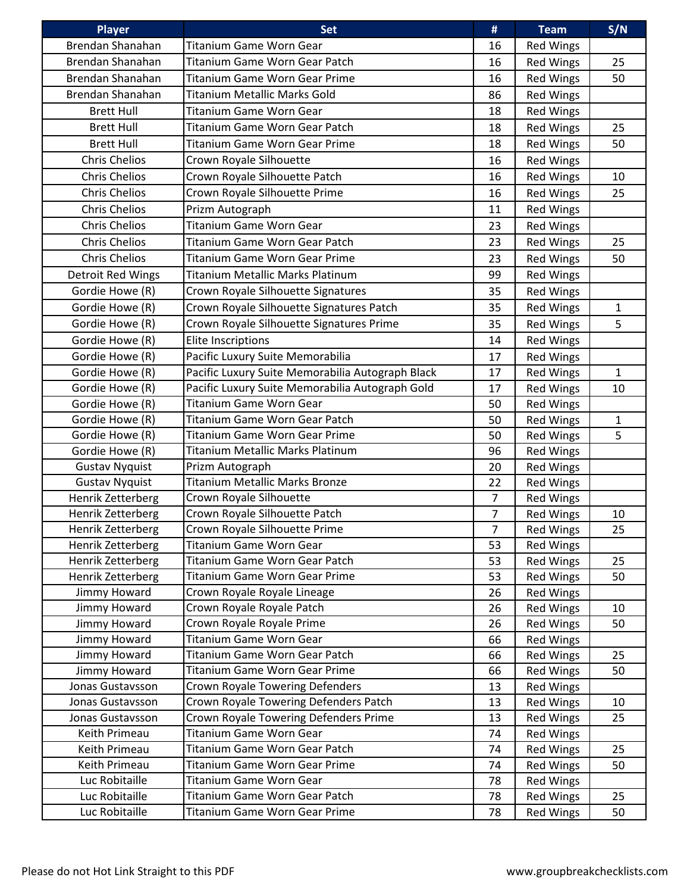| <b>Player</b>         | <b>Set</b>                                       | #              | <b>Team</b>      | S/N          |
|-----------------------|--------------------------------------------------|----------------|------------------|--------------|
| Brendan Shanahan      | <b>Titanium Game Worn Gear</b>                   | 16             | <b>Red Wings</b> |              |
| Brendan Shanahan      | Titanium Game Worn Gear Patch                    | 16             | <b>Red Wings</b> | 25           |
| Brendan Shanahan      | <b>Titanium Game Worn Gear Prime</b>             | 16             | <b>Red Wings</b> | 50           |
| Brendan Shanahan      | <b>Titanium Metallic Marks Gold</b>              | 86             | <b>Red Wings</b> |              |
| <b>Brett Hull</b>     | Titanium Game Worn Gear                          | 18             | <b>Red Wings</b> |              |
| <b>Brett Hull</b>     | Titanium Game Worn Gear Patch                    | 18             | Red Wings        | 25           |
| <b>Brett Hull</b>     | Titanium Game Worn Gear Prime                    | 18             | <b>Red Wings</b> | 50           |
| <b>Chris Chelios</b>  | Crown Royale Silhouette                          | 16             | <b>Red Wings</b> |              |
| <b>Chris Chelios</b>  | Crown Royale Silhouette Patch                    | 16             | <b>Red Wings</b> | 10           |
| <b>Chris Chelios</b>  | Crown Royale Silhouette Prime                    | 16             | <b>Red Wings</b> | 25           |
| <b>Chris Chelios</b>  | Prizm Autograph                                  | 11             | Red Wings        |              |
| <b>Chris Chelios</b>  | Titanium Game Worn Gear                          | 23             | Red Wings        |              |
| <b>Chris Chelios</b>  | Titanium Game Worn Gear Patch                    | 23             | <b>Red Wings</b> | 25           |
| <b>Chris Chelios</b>  | <b>Titanium Game Worn Gear Prime</b>             | 23             | <b>Red Wings</b> | 50           |
| Detroit Red Wings     | <b>Titanium Metallic Marks Platinum</b>          | 99             | <b>Red Wings</b> |              |
| Gordie Howe (R)       | Crown Royale Silhouette Signatures               | 35             | <b>Red Wings</b> |              |
| Gordie Howe (R)       | Crown Royale Silhouette Signatures Patch         | 35             | <b>Red Wings</b> | 1            |
| Gordie Howe (R)       | Crown Royale Silhouette Signatures Prime         | 35             | Red Wings        | 5            |
| Gordie Howe (R)       | <b>Elite Inscriptions</b>                        | 14             | <b>Red Wings</b> |              |
| Gordie Howe (R)       | Pacific Luxury Suite Memorabilia                 | 17             | <b>Red Wings</b> |              |
| Gordie Howe (R)       | Pacific Luxury Suite Memorabilia Autograph Black | 17             | <b>Red Wings</b> | $\mathbf{1}$ |
| Gordie Howe (R)       | Pacific Luxury Suite Memorabilia Autograph Gold  | 17             | Red Wings        | 10           |
| Gordie Howe (R)       | <b>Titanium Game Worn Gear</b>                   | 50             | <b>Red Wings</b> |              |
| Gordie Howe (R)       | <b>Titanium Game Worn Gear Patch</b>             | 50             | <b>Red Wings</b> | $\mathbf 1$  |
| Gordie Howe (R)       | <b>Titanium Game Worn Gear Prime</b>             | 50             | Red Wings        | 5            |
| Gordie Howe (R)       | <b>Titanium Metallic Marks Platinum</b>          | 96             | <b>Red Wings</b> |              |
| <b>Gustav Nyquist</b> | Prizm Autograph                                  | 20             | <b>Red Wings</b> |              |
| <b>Gustav Nyquist</b> | Titanium Metallic Marks Bronze                   | 22             | Red Wings        |              |
| Henrik Zetterberg     | Crown Royale Silhouette                          | $\overline{7}$ | Red Wings        |              |
| Henrik Zetterberg     | Crown Royale Silhouette Patch                    | $\overline{7}$ | <b>Red Wings</b> | 10           |
| Henrik Zetterberg     | Crown Royale Silhouette Prime                    | $\overline{7}$ | <b>Red Wings</b> | 25           |
| Henrik Zetterberg     | Titanium Game Worn Gear                          | 53             | Red Wings        |              |
| Henrik Zetterberg     | Titanium Game Worn Gear Patch                    | 53             | Red Wings        | 25           |
| Henrik Zetterberg     | Titanium Game Worn Gear Prime                    | 53             | Red Wings        | 50           |
| Jimmy Howard          | Crown Royale Royale Lineage                      | 26             | <b>Red Wings</b> |              |
| Jimmy Howard          | Crown Royale Royale Patch                        | 26             | Red Wings        | 10           |
| Jimmy Howard          | Crown Royale Royale Prime                        | 26             | <b>Red Wings</b> | 50           |
| Jimmy Howard          | Titanium Game Worn Gear                          | 66             | <b>Red Wings</b> |              |
| Jimmy Howard          | Titanium Game Worn Gear Patch                    | 66             | <b>Red Wings</b> | 25           |
| Jimmy Howard          | Titanium Game Worn Gear Prime                    | 66             | <b>Red Wings</b> | 50           |
| Jonas Gustavsson      | <b>Crown Royale Towering Defenders</b>           | 13             | <b>Red Wings</b> |              |
| Jonas Gustavsson      | Crown Royale Towering Defenders Patch            | 13             | <b>Red Wings</b> | 10           |
| Jonas Gustavsson      | Crown Royale Towering Defenders Prime            | 13             | Red Wings        | 25           |
| Keith Primeau         | Titanium Game Worn Gear                          | 74             | <b>Red Wings</b> |              |
| Keith Primeau         | Titanium Game Worn Gear Patch                    | 74             | <b>Red Wings</b> | 25           |
| Keith Primeau         | <b>Titanium Game Worn Gear Prime</b>             | 74             | <b>Red Wings</b> | 50           |
| Luc Robitaille        | Titanium Game Worn Gear                          | 78             | Red Wings        |              |
| Luc Robitaille        | Titanium Game Worn Gear Patch                    | 78             | <b>Red Wings</b> | 25           |
| Luc Robitaille        | Titanium Game Worn Gear Prime                    | 78             | <b>Red Wings</b> | 50           |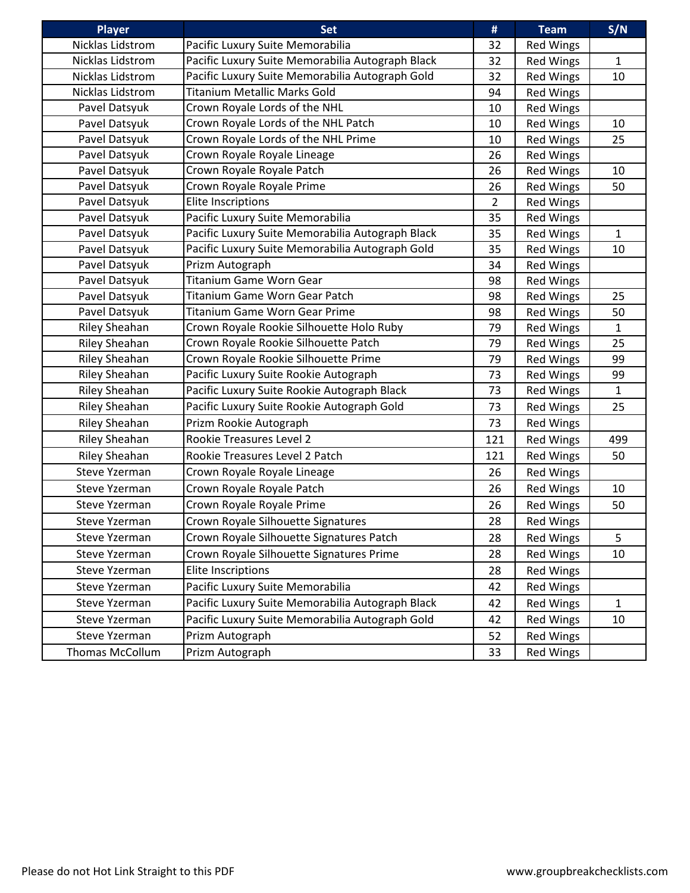| <b>Player</b>        | <b>Set</b>                                       | #              | <b>Team</b>      | S/N          |
|----------------------|--------------------------------------------------|----------------|------------------|--------------|
| Nicklas Lidstrom     | Pacific Luxury Suite Memorabilia                 | 32             | Red Wings        |              |
| Nicklas Lidstrom     | Pacific Luxury Suite Memorabilia Autograph Black | 32             | <b>Red Wings</b> | 1            |
| Nicklas Lidstrom     | Pacific Luxury Suite Memorabilia Autograph Gold  | 32             | <b>Red Wings</b> | 10           |
| Nicklas Lidstrom     | <b>Titanium Metallic Marks Gold</b>              | 94             | <b>Red Wings</b> |              |
| Pavel Datsyuk        | Crown Royale Lords of the NHL                    | 10             | Red Wings        |              |
| Pavel Datsyuk        | Crown Royale Lords of the NHL Patch              | 10             | <b>Red Wings</b> | 10           |
| Pavel Datsyuk        | Crown Royale Lords of the NHL Prime              | 10             | <b>Red Wings</b> | 25           |
| Pavel Datsyuk        | Crown Royale Royale Lineage                      | 26             | <b>Red Wings</b> |              |
| Pavel Datsyuk        | Crown Royale Royale Patch                        | 26             | <b>Red Wings</b> | 10           |
| Pavel Datsyuk        | Crown Royale Royale Prime                        | 26             | <b>Red Wings</b> | 50           |
| Pavel Datsyuk        | <b>Elite Inscriptions</b>                        | $\overline{2}$ | <b>Red Wings</b> |              |
| Pavel Datsyuk        | Pacific Luxury Suite Memorabilia                 | 35             | <b>Red Wings</b> |              |
| Pavel Datsyuk        | Pacific Luxury Suite Memorabilia Autograph Black | 35             | Red Wings        | $\mathbf{1}$ |
| Pavel Datsyuk        | Pacific Luxury Suite Memorabilia Autograph Gold  | 35             | <b>Red Wings</b> | 10           |
| Pavel Datsyuk        | Prizm Autograph                                  | 34             | <b>Red Wings</b> |              |
| Pavel Datsyuk        | <b>Titanium Game Worn Gear</b>                   | 98             | <b>Red Wings</b> |              |
| Pavel Datsyuk        | Titanium Game Worn Gear Patch                    | 98             | <b>Red Wings</b> | 25           |
| Pavel Datsyuk        | Titanium Game Worn Gear Prime                    | 98             | <b>Red Wings</b> | 50           |
| <b>Riley Sheahan</b> | Crown Royale Rookie Silhouette Holo Ruby         | 79             | <b>Red Wings</b> | $\mathbf{1}$ |
| <b>Riley Sheahan</b> | Crown Royale Rookie Silhouette Patch             | 79             | <b>Red Wings</b> | 25           |
| Riley Sheahan        | Crown Royale Rookie Silhouette Prime             | 79             | <b>Red Wings</b> | 99           |
| <b>Riley Sheahan</b> | Pacific Luxury Suite Rookie Autograph            | 73             | <b>Red Wings</b> | 99           |
| Riley Sheahan        | Pacific Luxury Suite Rookie Autograph Black      | 73             | <b>Red Wings</b> | $\mathbf{1}$ |
| Riley Sheahan        | Pacific Luxury Suite Rookie Autograph Gold       | 73             | <b>Red Wings</b> | 25           |
| Riley Sheahan        | Prizm Rookie Autograph                           | 73             | <b>Red Wings</b> |              |
| Riley Sheahan        | Rookie Treasures Level 2                         | 121            | <b>Red Wings</b> | 499          |
| <b>Riley Sheahan</b> | Rookie Treasures Level 2 Patch                   | 121            | <b>Red Wings</b> | 50           |
| Steve Yzerman        | Crown Royale Royale Lineage                      | 26             | <b>Red Wings</b> |              |
| Steve Yzerman        | Crown Royale Royale Patch                        | 26             | <b>Red Wings</b> | 10           |
| Steve Yzerman        | Crown Royale Royale Prime                        | 26             | <b>Red Wings</b> | 50           |
| <b>Steve Yzerman</b> | Crown Royale Silhouette Signatures               | 28             | Red Wings        |              |
| Steve Yzerman        | Crown Royale Silhouette Signatures Patch         | 28             | <b>Red Wings</b> | 5            |
| Steve Yzerman        | Crown Royale Silhouette Signatures Prime         | 28             | <b>Red Wings</b> | 10           |
| Steve Yzerman        | Elite Inscriptions                               | 28             | <b>Red Wings</b> |              |
| Steve Yzerman        | Pacific Luxury Suite Memorabilia                 | 42             | <b>Red Wings</b> |              |
| Steve Yzerman        | Pacific Luxury Suite Memorabilia Autograph Black | 42             | <b>Red Wings</b> | $\mathbf{1}$ |
| Steve Yzerman        | Pacific Luxury Suite Memorabilia Autograph Gold  | 42             | <b>Red Wings</b> | 10           |
| Steve Yzerman        | Prizm Autograph                                  | 52             | Red Wings        |              |
| Thomas McCollum      | Prizm Autograph                                  | 33             | Red Wings        |              |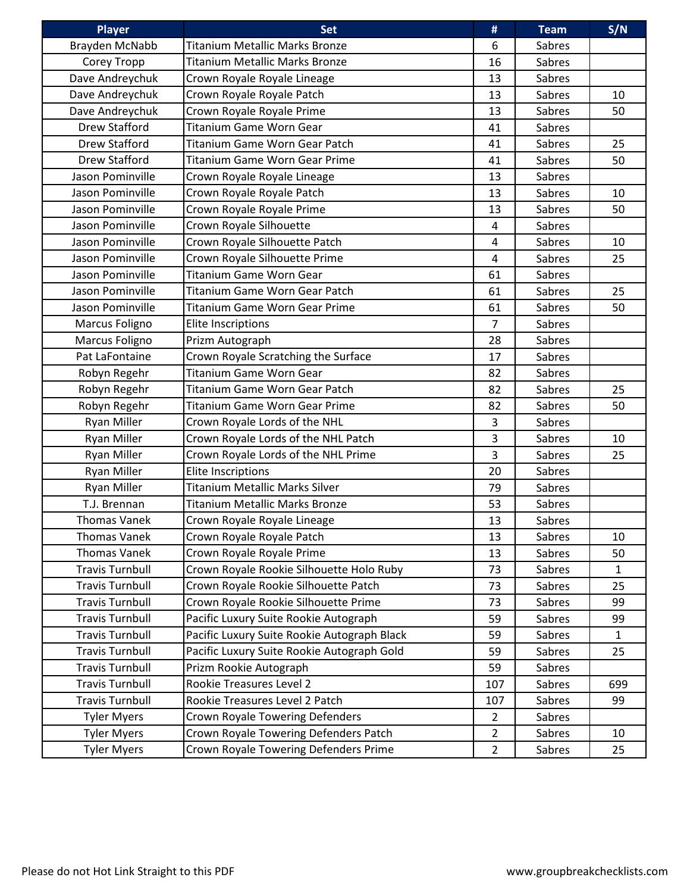| <b>Player</b>          | <b>Set</b>                                  | #              | <b>Team</b>   | S/N          |
|------------------------|---------------------------------------------|----------------|---------------|--------------|
| Brayden McNabb         | <b>Titanium Metallic Marks Bronze</b>       | 6              | Sabres        |              |
| Corey Tropp            | <b>Titanium Metallic Marks Bronze</b>       | 16             | Sabres        |              |
| Dave Andreychuk        | Crown Royale Royale Lineage                 | 13             | Sabres        |              |
| Dave Andreychuk        | Crown Royale Royale Patch                   | 13             | Sabres        | 10           |
| Dave Andreychuk        | Crown Royale Royale Prime                   | 13             | Sabres        | 50           |
| <b>Drew Stafford</b>   | <b>Titanium Game Worn Gear</b>              | 41             | Sabres        |              |
| Drew Stafford          | Titanium Game Worn Gear Patch               | 41             | Sabres        | 25           |
| Drew Stafford          | <b>Titanium Game Worn Gear Prime</b>        | 41             | Sabres        | 50           |
| Jason Pominville       | Crown Royale Royale Lineage                 | 13             | Sabres        |              |
| Jason Pominville       | Crown Royale Royale Patch                   | 13             | Sabres        | 10           |
| Jason Pominville       | Crown Royale Royale Prime                   | 13             | Sabres        | 50           |
| Jason Pominville       | Crown Royale Silhouette                     | $\overline{4}$ | Sabres        |              |
| Jason Pominville       | Crown Royale Silhouette Patch               | $\overline{4}$ | Sabres        | 10           |
| Jason Pominville       | Crown Royale Silhouette Prime               | 4              | Sabres        | 25           |
| Jason Pominville       | <b>Titanium Game Worn Gear</b>              | 61             | Sabres        |              |
| Jason Pominville       | Titanium Game Worn Gear Patch               | 61             | Sabres        | 25           |
| Jason Pominville       | <b>Titanium Game Worn Gear Prime</b>        | 61             | <b>Sabres</b> | 50           |
| Marcus Foligno         | <b>Elite Inscriptions</b>                   | $\overline{7}$ | Sabres        |              |
| Marcus Foligno         | Prizm Autograph                             | 28             | Sabres        |              |
| Pat LaFontaine         | Crown Royale Scratching the Surface         | 17             | Sabres        |              |
| Robyn Regehr           | Titanium Game Worn Gear                     | 82             | Sabres        |              |
| Robyn Regehr           | Titanium Game Worn Gear Patch               | 82             | Sabres        | 25           |
| Robyn Regehr           | <b>Titanium Game Worn Gear Prime</b>        | 82             | Sabres        | 50           |
| <b>Ryan Miller</b>     | Crown Royale Lords of the NHL               | 3              | Sabres        |              |
| <b>Ryan Miller</b>     | Crown Royale Lords of the NHL Patch         | $\overline{3}$ | Sabres        | 10           |
| <b>Ryan Miller</b>     | Crown Royale Lords of the NHL Prime         | 3              | Sabres        | 25           |
| <b>Ryan Miller</b>     | <b>Elite Inscriptions</b>                   | 20             | Sabres        |              |
| <b>Ryan Miller</b>     | <b>Titanium Metallic Marks Silver</b>       | 79             | Sabres        |              |
| T.J. Brennan           | <b>Titanium Metallic Marks Bronze</b>       | 53             | Sabres        |              |
| <b>Thomas Vanek</b>    | Crown Royale Royale Lineage                 | 13             | Sabres        |              |
| Thomas Vanek           | Crown Royale Royale Patch                   | 13             | Sabres        | 10           |
| Thomas Vanek           | Crown Royale Royale Prime                   | 13             | Sabres        | 50           |
| <b>Travis Turnbull</b> | Crown Royale Rookie Silhouette Holo Ruby    | 73             | Sabres        | $\mathbf{1}$ |
| <b>Travis Turnbull</b> | Crown Royale Rookie Silhouette Patch        | 73             | Sabres        | 25           |
| <b>Travis Turnbull</b> | Crown Royale Rookie Silhouette Prime        | 73             | Sabres        | 99           |
| <b>Travis Turnbull</b> | Pacific Luxury Suite Rookie Autograph       | 59             | Sabres        | 99           |
| <b>Travis Turnbull</b> | Pacific Luxury Suite Rookie Autograph Black | 59             | Sabres        | $\mathbf{1}$ |
| <b>Travis Turnbull</b> | Pacific Luxury Suite Rookie Autograph Gold  | 59             | Sabres        | 25           |
| <b>Travis Turnbull</b> | Prizm Rookie Autograph                      | 59             | Sabres        |              |
| <b>Travis Turnbull</b> | Rookie Treasures Level 2                    | 107            | Sabres        | 699          |
| <b>Travis Turnbull</b> | Rookie Treasures Level 2 Patch              | 107            | Sabres        | 99           |
| <b>Tyler Myers</b>     | <b>Crown Royale Towering Defenders</b>      | $\overline{2}$ | Sabres        |              |
| <b>Tyler Myers</b>     | Crown Royale Towering Defenders Patch       | $\overline{2}$ | Sabres        | 10           |
| <b>Tyler Myers</b>     | Crown Royale Towering Defenders Prime       | $\overline{2}$ | Sabres        | 25           |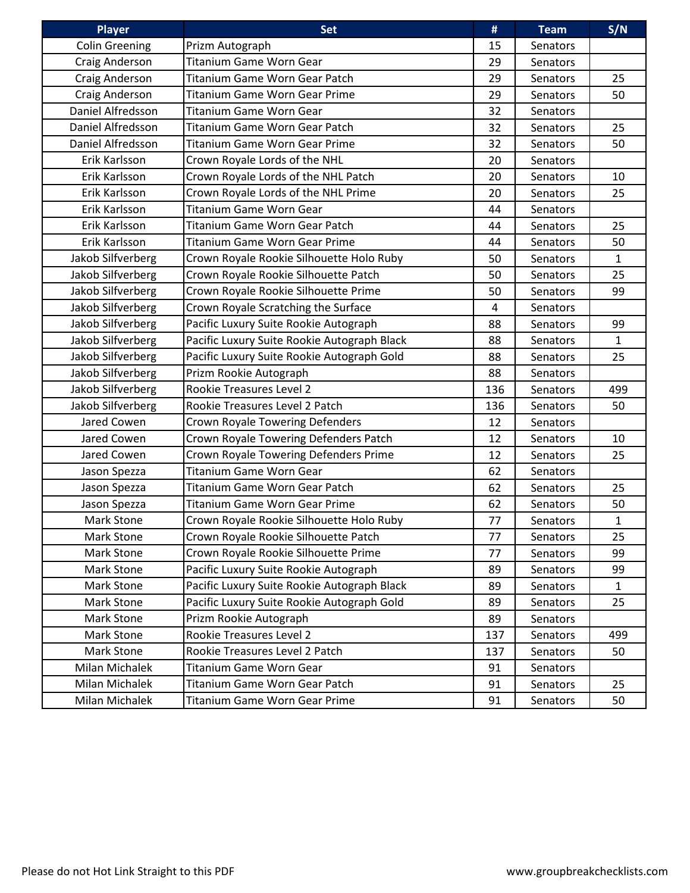| <b>Player</b>         | <b>Set</b>                                  | #   | <b>Team</b>     | S/N          |
|-----------------------|---------------------------------------------|-----|-----------------|--------------|
| <b>Colin Greening</b> | Prizm Autograph                             | 15  | Senators        |              |
| Craig Anderson        | Titanium Game Worn Gear                     | 29  | Senators        |              |
| Craig Anderson        | Titanium Game Worn Gear Patch               | 29  | <b>Senators</b> | 25           |
| Craig Anderson        | Titanium Game Worn Gear Prime               | 29  | Senators        | 50           |
| Daniel Alfredsson     | <b>Titanium Game Worn Gear</b>              | 32  | Senators        |              |
| Daniel Alfredsson     | Titanium Game Worn Gear Patch               | 32  | Senators        | 25           |
| Daniel Alfredsson     | <b>Titanium Game Worn Gear Prime</b>        | 32  | Senators        | 50           |
| Erik Karlsson         | Crown Royale Lords of the NHL               | 20  | Senators        |              |
| Erik Karlsson         | Crown Royale Lords of the NHL Patch         | 20  | Senators        | 10           |
| Erik Karlsson         | Crown Royale Lords of the NHL Prime         | 20  | Senators        | 25           |
| Erik Karlsson         | <b>Titanium Game Worn Gear</b>              | 44  | Senators        |              |
| Erik Karlsson         | Titanium Game Worn Gear Patch               | 44  | Senators        | 25           |
| Erik Karlsson         | <b>Titanium Game Worn Gear Prime</b>        | 44  | Senators        | 50           |
| Jakob Silfverberg     | Crown Royale Rookie Silhouette Holo Ruby    | 50  | Senators        | $\mathbf{1}$ |
| Jakob Silfverberg     | Crown Royale Rookie Silhouette Patch        | 50  | <b>Senators</b> | 25           |
| Jakob Silfverberg     | Crown Royale Rookie Silhouette Prime        | 50  | Senators        | 99           |
| Jakob Silfverberg     | Crown Royale Scratching the Surface         | 4   | <b>Senators</b> |              |
| Jakob Silfverberg     | Pacific Luxury Suite Rookie Autograph       | 88  | Senators        | 99           |
| Jakob Silfverberg     | Pacific Luxury Suite Rookie Autograph Black | 88  | Senators        | $\mathbf{1}$ |
| Jakob Silfverberg     | Pacific Luxury Suite Rookie Autograph Gold  | 88  | Senators        | 25           |
| Jakob Silfverberg     | Prizm Rookie Autograph                      | 88  | Senators        |              |
| Jakob Silfverberg     | Rookie Treasures Level 2                    | 136 | Senators        | 499          |
| Jakob Silfverberg     | Rookie Treasures Level 2 Patch              | 136 | Senators        | 50           |
| Jared Cowen           | Crown Royale Towering Defenders             | 12  | Senators        |              |
| Jared Cowen           | Crown Royale Towering Defenders Patch       | 12  | Senators        | 10           |
| Jared Cowen           | Crown Royale Towering Defenders Prime       | 12  | Senators        | 25           |
| Jason Spezza          | <b>Titanium Game Worn Gear</b>              | 62  | <b>Senators</b> |              |
| Jason Spezza          | Titanium Game Worn Gear Patch               | 62  | Senators        | 25           |
| Jason Spezza          | Titanium Game Worn Gear Prime               | 62  | Senators        | 50           |
| Mark Stone            | Crown Royale Rookie Silhouette Holo Ruby    | 77  | Senators        | $\mathbf{1}$ |
| Mark Stone            | Crown Royale Rookie Silhouette Patch        | 77  | Senators        | 25           |
| Mark Stone            | Crown Royale Rookie Silhouette Prime        | 77  | Senators        | 99           |
| Mark Stone            | Pacific Luxury Suite Rookie Autograph       | 89  | Senators        | 99           |
| Mark Stone            | Pacific Luxury Suite Rookie Autograph Black | 89  | Senators        | $\mathbf{1}$ |
| Mark Stone            | Pacific Luxury Suite Rookie Autograph Gold  | 89  | Senators        | 25           |
| Mark Stone            | Prizm Rookie Autograph                      | 89  | Senators        |              |
| Mark Stone            | Rookie Treasures Level 2                    | 137 | Senators        | 499          |
| Mark Stone            | Rookie Treasures Level 2 Patch              | 137 | Senators        | 50           |
| Milan Michalek        | Titanium Game Worn Gear                     | 91  | Senators        |              |
| Milan Michalek        | Titanium Game Worn Gear Patch               | 91  | Senators        | 25           |
| Milan Michalek        | Titanium Game Worn Gear Prime               | 91  | Senators        | 50           |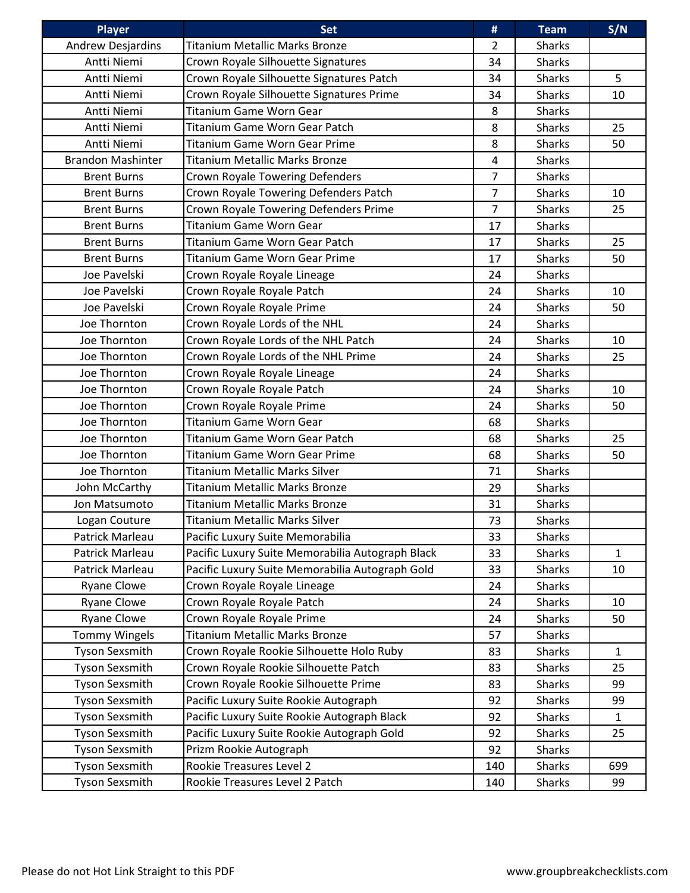| <b>Player</b>            | <b>Set</b>                                       | #                       | <b>Team</b>   | S/N          |
|--------------------------|--------------------------------------------------|-------------------------|---------------|--------------|
| Andrew Desjardins        | <b>Titanium Metallic Marks Bronze</b>            | $\overline{2}$          | <b>Sharks</b> |              |
| Antti Niemi              | Crown Royale Silhouette Signatures               | 34                      | <b>Sharks</b> |              |
| Antti Niemi              | Crown Royale Silhouette Signatures Patch         | 34                      | <b>Sharks</b> | 5            |
| Antti Niemi              | Crown Royale Silhouette Signatures Prime         | 34                      | <b>Sharks</b> | 10           |
| Antti Niemi              | <b>Titanium Game Worn Gear</b>                   | 8                       | <b>Sharks</b> |              |
| Antti Niemi              | Titanium Game Worn Gear Patch                    | 8                       | <b>Sharks</b> | 25           |
| Antti Niemi              | Titanium Game Worn Gear Prime                    | 8                       | <b>Sharks</b> | 50           |
| <b>Brandon Mashinter</b> | <b>Titanium Metallic Marks Bronze</b>            | $\overline{\mathbf{4}}$ | <b>Sharks</b> |              |
| <b>Brent Burns</b>       | Crown Royale Towering Defenders                  | $\overline{7}$          | <b>Sharks</b> |              |
| <b>Brent Burns</b>       | Crown Royale Towering Defenders Patch            | $\overline{7}$          | <b>Sharks</b> | 10           |
| <b>Brent Burns</b>       | Crown Royale Towering Defenders Prime            | $\overline{7}$          | <b>Sharks</b> | 25           |
| <b>Brent Burns</b>       | <b>Titanium Game Worn Gear</b>                   | 17                      | <b>Sharks</b> |              |
| <b>Brent Burns</b>       | Titanium Game Worn Gear Patch                    | 17                      | <b>Sharks</b> | 25           |
| <b>Brent Burns</b>       | Titanium Game Worn Gear Prime                    | 17                      | <b>Sharks</b> | 50           |
| Joe Pavelski             | Crown Royale Royale Lineage                      | 24                      | <b>Sharks</b> |              |
| Joe Pavelski             | Crown Royale Royale Patch                        | 24                      | <b>Sharks</b> | 10           |
| Joe Pavelski             | Crown Royale Royale Prime                        | 24                      | <b>Sharks</b> | 50           |
| Joe Thornton             | Crown Royale Lords of the NHL                    | 24                      | <b>Sharks</b> |              |
| Joe Thornton             | Crown Royale Lords of the NHL Patch              | 24                      | <b>Sharks</b> | 10           |
| Joe Thornton             | Crown Royale Lords of the NHL Prime              | 24                      | <b>Sharks</b> | 25           |
| Joe Thornton             | Crown Royale Royale Lineage                      | 24                      | <b>Sharks</b> |              |
| Joe Thornton             | Crown Royale Royale Patch                        | 24                      | <b>Sharks</b> | 10           |
| Joe Thornton             | Crown Royale Royale Prime                        | 24                      | <b>Sharks</b> | 50           |
| Joe Thornton             | <b>Titanium Game Worn Gear</b>                   | 68                      | <b>Sharks</b> |              |
| Joe Thornton             | Titanium Game Worn Gear Patch                    | 68                      | <b>Sharks</b> | 25           |
| Joe Thornton             | <b>Titanium Game Worn Gear Prime</b>             | 68                      | <b>Sharks</b> | 50           |
| Joe Thornton             | <b>Titanium Metallic Marks Silver</b>            | 71                      | <b>Sharks</b> |              |
| John McCarthy            | Titanium Metallic Marks Bronze                   | 29                      | <b>Sharks</b> |              |
| Jon Matsumoto            | <b>Titanium Metallic Marks Bronze</b>            | 31                      | <b>Sharks</b> |              |
| Logan Couture            | <b>Titanium Metallic Marks Silver</b>            | 73                      | <b>Sharks</b> |              |
| Patrick Marleau          | Pacific Luxury Suite Memorabilia                 | 33                      | <b>Sharks</b> |              |
| Patrick Marleau          | Pacific Luxury Suite Memorabilia Autograph Black | 33                      | <b>Sharks</b> | $\mathbf{1}$ |
| Patrick Marleau          | Pacific Luxury Suite Memorabilia Autograph Gold  | 33                      | <b>Sharks</b> | 10           |
| <b>Ryane Clowe</b>       | Crown Royale Royale Lineage                      | 24                      | <b>Sharks</b> |              |
| <b>Ryane Clowe</b>       | Crown Royale Royale Patch                        | 24                      | <b>Sharks</b> | 10           |
| <b>Ryane Clowe</b>       | Crown Royale Royale Prime                        | 24                      | <b>Sharks</b> | 50           |
| <b>Tommy Wingels</b>     | <b>Titanium Metallic Marks Bronze</b>            | 57                      | <b>Sharks</b> |              |
| Tyson Sexsmith           | Crown Royale Rookie Silhouette Holo Ruby         | 83                      | <b>Sharks</b> | $\mathbf{1}$ |
| Tyson Sexsmith           | Crown Royale Rookie Silhouette Patch             | 83                      | <b>Sharks</b> | 25           |
| Tyson Sexsmith           | Crown Royale Rookie Silhouette Prime             | 83                      | <b>Sharks</b> | 99           |
| Tyson Sexsmith           | Pacific Luxury Suite Rookie Autograph            | 92                      | <b>Sharks</b> | 99           |
| Tyson Sexsmith           | Pacific Luxury Suite Rookie Autograph Black      | 92                      | <b>Sharks</b> | $\mathbf{1}$ |
| <b>Tyson Sexsmith</b>    | Pacific Luxury Suite Rookie Autograph Gold       | 92                      | <b>Sharks</b> | 25           |
| Tyson Sexsmith           | Prizm Rookie Autograph                           | 92                      | <b>Sharks</b> |              |
| Tyson Sexsmith           | Rookie Treasures Level 2                         | 140                     | Sharks        | 699          |
| Tyson Sexsmith           | Rookie Treasures Level 2 Patch                   | 140                     | <b>Sharks</b> | 99           |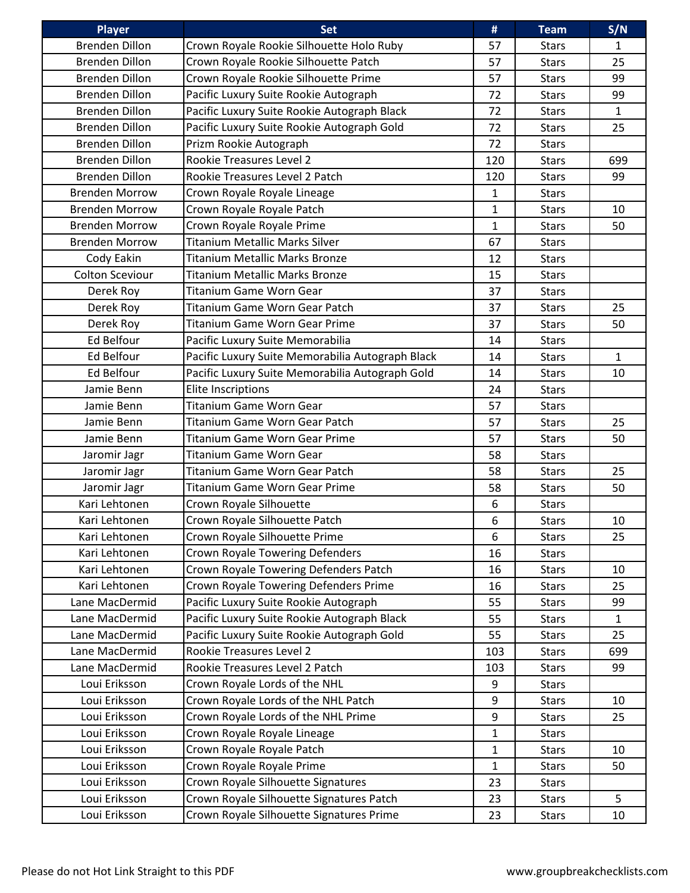| <b>Player</b>          | <b>Set</b>                                       | #                | <b>Team</b>  | S/N          |
|------------------------|--------------------------------------------------|------------------|--------------|--------------|
| <b>Brenden Dillon</b>  | Crown Royale Rookie Silhouette Holo Ruby         | 57               | <b>Stars</b> | $\mathbf{1}$ |
| <b>Brenden Dillon</b>  | Crown Royale Rookie Silhouette Patch             | 57               | <b>Stars</b> | 25           |
| <b>Brenden Dillon</b>  | Crown Royale Rookie Silhouette Prime             | 57               | <b>Stars</b> | 99           |
| <b>Brenden Dillon</b>  | Pacific Luxury Suite Rookie Autograph            | 72               | <b>Stars</b> | 99           |
| <b>Brenden Dillon</b>  | Pacific Luxury Suite Rookie Autograph Black      | 72               | <b>Stars</b> | $\mathbf{1}$ |
| <b>Brenden Dillon</b>  | Pacific Luxury Suite Rookie Autograph Gold       | 72               | <b>Stars</b> | 25           |
| <b>Brenden Dillon</b>  | Prizm Rookie Autograph                           | 72               | <b>Stars</b> |              |
| <b>Brenden Dillon</b>  | Rookie Treasures Level 2                         | 120              | <b>Stars</b> | 699          |
| <b>Brenden Dillon</b>  | Rookie Treasures Level 2 Patch                   | 120              | <b>Stars</b> | 99           |
| <b>Brenden Morrow</b>  | Crown Royale Royale Lineage                      | $\mathbf{1}$     | <b>Stars</b> |              |
| <b>Brenden Morrow</b>  | Crown Royale Royale Patch                        | $\mathbf{1}$     | <b>Stars</b> | 10           |
| <b>Brenden Morrow</b>  | Crown Royale Royale Prime                        | 1                | <b>Stars</b> | 50           |
| <b>Brenden Morrow</b>  | <b>Titanium Metallic Marks Silver</b>            | 67               | <b>Stars</b> |              |
| Cody Eakin             | Titanium Metallic Marks Bronze                   | 12               | <b>Stars</b> |              |
| <b>Colton Sceviour</b> | <b>Titanium Metallic Marks Bronze</b>            | 15               | <b>Stars</b> |              |
| Derek Roy              | <b>Titanium Game Worn Gear</b>                   | 37               | <b>Stars</b> |              |
| Derek Roy              | Titanium Game Worn Gear Patch                    | 37               | <b>Stars</b> | 25           |
| Derek Roy              | <b>Titanium Game Worn Gear Prime</b>             | 37               | <b>Stars</b> | 50           |
| Ed Belfour             | Pacific Luxury Suite Memorabilia                 | 14               | <b>Stars</b> |              |
| Ed Belfour             | Pacific Luxury Suite Memorabilia Autograph Black | 14               | <b>Stars</b> | $\mathbf{1}$ |
| Ed Belfour             | Pacific Luxury Suite Memorabilia Autograph Gold  | 14               | <b>Stars</b> | 10           |
| Jamie Benn             | <b>Elite Inscriptions</b>                        | 24               | <b>Stars</b> |              |
| Jamie Benn             | <b>Titanium Game Worn Gear</b>                   | 57               | <b>Stars</b> |              |
| Jamie Benn             | Titanium Game Worn Gear Patch                    | 57               | <b>Stars</b> | 25           |
| Jamie Benn             | <b>Titanium Game Worn Gear Prime</b>             | 57               | <b>Stars</b> | 50           |
| Jaromir Jagr           | <b>Titanium Game Worn Gear</b>                   | 58               | <b>Stars</b> |              |
| Jaromir Jagr           | Titanium Game Worn Gear Patch                    | 58               | <b>Stars</b> | 25           |
| Jaromir Jagr           | <b>Titanium Game Worn Gear Prime</b>             | 58               | <b>Stars</b> | 50           |
| Kari Lehtonen          | Crown Royale Silhouette                          | 6                | <b>Stars</b> |              |
| Kari Lehtonen          | Crown Royale Silhouette Patch                    | $\boldsymbol{6}$ | <b>Stars</b> | 10           |
| Kari Lehtonen          | Crown Royale Silhouette Prime                    | 6                | <b>Stars</b> | 25           |
| Kari Lehtonen          | <b>Crown Royale Towering Defenders</b>           | 16               | <b>Stars</b> |              |
| Kari Lehtonen          | Crown Royale Towering Defenders Patch            | 16               | <b>Stars</b> | 10           |
| Kari Lehtonen          | Crown Royale Towering Defenders Prime            | 16               | <b>Stars</b> | 25           |
| Lane MacDermid         | Pacific Luxury Suite Rookie Autograph            | 55               | <b>Stars</b> | 99           |
| Lane MacDermid         | Pacific Luxury Suite Rookie Autograph Black      | 55               | <b>Stars</b> | $\mathbf{1}$ |
| Lane MacDermid         | Pacific Luxury Suite Rookie Autograph Gold       | 55               | <b>Stars</b> | 25           |
| Lane MacDermid         | Rookie Treasures Level 2                         | 103              | <b>Stars</b> | 699          |
| Lane MacDermid         | Rookie Treasures Level 2 Patch                   | 103              | <b>Stars</b> | 99           |
| Loui Eriksson          | Crown Royale Lords of the NHL                    | 9                | <b>Stars</b> |              |
| Loui Eriksson          | Crown Royale Lords of the NHL Patch              | 9                | <b>Stars</b> | 10           |
| Loui Eriksson          | Crown Royale Lords of the NHL Prime              | 9                | <b>Stars</b> | 25           |
| Loui Eriksson          | Crown Royale Royale Lineage                      | $\mathbf{1}$     | <b>Stars</b> |              |
| Loui Eriksson          | Crown Royale Royale Patch                        | $\mathbf{1}$     | <b>Stars</b> | 10           |
| Loui Eriksson          | Crown Royale Royale Prime                        | $\mathbf{1}$     | <b>Stars</b> | 50           |
| Loui Eriksson          | Crown Royale Silhouette Signatures               | 23               | <b>Stars</b> |              |
| Loui Eriksson          | Crown Royale Silhouette Signatures Patch         | 23               | <b>Stars</b> | 5            |
| Loui Eriksson          | Crown Royale Silhouette Signatures Prime         | 23               | <b>Stars</b> | 10           |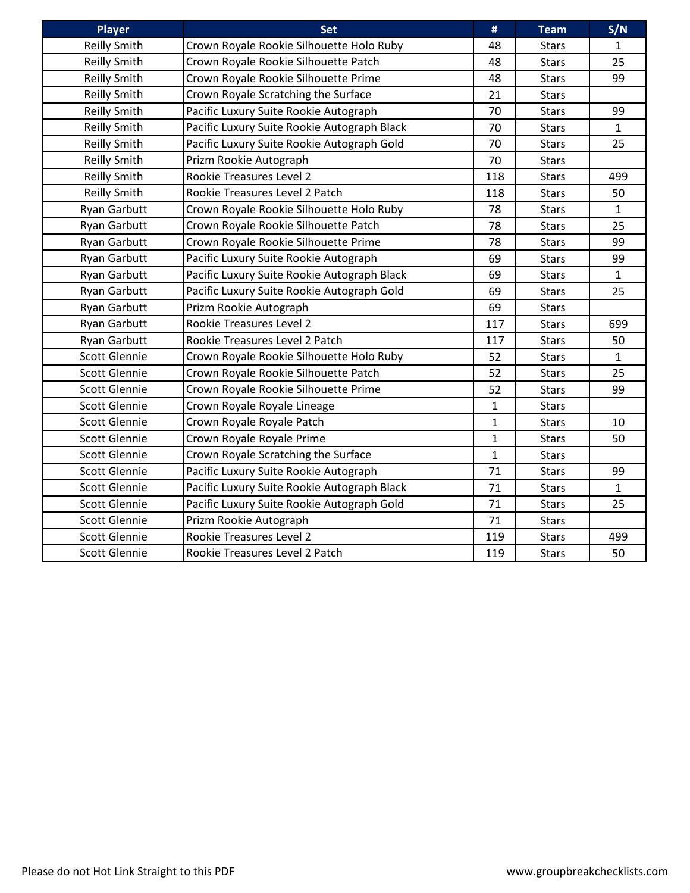| <b>Player</b>        | <b>Set</b>                                  | #            | <b>Team</b>  | S/N          |
|----------------------|---------------------------------------------|--------------|--------------|--------------|
| Reilly Smith         | Crown Royale Rookie Silhouette Holo Ruby    | 48           | <b>Stars</b> | $\mathbf{1}$ |
| <b>Reilly Smith</b>  | Crown Royale Rookie Silhouette Patch        | 48           | <b>Stars</b> | 25           |
| <b>Reilly Smith</b>  | Crown Royale Rookie Silhouette Prime        | 48           | <b>Stars</b> | 99           |
| <b>Reilly Smith</b>  | Crown Royale Scratching the Surface         | 21           | <b>Stars</b> |              |
| <b>Reilly Smith</b>  | Pacific Luxury Suite Rookie Autograph       | 70           | <b>Stars</b> | 99           |
| <b>Reilly Smith</b>  | Pacific Luxury Suite Rookie Autograph Black | 70           | <b>Stars</b> | $\mathbf{1}$ |
| <b>Reilly Smith</b>  | Pacific Luxury Suite Rookie Autograph Gold  | 70           | <b>Stars</b> | 25           |
| <b>Reilly Smith</b>  | Prizm Rookie Autograph                      | 70           | <b>Stars</b> |              |
| <b>Reilly Smith</b>  | Rookie Treasures Level 2                    | 118          | <b>Stars</b> | 499          |
| <b>Reilly Smith</b>  | Rookie Treasures Level 2 Patch              | 118          | <b>Stars</b> | 50           |
| <b>Ryan Garbutt</b>  | Crown Royale Rookie Silhouette Holo Ruby    | 78           | <b>Stars</b> | $\mathbf{1}$ |
| Ryan Garbutt         | Crown Royale Rookie Silhouette Patch        | 78           | <b>Stars</b> | 25           |
| <b>Ryan Garbutt</b>  | Crown Royale Rookie Silhouette Prime        | 78           | <b>Stars</b> | 99           |
| <b>Ryan Garbutt</b>  | Pacific Luxury Suite Rookie Autograph       | 69           | <b>Stars</b> | 99           |
| <b>Ryan Garbutt</b>  | Pacific Luxury Suite Rookie Autograph Black | 69           | <b>Stars</b> | $\mathbf{1}$ |
| Ryan Garbutt         | Pacific Luxury Suite Rookie Autograph Gold  | 69           | <b>Stars</b> | 25           |
| <b>Ryan Garbutt</b>  | Prizm Rookie Autograph                      | 69           | <b>Stars</b> |              |
| Ryan Garbutt         | Rookie Treasures Level 2                    | 117          | <b>Stars</b> | 699          |
| <b>Ryan Garbutt</b>  | Rookie Treasures Level 2 Patch              | 117          | <b>Stars</b> | 50           |
| <b>Scott Glennie</b> | Crown Royale Rookie Silhouette Holo Ruby    | 52           | <b>Stars</b> | $\mathbf{1}$ |
| <b>Scott Glennie</b> | Crown Royale Rookie Silhouette Patch        | 52           | <b>Stars</b> | 25           |
| <b>Scott Glennie</b> | Crown Royale Rookie Silhouette Prime        | 52           | <b>Stars</b> | 99           |
| <b>Scott Glennie</b> | Crown Royale Royale Lineage                 | 1            | <b>Stars</b> |              |
| <b>Scott Glennie</b> | Crown Royale Royale Patch                   | $\mathbf{1}$ | <b>Stars</b> | 10           |
| <b>Scott Glennie</b> | Crown Royale Royale Prime                   | $\mathbf{1}$ | <b>Stars</b> | 50           |
| <b>Scott Glennie</b> | Crown Royale Scratching the Surface         | $\mathbf{1}$ | <b>Stars</b> |              |
| <b>Scott Glennie</b> | Pacific Luxury Suite Rookie Autograph       | 71           | <b>Stars</b> | 99           |
| <b>Scott Glennie</b> | Pacific Luxury Suite Rookie Autograph Black | 71           | <b>Stars</b> | $\mathbf{1}$ |
| <b>Scott Glennie</b> | Pacific Luxury Suite Rookie Autograph Gold  | 71           | <b>Stars</b> | 25           |
| <b>Scott Glennie</b> | Prizm Rookie Autograph                      | 71           | <b>Stars</b> |              |
| <b>Scott Glennie</b> | <b>Rookie Treasures Level 2</b>             | 119          | <b>Stars</b> | 499          |
| Scott Glennie        | Rookie Treasures Level 2 Patch              | 119          | <b>Stars</b> | 50           |